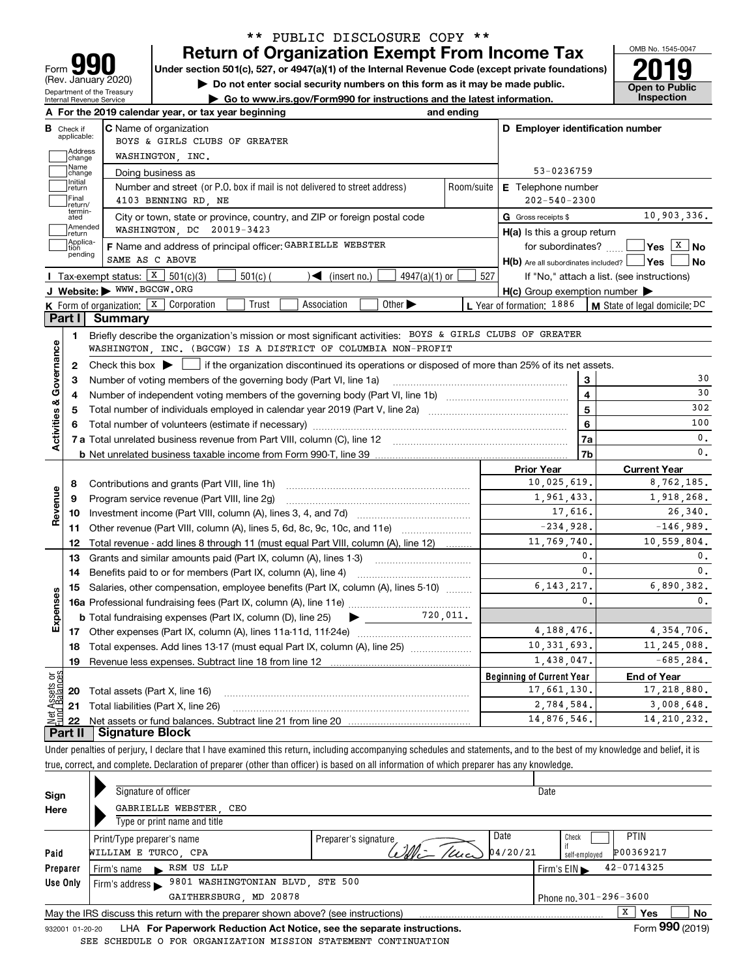| <b>q</b>                                                      |
|---------------------------------------------------------------|
| Form                                                          |
| (Rev. January 2020)                                           |
| Department of the Treasury<br><b>Internal Revenue Service</b> |

### **Return of Organization Exempt From Income Tax** \*\* PUBLIC DISCLOSURE COPY \*\*

Under section 501(c), 527, or 4947(a)(1) of the Internal Revenue Code (except private foundations) **2019** 

**| Do not enter social security numbers on this form as it may be made public.**

**| Go to www.irs.gov/Form990 for instructions and the latest information. Inspection**



|                              | A For the 2019 calendar year, or tax year beginning                                                                                                      | and ending |                                                     |                                            |
|------------------------------|----------------------------------------------------------------------------------------------------------------------------------------------------------|------------|-----------------------------------------------------|--------------------------------------------|
| В<br>Check if<br>applicable: | <b>C</b> Name of organization<br>BOYS & GIRLS CLUBS OF GREATER                                                                                           |            | D Employer identification number                    |                                            |
| Address<br>change            | WASHINGTON, INC.                                                                                                                                         |            |                                                     |                                            |
| Name<br>change               | Doing business as                                                                                                                                        |            | 53-0236759                                          |                                            |
| Initial<br>return            | Number and street (or P.O. box if mail is not delivered to street address)                                                                               | Room/suite | <b>E</b> Telephone number                           |                                            |
| Final<br>return/             | 4103 BENNING RD, NE                                                                                                                                      |            | $202 - 540 - 2300$                                  |                                            |
| termin-<br>ated              | City or town, state or province, country, and ZIP or foreign postal code                                                                                 |            | G Gross receipts \$                                 | 10.903.336.                                |
| return                       | Amended<br>WASHINGTON, DC 20019-3423                                                                                                                     |            | $H(a)$ is this a group return                       |                                            |
| Applica-<br>tion<br>pending  | F Name and address of principal officer: GABRIELLE WEBSTER                                                                                               |            | for subordinates?                                   | $\blacksquare$ Yes $\boxed{\texttt{X}}$ No |
|                              | SAME AS C ABOVE                                                                                                                                          |            | $H(b)$ Are all subordinates included? $\Box$ Yes    | ∣No                                        |
|                              | Tax-exempt status: $X$ 501(c)(3)<br>$4947(a)(1)$ or<br>$501(c)$ (<br>$\sqrt{\frac{1}{1}}$ (insert no.)                                                   | 527        |                                                     | If "No," attach a list. (see instructions) |
|                              | J Website: WWW.BGCGW.ORG                                                                                                                                 |            | $H(c)$ Group exemption number $\blacktriangleright$ |                                            |
|                              | <b>K</b> Form of organization: $\boxed{\textbf{X}}$ Corporation<br>Trust<br>Other $\blacktriangleright$<br>Association                                   |            | L Year of formation: 1886                           | M State of legal domicile: DC              |
| Part I                       | Summary                                                                                                                                                  |            |                                                     |                                            |
| 1                            | Briefly describe the organization's mission or most significant activities: BOYS & GIRLS CLUBS OF GREATER                                                |            |                                                     |                                            |
|                              | WASHINGTON INC. (BGCGW) IS A DISTRICT OF COLUMBIA NON-PROFIT                                                                                             |            |                                                     |                                            |
| Activities & Governance<br>2 | Check this box $\blacktriangleright$   if the organization discontinued its operations or disposed of more than 25% of its net assets.                   |            |                                                     | 30                                         |
| 3                            | Number of voting members of the governing body (Part VI, line 1a)                                                                                        |            | 3<br>4                                              | 30                                         |
| 4                            |                                                                                                                                                          |            | 5                                                   | 302                                        |
| 5<br>6                       | Total number of individuals employed in calendar year 2019 (Part V, line 2a) manufacture of individuals employed in calendar year 2019 (Part V, line 2a) |            | 6                                                   | 100                                        |
|                              |                                                                                                                                                          |            | 7a                                                  | $\mathbf{0}$ .                             |
|                              |                                                                                                                                                          |            | 7b                                                  | $\mathbf{0}$ .                             |
|                              |                                                                                                                                                          |            | <b>Prior Year</b>                                   | <b>Current Year</b>                        |
| 8                            |                                                                                                                                                          |            | 10,025,619.                                         | 8,762,185.                                 |
| Revenue<br>9                 | Program service revenue (Part VIII, line 2g)                                                                                                             |            | 1,961,433.                                          | 1,918,268.                                 |
| 10                           |                                                                                                                                                          |            | 17,616.                                             | 26,340.                                    |
| 11                           | Other revenue (Part VIII, column (A), lines 5, 6d, 8c, 9c, 10c, and 11e)                                                                                 |            | $-234.928.$                                         | $-146,989.$                                |
| 12                           | Total revenue - add lines 8 through 11 (must equal Part VIII, column (A), line 12)                                                                       |            | 11,769,740.                                         | 10,559,804.                                |
| 13                           | Grants and similar amounts paid (Part IX, column (A), lines 1-3)                                                                                         |            | 0.                                                  | 0.                                         |
| 14                           | Benefits paid to or for members (Part IX, column (A), line 4)                                                                                            |            | $\mathbf{0}$ .                                      | $\mathbf{0}$ .                             |
| 15                           | Salaries, other compensation, employee benefits (Part IX, column (A), lines 5-10)                                                                        |            | 6, 143, 217.                                        | 6,890,382.                                 |
| Expenses                     |                                                                                                                                                          |            | $\mathbf{0}$ .                                      | 0.                                         |
|                              | $\blacktriangleright$ 720,011.<br><b>b</b> Total fundraising expenses (Part IX, column (D), line 25)                                                     |            |                                                     |                                            |
|                              |                                                                                                                                                          |            | 4, 188, 476.                                        | 4, 354, 706.                               |
| 18                           | Total expenses. Add lines 13-17 (must equal Part IX, column (A), line 25) [                                                                              |            | 10, 331, 693.                                       | 11,245,088.                                |
| 19                           |                                                                                                                                                          |            | 1,438,047.                                          | $-685, 284.$                               |
| ăğ                           |                                                                                                                                                          |            | <b>Beginning of Current Year</b>                    | <b>End of Year</b>                         |
|                              | <b>20</b> Total assets (Part X, line 16)                                                                                                                 |            | 17,661,130.                                         | 17,218,880.                                |
| ssets                        | 21 Total liabilities (Part X, line 26)                                                                                                                   |            | 2,784,584.                                          | 3.008.648.                                 |
| 22                           |                                                                                                                                                          |            | 14,876,546.                                         | 14, 210, 232.                              |

Under penalties of perjury, I declare that I have examined this return, including accompanying schedules and statements, and to the best of my knowledge and belief, it is true, correct, and complete. Declaration of preparer (other than officer) is based on all information of which preparer has any knowledge.

| Sign     | Signature of officer                                                                                         |                               | Date                                               |  |  |  |  |  |  |
|----------|--------------------------------------------------------------------------------------------------------------|-------------------------------|----------------------------------------------------|--|--|--|--|--|--|
| Here     | GABRIELLE WEBSTER CEO                                                                                        |                               |                                                    |  |  |  |  |  |  |
|          | Type or print name and title                                                                                 |                               |                                                    |  |  |  |  |  |  |
|          | Print/Type preparer's name                                                                                   | Date<br>Preparer's signature, | <b>PTIN</b><br>Check                               |  |  |  |  |  |  |
| Paid     | WILLIAM E TURCO, CPA                                                                                         | 04/20/21                      | P00369217<br>self-emploved                         |  |  |  |  |  |  |
| Preparer | RSM US LLP<br>Firm's name                                                                                    |                               | $42 - 0714325$<br>Firm's $EIN \blacktriangleright$ |  |  |  |  |  |  |
| Use Only | 9801 WASHINGTONIAN BLVD, STE 500<br>Firm's address                                                           |                               |                                                    |  |  |  |  |  |  |
|          | Phone no. 301-296-3600                                                                                       |                               |                                                    |  |  |  |  |  |  |
|          | x<br>No<br>Yes<br>May the IRS discuss this return with the preparer shown above? (see instructions)          |                               |                                                    |  |  |  |  |  |  |
|          | Form 990 (2019)<br>LHA For Paperwork Reduction Act Notice, see the separate instructions.<br>932001 01-20-20 |                               |                                                    |  |  |  |  |  |  |

Form (2019) SEE SCHEDULE O FOR ORGANIZATION MISSION STATEMENT CONTINUATION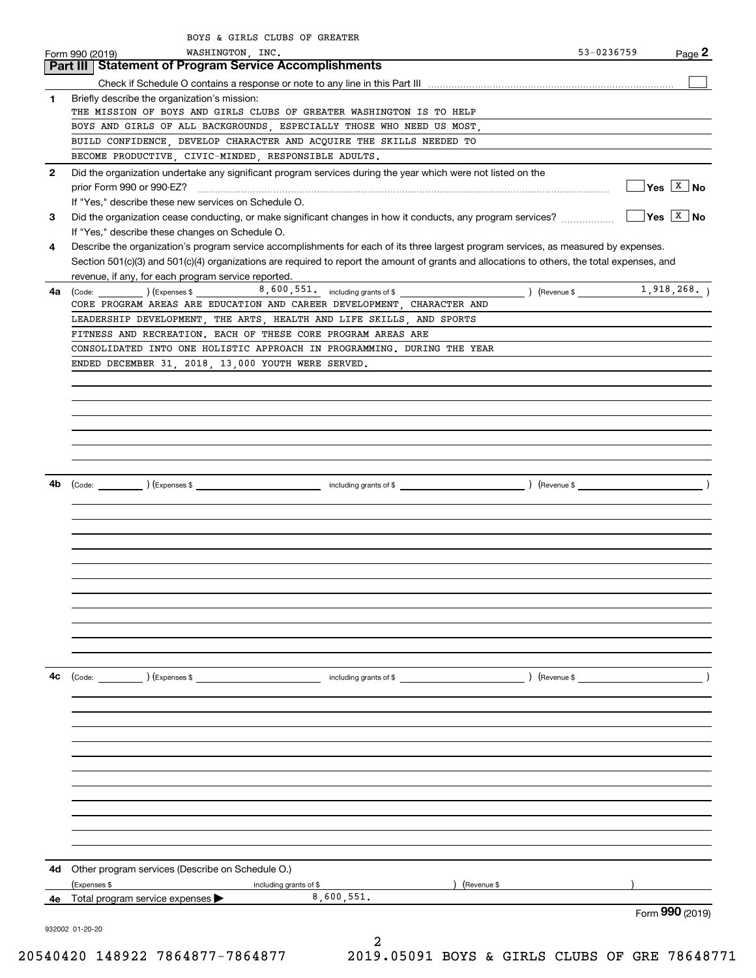|              | BOYS & GIRLS CLUBS OF GREATER<br>WASHINGTON, INC.<br>Form 990 (2019)                                                                         | 53-0236759 | Page $2$                     |
|--------------|----------------------------------------------------------------------------------------------------------------------------------------------|------------|------------------------------|
|              | Part III   Statement of Program Service Accomplishments                                                                                      |            |                              |
|              |                                                                                                                                              |            |                              |
| 1            | Briefly describe the organization's mission:                                                                                                 |            |                              |
|              | THE MISSION OF BOYS AND GIRLS CLUBS OF GREATER WASHINGTON IS TO HELP                                                                         |            |                              |
|              | BOYS AND GIRLS OF ALL BACKGROUNDS, ESPECIALLY THOSE WHO NEED US MOST,                                                                        |            |                              |
|              | BUILD CONFIDENCE, DEVELOP CHARACTER AND ACQUIRE THE SKILLS NEEDED TO<br>BECOME PRODUCTIVE, CIVIC-MINDED, RESPONSIBLE ADULTS.                 |            |                              |
| $\mathbf{2}$ | Did the organization undertake any significant program services during the year which were not listed on the                                 |            |                              |
|              | prior Form 990 or 990-EZ?                                                                                                                    |            | $\sqrt{Y}$ es $\boxed{X}$ No |
|              | If "Yes," describe these new services on Schedule O.                                                                                         |            |                              |
| 3            | Did the organization cease conducting, or make significant changes in how it conducts, any program services?                                 |            | $\sqrt{X}$ No                |
|              | If "Yes," describe these changes on Schedule O.                                                                                              |            |                              |
| 4            | Describe the organization's program service accomplishments for each of its three largest program services, as measured by expenses.         |            |                              |
|              | Section 501(c)(3) and 501(c)(4) organizations are required to report the amount of grants and allocations to others, the total expenses, and |            |                              |
|              | revenue, if any, for each program service reported.                                                                                          |            |                              |
| 4a           |                                                                                                                                              |            |                              |
|              | CORE PROGRAM AREAS ARE EDUCATION AND CAREER DEVELOPMENT, CHARACTER AND                                                                       |            |                              |
|              | LEADERSHIP DEVELOPMENT, THE ARTS, HEALTH AND LIFE SKILLS, AND SPORTS                                                                         |            |                              |
|              | FITNESS AND RECREATION. EACH OF THESE CORE PROGRAM AREAS ARE                                                                                 |            |                              |
|              | CONSOLIDATED INTO ONE HOLISTIC APPROACH IN PROGRAMMING. DURING THE YEAR                                                                      |            |                              |
|              | ENDED DECEMBER 31, 2018, 13,000 YOUTH WERE SERVED.                                                                                           |            |                              |
|              |                                                                                                                                              |            |                              |
|              |                                                                                                                                              |            |                              |
|              |                                                                                                                                              |            |                              |
|              |                                                                                                                                              |            |                              |
|              |                                                                                                                                              |            |                              |
|              |                                                                                                                                              |            |                              |
| 4b           | ) (Revenue \$                                                                                                                                |            | $\lambda$                    |
|              |                                                                                                                                              |            |                              |
|              |                                                                                                                                              |            |                              |
|              |                                                                                                                                              |            |                              |
|              |                                                                                                                                              |            |                              |
|              |                                                                                                                                              |            |                              |
|              |                                                                                                                                              |            |                              |
|              |                                                                                                                                              |            |                              |
|              |                                                                                                                                              |            |                              |
|              |                                                                                                                                              |            |                              |
|              |                                                                                                                                              |            |                              |
|              |                                                                                                                                              |            |                              |
|              |                                                                                                                                              |            | $\rightarrow$                |
| 4с           | $\left(\text{Code:}\right)$ $\left(\text{Expenses $}\right)$<br>) (Revenue \$<br>including grants of \$                                      |            |                              |
|              |                                                                                                                                              |            |                              |
|              |                                                                                                                                              |            |                              |
|              |                                                                                                                                              |            |                              |
|              |                                                                                                                                              |            |                              |
|              |                                                                                                                                              |            |                              |
|              |                                                                                                                                              |            |                              |
|              |                                                                                                                                              |            |                              |
|              |                                                                                                                                              |            |                              |
|              |                                                                                                                                              |            |                              |
|              |                                                                                                                                              |            |                              |
|              |                                                                                                                                              |            |                              |
| 4d           | Other program services (Describe on Schedule O.)                                                                                             |            |                              |
|              | (Expenses \$<br>Revenue \$<br>including grants of \$                                                                                         |            |                              |
| 4е           | 8,600,551.<br>Total program service expenses                                                                                                 |            | Form 990 (2019)              |
|              |                                                                                                                                              |            |                              |
|              | 932002 01-20-20<br>2                                                                                                                         |            |                              |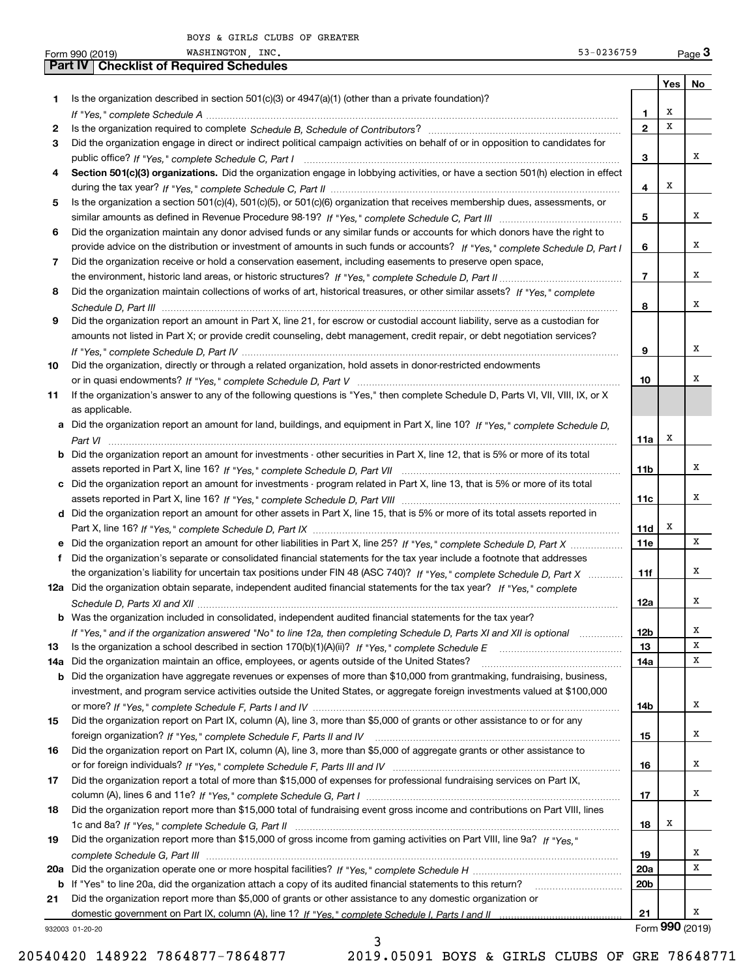|     | WASHINGTON, INC.<br>53-0236759<br>Form 990 (2019)                                                                                     |                 |     | $_{\text{Page}}$ 3 |
|-----|---------------------------------------------------------------------------------------------------------------------------------------|-----------------|-----|--------------------|
|     | <b>Part IV   Checklist of Required Schedules</b>                                                                                      |                 |     |                    |
|     |                                                                                                                                       |                 | Yes | No                 |
| 1   | Is the organization described in section $501(c)(3)$ or $4947(a)(1)$ (other than a private foundation)?                               |                 |     |                    |
|     |                                                                                                                                       | 1               | X   |                    |
| 2   |                                                                                                                                       | $\overline{2}$  | X   |                    |
| 3   | Did the organization engage in direct or indirect political campaign activities on behalf of or in opposition to candidates for       |                 |     |                    |
|     |                                                                                                                                       | 3               |     | х                  |
| 4   | Section 501(c)(3) organizations. Did the organization engage in lobbying activities, or have a section 501(h) election in effect      |                 |     |                    |
|     |                                                                                                                                       | 4               | Х   |                    |
| 5   | Is the organization a section 501(c)(4), 501(c)(5), or 501(c)(6) organization that receives membership dues, assessments, or          |                 |     |                    |
|     |                                                                                                                                       | 5               |     | х                  |
| 6   | Did the organization maintain any donor advised funds or any similar funds or accounts for which donors have the right to             |                 |     |                    |
|     | provide advice on the distribution or investment of amounts in such funds or accounts? If "Yes," complete Schedule D, Part I          | 6               |     | х                  |
| 7   | Did the organization receive or hold a conservation easement, including easements to preserve open space,                             |                 |     |                    |
|     |                                                                                                                                       | $\overline{7}$  |     | х                  |
| 8   | Did the organization maintain collections of works of art, historical treasures, or other similar assets? If "Yes," complete          |                 |     |                    |
|     |                                                                                                                                       | 8               |     | х                  |
| 9   | Did the organization report an amount in Part X, line 21, for escrow or custodial account liability, serve as a custodian for         |                 |     |                    |
|     | amounts not listed in Part X; or provide credit counseling, debt management, credit repair, or debt negotiation services?             |                 |     |                    |
|     |                                                                                                                                       | 9               |     | х                  |
| 10  | Did the organization, directly or through a related organization, hold assets in donor-restricted endowments                          |                 |     |                    |
|     |                                                                                                                                       | 10              |     | х                  |
| 11  | If the organization's answer to any of the following questions is "Yes," then complete Schedule D, Parts VI, VII, VIII, IX, or X      |                 |     |                    |
|     | as applicable.                                                                                                                        |                 |     |                    |
|     | a Did the organization report an amount for land, buildings, and equipment in Part X, line 10? If "Yes," complete Schedule D,         |                 |     |                    |
|     |                                                                                                                                       | 11a             | x   |                    |
|     | <b>b</b> Did the organization report an amount for investments - other securities in Part X, line 12, that is 5% or more of its total |                 |     |                    |
|     |                                                                                                                                       | 11b             |     | х                  |
|     | c Did the organization report an amount for investments - program related in Part X, line 13, that is 5% or more of its total         |                 |     |                    |
|     |                                                                                                                                       | 11c             |     | х                  |
|     | d Did the organization report an amount for other assets in Part X, line 15, that is 5% or more of its total assets reported in       |                 |     |                    |
|     |                                                                                                                                       | 11d             | х   |                    |
|     | e Did the organization report an amount for other liabilities in Part X, line 25? If "Yes," complete Schedule D, Part X               | 11e             |     | х                  |
| f   | Did the organization's separate or consolidated financial statements for the tax year include a footnote that addresses               |                 |     |                    |
|     | the organization's liability for uncertain tax positions under FIN 48 (ASC 740)? If "Yes," complete Schedule D, Part X                | 11f             |     | х                  |
|     | 12a Did the organization obtain separate, independent audited financial statements for the tax year? If "Yes," complete               |                 |     |                    |
|     |                                                                                                                                       | 12a             |     |                    |
|     | <b>b</b> Was the organization included in consolidated, independent audited financial statements for the tax year?                    |                 |     |                    |
|     | If "Yes," and if the organization answered "No" to line 12a, then completing Schedule D, Parts XI and XII is optional                 | 12b             |     | х                  |
| 13  |                                                                                                                                       | 13              |     | х                  |
| 14a | Did the organization maintain an office, employees, or agents outside of the United States?                                           | 14a             |     | х                  |
| b   | Did the organization have aggregate revenues or expenses of more than \$10,000 from grantmaking, fundraising, business,               |                 |     |                    |
|     | investment, and program service activities outside the United States, or aggregate foreign investments valued at \$100,000            |                 |     |                    |
|     |                                                                                                                                       | 14b             |     | х                  |
| 15  | Did the organization report on Part IX, column (A), line 3, more than \$5,000 of grants or other assistance to or for any             |                 |     |                    |
|     |                                                                                                                                       | 15              |     | х                  |
| 16  | Did the organization report on Part IX, column (A), line 3, more than \$5,000 of aggregate grants or other assistance to              |                 |     |                    |
|     |                                                                                                                                       | 16              |     | х                  |
| 17  | Did the organization report a total of more than \$15,000 of expenses for professional fundraising services on Part IX,               |                 |     |                    |
|     |                                                                                                                                       | 17              |     | х                  |
| 18  | Did the organization report more than \$15,000 total of fundraising event gross income and contributions on Part VIII, lines          |                 |     |                    |
|     |                                                                                                                                       | 18              | x   |                    |
| 19  | Did the organization report more than \$15,000 of gross income from gaming activities on Part VIII, line 9a? If "Yes."                |                 |     |                    |
|     |                                                                                                                                       | 19              |     | х                  |
|     |                                                                                                                                       | <b>20a</b>      |     | х                  |
| b   | If "Yes" to line 20a, did the organization attach a copy of its audited financial statements to this return?                          | 20 <sub>b</sub> |     |                    |
| 21  | Did the organization report more than \$5,000 of grants or other assistance to any domestic organization or                           |                 |     |                    |
|     |                                                                                                                                       | 21              |     | x                  |
|     | 932003 01-20-20                                                                                                                       |                 |     | Form 990 (2019)    |

932003 01-20-20

3 20540420 148922 7864877-7864877 2019.05091 BOYS & GIRLS CLUBS OF GRE 78648771

| )YS & GIRLS CLUBS OF GREAT. |  |  |
|-----------------------------|--|--|
|-----------------------------|--|--|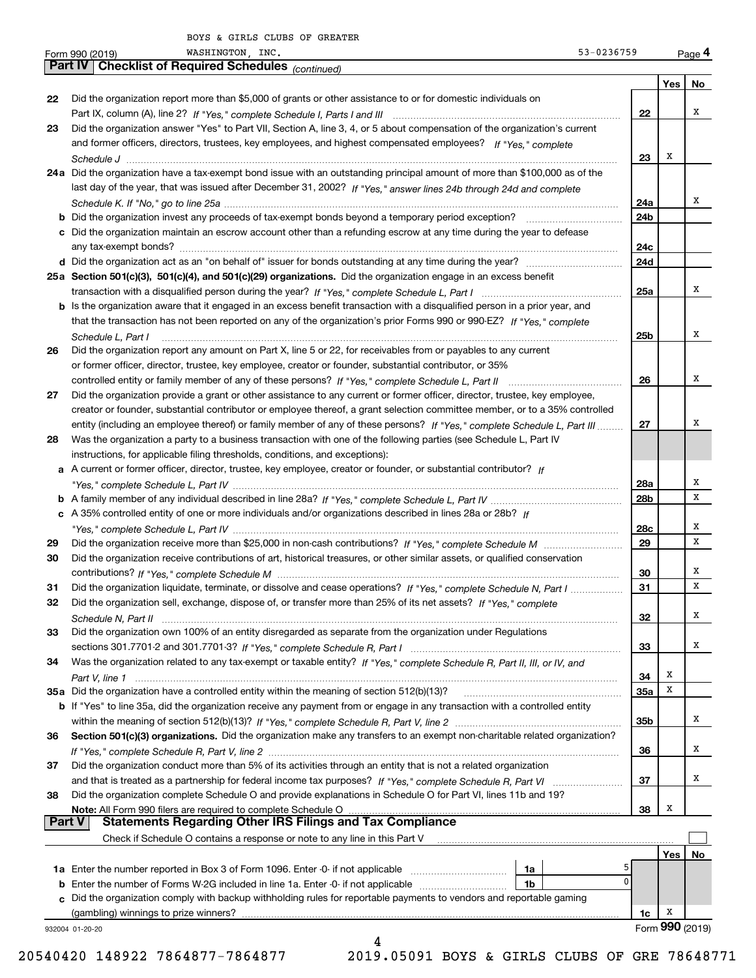|               | WASHINGTON, INC.<br>53-0236759<br>Form 990 (2019)                                                                                 |                 |                  | Page 4 |  |
|---------------|-----------------------------------------------------------------------------------------------------------------------------------|-----------------|------------------|--------|--|
|               | Part IV   Checklist of Required Schedules (continued)                                                                             |                 |                  |        |  |
|               |                                                                                                                                   |                 | Yes              | No     |  |
| 22            | Did the organization report more than \$5,000 of grants or other assistance to or for domestic individuals on                     |                 |                  |        |  |
|               |                                                                                                                                   | 22              |                  | х      |  |
| 23            | Did the organization answer "Yes" to Part VII, Section A, line 3, 4, or 5 about compensation of the organization's current        |                 |                  |        |  |
|               | and former officers, directors, trustees, key employees, and highest compensated employees? If "Yes," complete                    |                 |                  |        |  |
|               |                                                                                                                                   | 23              | Х                |        |  |
|               | 24a Did the organization have a tax-exempt bond issue with an outstanding principal amount of more than \$100,000 as of the       |                 |                  |        |  |
|               | last day of the year, that was issued after December 31, 2002? If "Yes," answer lines 24b through 24d and complete                |                 |                  |        |  |
|               |                                                                                                                                   | 24a             |                  | х      |  |
|               |                                                                                                                                   | 24 <sub>b</sub> |                  |        |  |
|               | c Did the organization maintain an escrow account other than a refunding escrow at any time during the year to defease            |                 |                  |        |  |
|               |                                                                                                                                   | 24c             |                  |        |  |
|               |                                                                                                                                   | 24d             |                  |        |  |
|               | 25a Section 501(c)(3), 501(c)(4), and 501(c)(29) organizations. Did the organization engage in an excess benefit                  |                 |                  |        |  |
|               |                                                                                                                                   | 25a             |                  | х      |  |
|               | b Is the organization aware that it engaged in an excess benefit transaction with a disqualified person in a prior year, and      |                 |                  |        |  |
|               | that the transaction has not been reported on any of the organization's prior Forms 990 or 990-EZ? If "Yes," complete             |                 |                  |        |  |
|               | Schedule L. Part I                                                                                                                | 25b             |                  | х      |  |
| 26            | Did the organization report any amount on Part X, line 5 or 22, for receivables from or payables to any current                   |                 |                  |        |  |
|               | or former officer, director, trustee, key employee, creator or founder, substantial contributor, or 35%                           |                 |                  |        |  |
|               |                                                                                                                                   | 26              |                  | Χ      |  |
| 27            | Did the organization provide a grant or other assistance to any current or former officer, director, trustee, key employee,       |                 |                  |        |  |
|               | creator or founder, substantial contributor or employee thereof, a grant selection committee member, or to a 35% controlled       |                 |                  |        |  |
|               | entity (including an employee thereof) or family member of any of these persons? If "Yes," complete Schedule L, Part III          | 27              |                  | х      |  |
| 28            | Was the organization a party to a business transaction with one of the following parties (see Schedule L, Part IV                 |                 |                  |        |  |
|               | instructions, for applicable filing thresholds, conditions, and exceptions):                                                      |                 |                  |        |  |
|               | a A current or former officer, director, trustee, key employee, creator or founder, or substantial contributor? If                |                 |                  |        |  |
|               |                                                                                                                                   | 28a             |                  | х      |  |
|               |                                                                                                                                   | 28b             |                  | х      |  |
|               | c A 35% controlled entity of one or more individuals and/or organizations described in lines 28a or 28b? If                       |                 |                  |        |  |
|               |                                                                                                                                   | 28c             |                  | х      |  |
| 29            |                                                                                                                                   | 29              |                  | х      |  |
| 30            | Did the organization receive contributions of art, historical treasures, or other similar assets, or qualified conservation       |                 |                  |        |  |
|               |                                                                                                                                   | 30              |                  | х      |  |
| 31            | Did the organization liquidate, terminate, or dissolve and cease operations? If "Yes," complete Schedule N, Part I                | 31              |                  | х      |  |
| 32            | Did the organization sell, exchange, dispose of, or transfer more than 25% of its net assets? If "Yes," complete                  |                 |                  |        |  |
|               |                                                                                                                                   | 32              |                  | х      |  |
|               | Did the organization own 100% of an entity disregarded as separate from the organization under Regulations                        |                 |                  |        |  |
| 33            |                                                                                                                                   |                 |                  | х      |  |
|               |                                                                                                                                   | 33              |                  |        |  |
| 34            | Was the organization related to any tax-exempt or taxable entity? If "Yes," complete Schedule R, Part II, III, or IV, and         |                 | х                |        |  |
|               |                                                                                                                                   | 34              | x                |        |  |
|               | 35a Did the organization have a controlled entity within the meaning of section 512(b)(13)?                                       | 35a             |                  |        |  |
|               | b If "Yes" to line 35a, did the organization receive any payment from or engage in any transaction with a controlled entity       |                 |                  | х      |  |
|               |                                                                                                                                   | 35b             |                  |        |  |
| 36            | Section 501(c)(3) organizations. Did the organization make any transfers to an exempt non-charitable related organization?        |                 |                  | x      |  |
|               |                                                                                                                                   | 36              |                  |        |  |
| 37            | Did the organization conduct more than 5% of its activities through an entity that is not a related organization                  |                 |                  |        |  |
|               |                                                                                                                                   | 37              |                  | x      |  |
| 38            | Did the organization complete Schedule O and provide explanations in Schedule O for Part VI, lines 11b and 19?                    |                 |                  |        |  |
| <b>Part V</b> | Note: All Form 990 filers are required to complete Schedule O<br><b>Statements Regarding Other IRS Filings and Tax Compliance</b> | 38              | x                |        |  |
|               |                                                                                                                                   |                 |                  |        |  |
|               | Check if Schedule O contains a response or note to any line in this Part V                                                        |                 |                  |        |  |
|               |                                                                                                                                   | 5               | Yes <sub>1</sub> | No     |  |
|               | 1a<br><b>b</b> Enter the number of Forms W-2G included in line 1a. Enter -0- if not applicable<br>1b                              | 0               |                  |        |  |
|               | c Did the organization comply with backup withholding rules for reportable payments to vendors and reportable gaming              |                 |                  |        |  |
|               |                                                                                                                                   |                 | X                |        |  |
|               | (gambling) winnings to prize winners?                                                                                             | 1c              | Form 990 (2019)  |        |  |
|               | 932004 01-20-20<br>4                                                                                                              |                 |                  |        |  |

20540420 148922 7864877-7864877 2019.05091 BOYS & GIRLS CLUBS OF GRE 78648771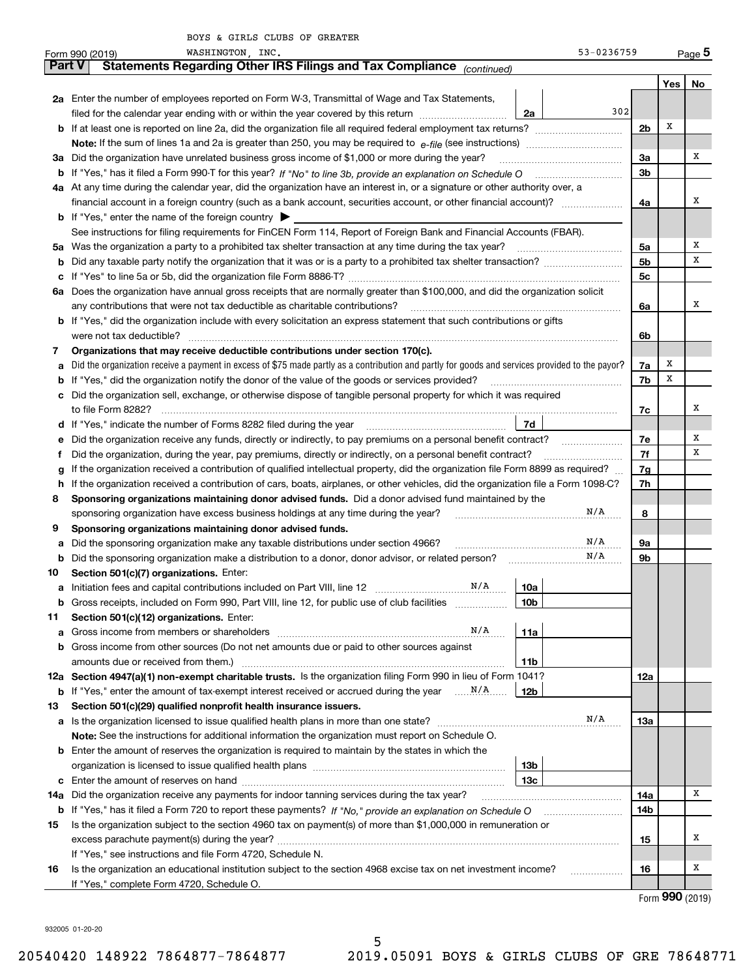|               | WASHINGTON, INC.<br>53-0236759<br>Form 990 (2019)                                                                                               |                |     | <u>Pag</u> e 5 |
|---------------|-------------------------------------------------------------------------------------------------------------------------------------------------|----------------|-----|----------------|
| <b>Part V</b> | Statements Regarding Other IRS Filings and Tax Compliance (continued)                                                                           |                |     |                |
|               |                                                                                                                                                 |                | Yes | No             |
|               | 2a Enter the number of employees reported on Form W-3, Transmittal of Wage and Tax Statements,                                                  |                |     |                |
|               | 302<br>filed for the calendar year ending with or within the year covered by this return<br>2a                                                  |                |     |                |
|               | <b>b</b> If at least one is reported on line 2a, did the organization file all required federal employment tax returns?                         | 2 <sub>b</sub> | X   |                |
|               | Note: If the sum of lines 1a and 2a is greater than 250, you may be required to $e$ -file (see instructions) $\ldots$                           |                |     |                |
| За            | Did the organization have unrelated business gross income of \$1,000 or more during the year?                                                   | За             |     | х              |
| b             |                                                                                                                                                 | 3 <sub>b</sub> |     |                |
|               | 4a At any time during the calendar year, did the organization have an interest in, or a signature or other authority over, a                    |                |     |                |
|               |                                                                                                                                                 | 4a             |     | х              |
|               | <b>b</b> If "Yes," enter the name of the foreign country                                                                                        |                |     |                |
|               | See instructions for filing requirements for FinCEN Form 114, Report of Foreign Bank and Financial Accounts (FBAR).                             |                |     |                |
| 5a            |                                                                                                                                                 | 5a             |     | Х              |
| b             | Did any taxable party notify the organization that it was or is a party to a prohibited tax shelter transaction?                                | 5 <sub>b</sub> |     | х              |
| c             |                                                                                                                                                 | 5c             |     |                |
| 6а            | Does the organization have annual gross receipts that are normally greater than \$100,000, and did the organization solicit                     |                |     |                |
|               | any contributions that were not tax deductible as charitable contributions?                                                                     | 6a             |     | х              |
|               | b If "Yes," did the organization include with every solicitation an express statement that such contributions or gifts                          |                |     |                |
|               | were not tax deductible?                                                                                                                        | 6b             |     |                |
| 7             | Organizations that may receive deductible contributions under section 170(c).                                                                   |                |     |                |
| а             | Did the organization receive a payment in excess of \$75 made partly as a contribution and partly for goods and services provided to the payor? | 7a             | х   |                |
| b             | If "Yes," did the organization notify the donor of the value of the goods or services provided?                                                 | 7b             | х   |                |
| c             | Did the organization sell, exchange, or otherwise dispose of tangible personal property for which it was required                               |                |     |                |
|               |                                                                                                                                                 | 7c             |     | х              |
| d             | 7d                                                                                                                                              |                |     |                |
| е             |                                                                                                                                                 | 7е             |     | х              |
| Ť.            | Did the organization, during the year, pay premiums, directly or indirectly, on a personal benefit contract?                                    | 7f             |     | х              |
| g             | If the organization received a contribution of qualified intellectual property, did the organization file Form 8899 as required?                | 7g             |     |                |
| h             | If the organization received a contribution of cars, boats, airplanes, or other vehicles, did the organization file a Form 1098-C?              | 7h             |     |                |
| 8             | Sponsoring organizations maintaining donor advised funds. Did a donor advised fund maintained by the                                            |                |     |                |
|               | N/A<br>sponsoring organization have excess business holdings at any time during the year?                                                       | 8              |     |                |
| 9             | Sponsoring organizations maintaining donor advised funds.                                                                                       |                |     |                |
| а             | N/A<br>Did the sponsoring organization make any taxable distributions under section 4966?                                                       | 9а             |     |                |
| b             | N/A<br>Did the sponsoring organization make a distribution to a donor, donor advisor, or related person?                                        | 9b             |     |                |
| 10            | Section 501(c)(7) organizations. Enter:                                                                                                         |                |     |                |
| а             | <u>10a</u>                                                                                                                                      |                |     |                |
| b             | Gross receipts, included on Form 990, Part VIII, line 12, for public use of club facilities<br>10 <sub>b</sub>                                  |                |     |                |
| 11            | Section 501(c)(12) organizations. Enter:                                                                                                        |                |     |                |
| а             | N/A<br>11a<br>Gross income from members or shareholders                                                                                         |                |     |                |
| b             | Gross income from other sources (Do not net amounts due or paid to other sources against                                                        |                |     |                |
|               | 11b                                                                                                                                             |                |     |                |
|               | 12a Section 4947(a)(1) non-exempt charitable trusts. Is the organization filing Form 990 in lieu of Form 1041?                                  | 12a            |     |                |
| b             | 12 <sub>b</sub>                                                                                                                                 |                |     |                |
| 13            | Section 501(c)(29) qualified nonprofit health insurance issuers.                                                                                |                |     |                |
| а             | N/A<br>Is the organization licensed to issue qualified health plans in more than one state?                                                     | 13a            |     |                |
|               | Note: See the instructions for additional information the organization must report on Schedule O.                                               |                |     |                |
|               | <b>b</b> Enter the amount of reserves the organization is required to maintain by the states in which the                                       |                |     |                |
|               | 13 <sub>b</sub>                                                                                                                                 |                |     |                |
| c             | 13 <sub>c</sub>                                                                                                                                 |                |     |                |
| 14a           | Did the organization receive any payments for indoor tanning services during the tax year?                                                      | 14a            |     | x              |
| b             | If "Yes," has it filed a Form 720 to report these payments? If "No," provide an explanation on Schedule O                                       | 14b            |     |                |
| 15            | Is the organization subject to the section 4960 tax on payment(s) of more than \$1,000,000 in remuneration or                                   |                |     |                |
|               |                                                                                                                                                 | 15             |     | x              |
|               | If "Yes," see instructions and file Form 4720, Schedule N.                                                                                      |                |     |                |
| 16            | Is the organization an educational institution subject to the section 4968 excise tax on net investment income?                                 | 16             |     | х              |
|               | If "Yes," complete Form 4720, Schedule O.                                                                                                       |                |     | $\mathbf{a}$   |
|               |                                                                                                                                                 |                |     |                |

5

Form (2019) **990**

932005 01-20-20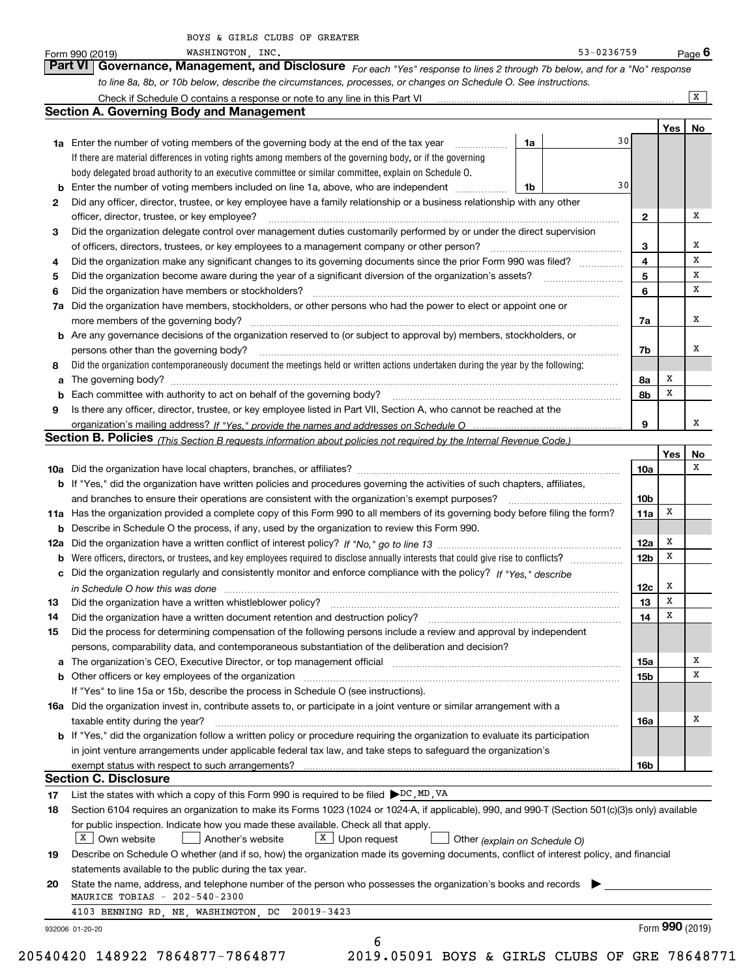|          | Check if Schedule O contains a response or note to any line in this Part VI                                                                                                                                                                                                                                                                                                                                                                                                        |                 |     | $\overline{X}$ |
|----------|------------------------------------------------------------------------------------------------------------------------------------------------------------------------------------------------------------------------------------------------------------------------------------------------------------------------------------------------------------------------------------------------------------------------------------------------------------------------------------|-----------------|-----|----------------|
|          | <b>Section A. Governing Body and Management</b>                                                                                                                                                                                                                                                                                                                                                                                                                                    |                 |     |                |
|          |                                                                                                                                                                                                                                                                                                                                                                                                                                                                                    | 30              | Yes | No             |
|          | <b>1a</b> Enter the number of voting members of the governing body at the end of the tax year<br>1a<br>If there are material differences in voting rights among members of the governing body, or if the governing                                                                                                                                                                                                                                                                 |                 |     |                |
|          |                                                                                                                                                                                                                                                                                                                                                                                                                                                                                    |                 |     |                |
|          | body delegated broad authority to an executive committee or similar committee, explain on Schedule O.                                                                                                                                                                                                                                                                                                                                                                              | 30              |     |                |
| b        | Enter the number of voting members included on line 1a, above, who are independent<br>1b<br>Did any officer, director, trustee, or key employee have a family relationship or a business relationship with any other                                                                                                                                                                                                                                                               |                 |     |                |
| 2        | officer, director, trustee, or key employee?                                                                                                                                                                                                                                                                                                                                                                                                                                       | 2               |     | Χ              |
| 3        | .<br>Did the organization delegate control over management duties customarily performed by or under the direct supervision                                                                                                                                                                                                                                                                                                                                                         |                 |     |                |
|          | of officers, directors, trustees, or key employees to a management company or other person?                                                                                                                                                                                                                                                                                                                                                                                        | 3               |     | x              |
| 4        | Did the organization make any significant changes to its governing documents since the prior Form 990 was filed?                                                                                                                                                                                                                                                                                                                                                                   | 4               |     | х              |
| 5        |                                                                                                                                                                                                                                                                                                                                                                                                                                                                                    | 5               |     | x              |
| 6        | Did the organization have members or stockholders?                                                                                                                                                                                                                                                                                                                                                                                                                                 | 6               |     | х              |
| 7a       | Did the organization have members, stockholders, or other persons who had the power to elect or appoint one or                                                                                                                                                                                                                                                                                                                                                                     |                 |     |                |
|          | $\begin{minipage}{0.5\textwidth} \begin{tabular}{ l l l } \hline \multicolumn{1}{ l l l } \hline \multicolumn{1}{ l l } \multicolumn{1}{ l } \multicolumn{1}{ l } \multicolumn{1}{ l } \multicolumn{1}{ l } \multicolumn{1}{ l } \multicolumn{1}{ l } \multicolumn{1}{ l } \multicolumn{1}{ l } \multicolumn{1}{ l } \multicolumn{1}{ l } \multicolumn{1}{ l } \multicolumn{1}{ l } \multicolumn{1}{ l } \multicolumn{1}{ l } \multicolumn$<br>more members of the governing body? | 7a              |     | х              |
| b        | Are any governance decisions of the organization reserved to (or subject to approval by) members, stockholders, or                                                                                                                                                                                                                                                                                                                                                                 |                 |     |                |
|          | persons other than the governing body?                                                                                                                                                                                                                                                                                                                                                                                                                                             | 7b              |     | х              |
| 8        | Did the organization contemporaneously document the meetings held or written actions undertaken during the year by the following:                                                                                                                                                                                                                                                                                                                                                  |                 |     |                |
| a        |                                                                                                                                                                                                                                                                                                                                                                                                                                                                                    | 8a              | х   |                |
| b        | Each committee with authority to act on behalf of the governing body? [11] manufactures manufactures with authority to act on behalf of the governing body? [11] manufactures manufactures with authority of the state with an                                                                                                                                                                                                                                                     | 8b              | x   |                |
| 9        | Is there any officer, director, trustee, or key employee listed in Part VII, Section A, who cannot be reached at the                                                                                                                                                                                                                                                                                                                                                               |                 |     |                |
|          |                                                                                                                                                                                                                                                                                                                                                                                                                                                                                    | 9               |     | x              |
|          | Section B. Policies <i>(This Section B requests information about policies not required by the Internal Revenue Code.)</i>                                                                                                                                                                                                                                                                                                                                                         |                 |     |                |
|          |                                                                                                                                                                                                                                                                                                                                                                                                                                                                                    |                 | Yes | No             |
|          |                                                                                                                                                                                                                                                                                                                                                                                                                                                                                    | 10a             |     | x              |
|          | b If "Yes," did the organization have written policies and procedures governing the activities of such chapters, affiliates,                                                                                                                                                                                                                                                                                                                                                       |                 |     |                |
|          | and branches to ensure their operations are consistent with the organization's exempt purposes?                                                                                                                                                                                                                                                                                                                                                                                    | 10b             |     |                |
|          | 11a Has the organization provided a complete copy of this Form 990 to all members of its governing body before filing the form?                                                                                                                                                                                                                                                                                                                                                    | 11a             | X   |                |
| b        | Describe in Schedule O the process, if any, used by the organization to review this Form 990.                                                                                                                                                                                                                                                                                                                                                                                      |                 |     |                |
| 12a      |                                                                                                                                                                                                                                                                                                                                                                                                                                                                                    | 12a             | x   |                |
| b        | Were officers, directors, or trustees, and key employees required to disclose annually interests that could give rise to conflicts?                                                                                                                                                                                                                                                                                                                                                | 12 <sub>b</sub> | х   |                |
| с        | Did the organization regularly and consistently monitor and enforce compliance with the policy? If "Yes," describe                                                                                                                                                                                                                                                                                                                                                                 |                 |     |                |
|          | in Schedule O how this was done measurement control to the state of the state of the state of the state of the                                                                                                                                                                                                                                                                                                                                                                     | 12c             | X   |                |
|          |                                                                                                                                                                                                                                                                                                                                                                                                                                                                                    | 13              | X   |                |
| 14       | Did the organization have a written document retention and destruction policy? manufactured and the organization have a written document retention and destruction policy?                                                                                                                                                                                                                                                                                                         | 14              | Х   |                |
| 15       | Did the process for determining compensation of the following persons include a review and approval by independent                                                                                                                                                                                                                                                                                                                                                                 |                 |     |                |
|          | persons, comparability data, and contemporaneous substantiation of the deliberation and decision?                                                                                                                                                                                                                                                                                                                                                                                  |                 |     |                |
|          | a The organization's CEO, Executive Director, or top management official [11] [12] The organization's CEO, Executive Director, or top management official [12] [12] [12] [12] The organization's CEO, Executive Director, or t                                                                                                                                                                                                                                                     | 15a             |     | х              |
| b        |                                                                                                                                                                                                                                                                                                                                                                                                                                                                                    | 15b             |     | X              |
|          | If "Yes" to line 15a or 15b, describe the process in Schedule O (see instructions).                                                                                                                                                                                                                                                                                                                                                                                                |                 |     |                |
|          | 16a Did the organization invest in, contribute assets to, or participate in a joint venture or similar arrangement with a                                                                                                                                                                                                                                                                                                                                                          |                 |     | х              |
|          | taxable entity during the year?                                                                                                                                                                                                                                                                                                                                                                                                                                                    | 16a             |     |                |
|          | b If "Yes," did the organization follow a written policy or procedure requiring the organization to evaluate its participation                                                                                                                                                                                                                                                                                                                                                     |                 |     |                |
|          | in joint venture arrangements under applicable federal tax law, and take steps to safeguard the organization's                                                                                                                                                                                                                                                                                                                                                                     |                 |     |                |
|          | <b>Section C. Disclosure</b>                                                                                                                                                                                                                                                                                                                                                                                                                                                       | 16b             |     |                |
|          | List the states with which a copy of this Form 990 is required to be filed ▶ DC, MD, VA                                                                                                                                                                                                                                                                                                                                                                                            |                 |     |                |
| 17<br>18 | Section 6104 requires an organization to make its Forms 1023 (1024 or 1024-A, if applicable), 990, and 990-T (Section 501(c)(3)s only) available                                                                                                                                                                                                                                                                                                                                   |                 |     |                |
|          | for public inspection. Indicate how you made these available. Check all that apply.                                                                                                                                                                                                                                                                                                                                                                                                |                 |     |                |
|          | X   Own website<br>$X$ Upon request<br>Another's website                                                                                                                                                                                                                                                                                                                                                                                                                           |                 |     |                |
|          | Other (explain on Schedule O)<br>Describe on Schedule O whether (and if so, how) the organization made its governing documents, conflict of interest policy, and financial                                                                                                                                                                                                                                                                                                         |                 |     |                |
|          | statements available to the public during the tax year.                                                                                                                                                                                                                                                                                                                                                                                                                            |                 |     |                |
| 19       |                                                                                                                                                                                                                                                                                                                                                                                                                                                                                    |                 |     |                |
|          |                                                                                                                                                                                                                                                                                                                                                                                                                                                                                    |                 |     |                |
| 20       | State the name, address, and telephone number of the person who possesses the organization's books and records                                                                                                                                                                                                                                                                                                                                                                     |                 |     |                |
|          | MAURICE TOBIAS - $202-540-2300$<br>4103 BENNING RD, NE, WASHINGTON, DC 20019-3423                                                                                                                                                                                                                                                                                                                                                                                                  |                 |     |                |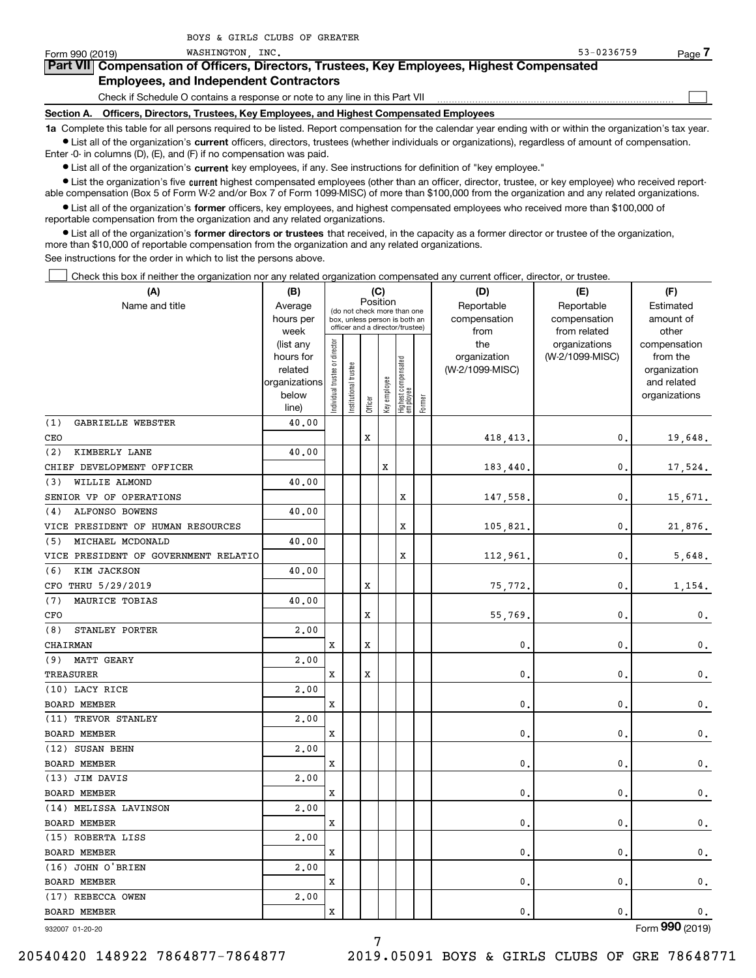| Form 990 (2019)                                                                                                                                            | WASHINGTON INC.                                                                            |  |                                                                                            | 53-0236759 | Page |  |  |
|------------------------------------------------------------------------------------------------------------------------------------------------------------|--------------------------------------------------------------------------------------------|--|--------------------------------------------------------------------------------------------|------------|------|--|--|
|                                                                                                                                                            |                                                                                            |  | Part VII Compensation of Officers, Directors, Trustees, Key Employees, Highest Compensated |            |      |  |  |
|                                                                                                                                                            | <b>Employees, and Independent Contractors</b>                                              |  |                                                                                            |            |      |  |  |
|                                                                                                                                                            | Check if Schedule O contains a response or note to any line in this Part VII               |  |                                                                                            |            |      |  |  |
|                                                                                                                                                            | Section A. Officers, Directors, Trustees, Key Employees, and Highest Compensated Employees |  |                                                                                            |            |      |  |  |
| 1a Complete this table for all persons required to be listed. Report compensation for the calendar year ending with or within the organization's tax year. |                                                                                            |  |                                                                                            |            |      |  |  |

**•** List all of the organization's current officers, directors, trustees (whether individuals or organizations), regardless of amount of compensation. Enter -0- in columns (D), (E), and (F) if no compensation was paid.

 $\bullet$  List all of the organization's  $\,$ current key employees, if any. See instructions for definition of "key employee."

BOYS & GIRLS CLUBS OF GREATER

**•** List the organization's five current highest compensated employees (other than an officer, director, trustee, or key employee) who received reportable compensation (Box 5 of Form W-2 and/or Box 7 of Form 1099-MISC) of more than \$100,000 from the organization and any related organizations.

**•** List all of the organization's former officers, key employees, and highest compensated employees who received more than \$100,000 of reportable compensation from the organization and any related organizations.

**former directors or trustees**  ¥ List all of the organization's that received, in the capacity as a former director or trustee of the organization, more than \$10,000 of reportable compensation from the organization and any related organizations.

See instructions for the order in which to list the persons above.

Check this box if neither the organization nor any related organization compensated any current officer, director, or trustee.  $\mathcal{L}^{\text{max}}$ 

| (A)                                  | (B)               |                                |                                                                  |         | (C)          |                                 |        | (D)             | (E)                           | (F)                   |
|--------------------------------------|-------------------|--------------------------------|------------------------------------------------------------------|---------|--------------|---------------------------------|--------|-----------------|-------------------------------|-----------------------|
| Name and title                       | Average           |                                | (do not check more than one                                      |         | Position     |                                 |        | Reportable      | Reportable                    | Estimated             |
|                                      | hours per         |                                | box, unless person is both an<br>officer and a director/trustee) |         |              |                                 |        | compensation    | compensation                  | amount of             |
|                                      | week<br>(list any |                                |                                                                  |         |              |                                 |        | from<br>the     | from related<br>organizations | other<br>compensation |
|                                      | hours for         |                                |                                                                  |         |              |                                 |        | organization    | (W-2/1099-MISC)               | from the              |
|                                      | related           |                                | trustee                                                          |         |              |                                 |        | (W-2/1099-MISC) |                               | organization          |
|                                      | organizations     |                                |                                                                  |         |              |                                 |        |                 |                               | and related           |
|                                      | below             | Individual trustee or director | Institutional t                                                  |         | Key employee | Highest compensated<br>employee |        |                 |                               | organizations         |
|                                      | line)             |                                |                                                                  | Officer |              |                                 | Former |                 |                               |                       |
| <b>GABRIELLE WEBSTER</b><br>(1)      | 40.00             |                                |                                                                  |         |              |                                 |        |                 |                               |                       |
| CEO                                  |                   |                                |                                                                  | X       |              |                                 |        | 418, 413.       | 0.                            | 19,648.               |
| KIMBERLY LANE<br>(2)                 | 40.00             |                                |                                                                  |         |              |                                 |        |                 |                               |                       |
| CHIEF DEVELOPMENT OFFICER            |                   |                                |                                                                  |         | X            |                                 |        | 183,440.        | 0.                            | 17,524.               |
| WILLIE ALMOND<br>(3)                 | 40.00             |                                |                                                                  |         |              |                                 |        |                 |                               |                       |
| SENIOR VP OF OPERATIONS              |                   |                                |                                                                  |         |              | X                               |        | 147,558.        | 0.                            | 15,671.               |
| ALFONSO BOWENS<br>(4)                | 40.00             |                                |                                                                  |         |              |                                 |        |                 |                               |                       |
| VICE PRESIDENT OF HUMAN RESOURCES    |                   |                                |                                                                  |         |              | x                               |        | 105,821.        | 0.                            | 21,876.               |
| (5)<br>MICHAEL MCDONALD              | 40.00             |                                |                                                                  |         |              |                                 |        |                 |                               |                       |
| VICE PRESIDENT OF GOVERNMENT RELATIO |                   |                                |                                                                  |         |              | X                               |        | 112,961.        | $\mathbf 0$ .                 | 5,648.                |
| KIM JACKSON<br>(6)                   | 40.00             |                                |                                                                  |         |              |                                 |        |                 |                               |                       |
| CFO THRU 5/29/2019                   |                   |                                |                                                                  | x       |              |                                 |        | 75,772.         | $\mathbf 0$ .                 | 1,154.                |
| MAURICE TOBIAS<br>(7)                | 40.00             |                                |                                                                  |         |              |                                 |        |                 |                               |                       |
| CFO                                  |                   |                                |                                                                  | X       |              |                                 |        | 55,769          | $\mathbf{0}$ .                | 0.                    |
| STANLEY PORTER<br>(8)                | 2,00              |                                |                                                                  |         |              |                                 |        |                 |                               |                       |
| CHAIRMAN                             |                   | x                              |                                                                  | x       |              |                                 |        | 0.              | 0.                            | $0$ .                 |
| MATT GEARY<br>(9)                    | 2,00              |                                |                                                                  |         |              |                                 |        |                 |                               |                       |
| TREASURER                            |                   | x                              |                                                                  | X       |              |                                 |        | $\mathbf 0$ .   | $\mathbf 0$ .                 | $\mathbf 0$ .         |
| (10) LACY RICE                       | 2,00              |                                |                                                                  |         |              |                                 |        |                 |                               |                       |
| BOARD MEMBER                         |                   | x                              |                                                                  |         |              |                                 |        | 0.              | 0.                            | $\mathbf{0}$ .        |
| (11) TREVOR STANLEY                  | 2,00              |                                |                                                                  |         |              |                                 |        |                 |                               |                       |
| <b>BOARD MEMBER</b>                  |                   | x                              |                                                                  |         |              |                                 |        | 0.              | 0.                            | $\mathbf{0}$ .        |
| (12) SUSAN BEHN                      | 2,00              |                                |                                                                  |         |              |                                 |        |                 |                               |                       |
| BOARD MEMBER                         |                   | x                              |                                                                  |         |              |                                 |        | 0.              | 0.                            | $0$ .                 |
| (13) JIM DAVIS                       | 2,00              |                                |                                                                  |         |              |                                 |        |                 |                               |                       |
| <b>BOARD MEMBER</b>                  |                   | x                              |                                                                  |         |              |                                 |        | 0.              | 0.                            | $\mathbf 0$ .         |
| (14) MELISSA LAVINSON                | 2,00              |                                |                                                                  |         |              |                                 |        |                 |                               |                       |
| <b>BOARD MEMBER</b>                  |                   | x                              |                                                                  |         |              |                                 |        | 0.              | 0.                            | $\mathbf{0}$ .        |
| (15) ROBERTA LISS                    | 2,00              |                                |                                                                  |         |              |                                 |        |                 |                               |                       |
| <b>BOARD MEMBER</b>                  |                   | x                              |                                                                  |         |              |                                 |        | 0.              | 0.                            | $\mathbf{0}$ .        |
| (16) JOHN O'BRIEN                    | 2,00              |                                |                                                                  |         |              |                                 |        |                 |                               |                       |
| <b>BOARD MEMBER</b>                  |                   | x                              |                                                                  |         |              |                                 |        | 0.              | 0.                            | 0.                    |
| (17) REBECCA OWEN                    | 2,00              |                                |                                                                  |         |              |                                 |        |                 |                               |                       |
| <b>BOARD MEMBER</b>                  |                   | x                              |                                                                  |         |              |                                 |        | $\mathbf{0}$ .  | $\mathbf{0}$ .                | 0.                    |
| 932007 01-20-20                      |                   |                                |                                                                  |         |              |                                 |        |                 |                               | Form 990 (2019)       |

932007 01-20-20

20540420 148922 7864877-7864877 2019.05091 BOYS & GIRLS CLUBS OF GRE 78648771

7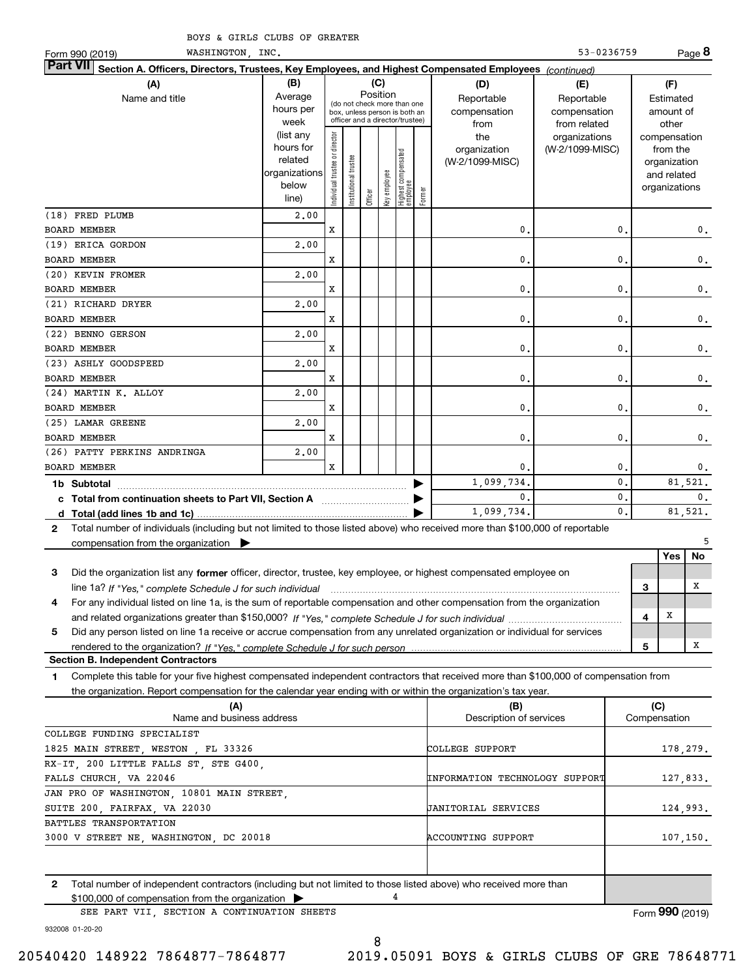|  |  |  |  |  |  | BOYS & GIRLS CLUBS OF GREATER |
|--|--|--|--|--|--|-------------------------------|
|--|--|--|--|--|--|-------------------------------|

|                 | WASHINGTON, INC.<br>Form 990 (2019)                                                                                                                  |                                                                      |                                                                                                             |                      |         |                                    |                                            |        |                                        | 53-0236759                       |   |                                                                          | Page 8           |
|-----------------|------------------------------------------------------------------------------------------------------------------------------------------------------|----------------------------------------------------------------------|-------------------------------------------------------------------------------------------------------------|----------------------|---------|------------------------------------|--------------------------------------------|--------|----------------------------------------|----------------------------------|---|--------------------------------------------------------------------------|------------------|
| <b>Part VII</b> | Section A. Officers, Directors, Trustees, Key Employees, and Highest Compensated Employees (continued)                                               |                                                                      |                                                                                                             |                      |         |                                    |                                            |        |                                        |                                  |   |                                                                          |                  |
|                 | (A)                                                                                                                                                  | (B)                                                                  |                                                                                                             |                      |         | (C)                                |                                            |        | (D)                                    | (E)                              |   | (F)                                                                      |                  |
|                 | Name and title                                                                                                                                       | Average<br>hours per<br>week                                         | Position<br>(do not check more than one<br>box, unless person is both an<br>officer and a director/trustee) |                      |         | Reportable<br>compensation<br>from | Reportable<br>compensation<br>from related |        | Estimated<br>amount of<br>other        |                                  |   |                                                                          |                  |
|                 |                                                                                                                                                      | (list any<br>hours for<br>related<br>organizations<br>below<br>line) | ndividual trustee or director                                                                               | nstitutional trustee | Officer | key employee                       | Highest compensated<br>  employee          | Former | the<br>organization<br>(W-2/1099-MISC) | organizations<br>(W-2/1099-MISC) |   | compensation<br>from the<br>organization<br>and related<br>organizations |                  |
|                 | (18) FRED PLUMB                                                                                                                                      | 2,00                                                                 |                                                                                                             |                      |         |                                    |                                            |        |                                        |                                  |   |                                                                          |                  |
|                 | <b>BOARD MEMBER</b>                                                                                                                                  |                                                                      | x                                                                                                           |                      |         |                                    |                                            |        | $\mathbf{0}$                           | 0.                               |   |                                                                          | 0.               |
|                 | (19) ERICA GORDON                                                                                                                                    | 2,00                                                                 |                                                                                                             |                      |         |                                    |                                            |        |                                        |                                  |   |                                                                          |                  |
|                 | <b>BOARD MEMBER</b>                                                                                                                                  |                                                                      | x                                                                                                           |                      |         |                                    |                                            |        | $\mathbf{0}$                           | 0.                               |   |                                                                          | $\mathbf{0}$ .   |
|                 | (20) KEVIN FROMER                                                                                                                                    | 2,00                                                                 |                                                                                                             |                      |         |                                    |                                            |        |                                        |                                  |   |                                                                          |                  |
|                 | <b>BOARD MEMBER</b>                                                                                                                                  |                                                                      | x                                                                                                           |                      |         |                                    |                                            |        | 0.                                     | 0.                               |   |                                                                          | $\mathbf{0}$ .   |
|                 | (21) RICHARD DRYER                                                                                                                                   | 2,00                                                                 |                                                                                                             |                      |         |                                    |                                            |        |                                        |                                  |   |                                                                          |                  |
|                 | <b>BOARD MEMBER</b>                                                                                                                                  |                                                                      | x                                                                                                           |                      |         |                                    |                                            |        | 0                                      | $\mathbf{0}$                     |   |                                                                          | $\mathbf{0}$ .   |
|                 | (22) BENNO GERSON                                                                                                                                    | 2,00                                                                 |                                                                                                             |                      |         |                                    |                                            |        |                                        |                                  |   |                                                                          |                  |
|                 | <b>BOARD MEMBER</b>                                                                                                                                  |                                                                      | x                                                                                                           |                      |         |                                    |                                            |        | $\mathbf{0}$                           | $\mathbf{0}$ .                   |   |                                                                          | $\mathbf{0}$ .   |
|                 | (23) ASHLY GOODSPEED                                                                                                                                 | 2,00                                                                 |                                                                                                             |                      |         |                                    |                                            |        |                                        |                                  |   |                                                                          |                  |
|                 | <b>BOARD MEMBER</b>                                                                                                                                  |                                                                      | X                                                                                                           |                      |         |                                    |                                            |        | $\mathbf{0}$                           | $\mathbf{0}$                     |   |                                                                          | $\mathbf 0$ .    |
|                 | (24) MARTIN K. ALLOY                                                                                                                                 | 2.00                                                                 |                                                                                                             |                      |         |                                    |                                            |        |                                        |                                  |   |                                                                          |                  |
|                 | BOARD MEMBER                                                                                                                                         |                                                                      | x                                                                                                           |                      |         |                                    |                                            |        | $\mathbf{0}$ .                         | $\mathbf{0}$ .                   |   |                                                                          | 0.               |
|                 | (25) LAMAR GREENE                                                                                                                                    | 2,00                                                                 |                                                                                                             |                      |         |                                    |                                            |        |                                        |                                  |   |                                                                          |                  |
|                 | BOARD MEMBER                                                                                                                                         |                                                                      | x                                                                                                           |                      |         |                                    |                                            |        | $\mathbf 0$                            | 0.                               |   |                                                                          | $\mathfrak{o}$ . |
|                 | (26) PATTY PERKINS ANDRINGA                                                                                                                          | 2,00                                                                 |                                                                                                             |                      |         |                                    |                                            |        |                                        |                                  |   |                                                                          |                  |
|                 | <b>BOARD MEMBER</b>                                                                                                                                  |                                                                      | X                                                                                                           |                      |         |                                    |                                            |        | $\mathbf{0}$                           | 0.                               |   |                                                                          | $\mathbf{0}$ .   |
|                 | 1b Subtotal                                                                                                                                          |                                                                      |                                                                                                             |                      |         |                                    |                                            |        | 1,099,734                              | 0.                               |   |                                                                          | 81,521.          |
|                 |                                                                                                                                                      |                                                                      |                                                                                                             |                      |         |                                    |                                            |        | $\mathbf{0}$                           | 0.                               |   |                                                                          | $\mathbf{0}$ .   |
|                 |                                                                                                                                                      |                                                                      |                                                                                                             |                      |         |                                    |                                            |        | 1,099,734.                             | 0.                               |   |                                                                          | 81.521.          |
| $\mathbf{2}$    | Total number of individuals (including but not limited to those listed above) who received more than \$100,000 of reportable                         |                                                                      |                                                                                                             |                      |         |                                    |                                            |        |                                        |                                  |   |                                                                          |                  |
|                 | compensation from the organization $\blacktriangleright$                                                                                             |                                                                      |                                                                                                             |                      |         |                                    |                                            |        |                                        |                                  |   |                                                                          | 5                |
|                 |                                                                                                                                                      |                                                                      |                                                                                                             |                      |         |                                    |                                            |        |                                        |                                  |   | Yes                                                                      | No               |
| 3               | Did the organization list any former officer, director, trustee, key employee, or highest compensated employee on                                    |                                                                      |                                                                                                             |                      |         |                                    |                                            |        |                                        |                                  |   |                                                                          |                  |
|                 | line 1a? If "Yes," complete Schedule J for such individual manufactured contained and the line 1a? If "Yes," complete Schedule J for such individual |                                                                      |                                                                                                             |                      |         |                                    |                                            |        |                                        |                                  | 3 |                                                                          | х                |
| 4               | For any individual listed on line 1a, is the sum of reportable compensation and other compensation from the organization                             |                                                                      |                                                                                                             |                      |         |                                    |                                            |        |                                        |                                  |   |                                                                          |                  |
|                 |                                                                                                                                                      |                                                                      |                                                                                                             |                      |         |                                    |                                            |        |                                        |                                  | 4 | x                                                                        |                  |
| 5               | Did any person listed on line 1a receive or accrue compensation from any unrelated organization or individual for services                           |                                                                      |                                                                                                             |                      |         |                                    |                                            |        |                                        |                                  |   |                                                                          |                  |

**5Section B. Independent Contractors** *If "Yes," complete Schedule J for such person* rendered to the organization?

**1**Complete this table for your five highest compensated independent contractors that received more than \$100,000 of compensation from the organization. Report compensation for the calendar year ending with or within the organization's tax year.

| (A)                                                                                                                   | (B)                                   | (C)             |
|-----------------------------------------------------------------------------------------------------------------------|---------------------------------------|-----------------|
| Name and business address                                                                                             | Description of services               | Compensation    |
| COLLEGE FUNDING SPECIALIST                                                                                            |                                       |                 |
| 1825 MAIN STREET, WESTON, FL 33326                                                                                    | COLLEGE SUPPORT                       | 178,279.        |
| RX-IT, 200 LITTLE FALLS ST, STE G400,                                                                                 |                                       |                 |
| FALLS CHURCH, VA 22046                                                                                                | <b>INFORMATION TECHNOLOGY SUPPORT</b> | 127,833.        |
| JAN PRO OF WASHINGTON, 10801 MAIN STREET,                                                                             |                                       |                 |
| SUITE 200, FAIRFAX, VA 22030                                                                                          | UANITORIAL SERVICES                   | 124,993.        |
| BATTLES TRANSPORTATION                                                                                                |                                       |                 |
| 3000 V STREET NE WASHINGTON DC 20018                                                                                  | ACCOUNTING SUPPORT                    | 107, 150.       |
|                                                                                                                       |                                       |                 |
|                                                                                                                       |                                       |                 |
| Total number of independent contractors (including but not limited to those listed above) who received more than<br>2 |                                       |                 |
| $$100,000$ of compensation from the organization $\triangleright$                                                     |                                       |                 |
| SEE PART VII, SECTION A CONTINUATION SHEETS                                                                           |                                       | Form 990 (2019) |

932008 01-20-20

X

8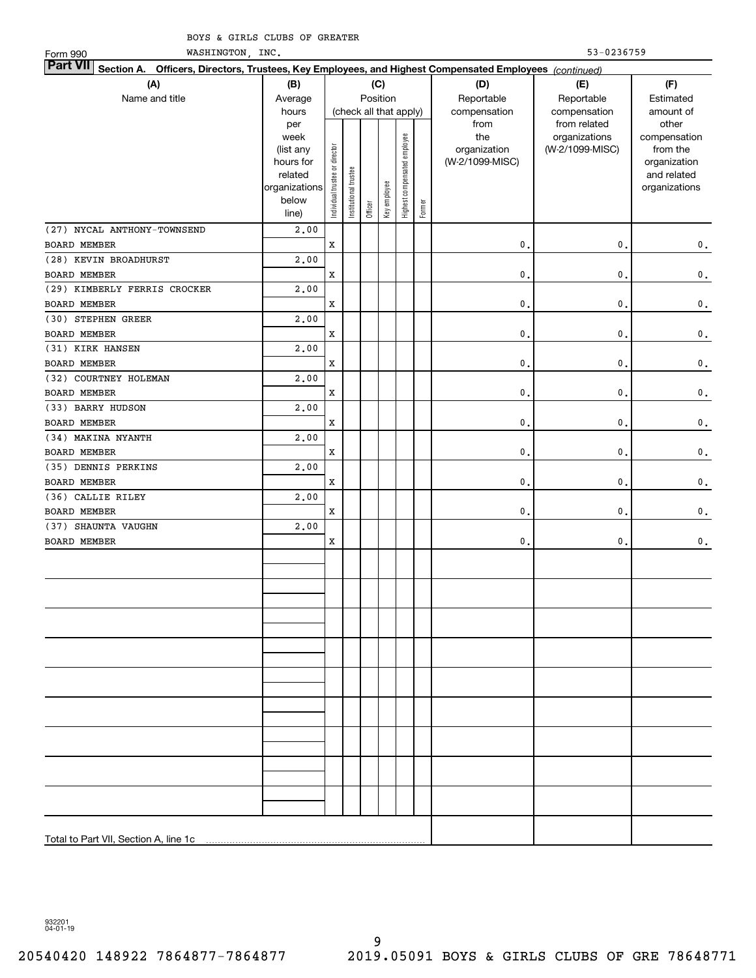WASHINGTON, INC. 53-0236759

| WASHINGTON, INC.<br>Form 990                                                                                              |                          |                                |                       |         |                        |                              |        |                 | 53-0236759       |                              |
|---------------------------------------------------------------------------------------------------------------------------|--------------------------|--------------------------------|-----------------------|---------|------------------------|------------------------------|--------|-----------------|------------------|------------------------------|
| <b>Part VII</b><br>Section A. Officers, Directors, Trustees, Key Employees, and Highest Compensated Employees (continued) |                          |                                |                       |         |                        |                              |        |                 |                  |                              |
| (A)                                                                                                                       | (B)                      |                                |                       |         | (C)                    |                              |        | (D)             | (E)              | (F)                          |
| Name and title                                                                                                            | Average                  |                                |                       |         | Position               |                              |        | Reportable      | Reportable       | Estimated                    |
|                                                                                                                           | hours                    |                                |                       |         | (check all that apply) |                              |        | compensation    | compensation     | amount of                    |
|                                                                                                                           | per                      |                                |                       |         |                        |                              |        | from            | from related     | other                        |
|                                                                                                                           | week                     |                                |                       |         |                        |                              |        | the             | organizations    | compensation                 |
|                                                                                                                           | (list any                |                                |                       |         |                        |                              |        | organization    | (W-2/1099-MISC)  | from the                     |
|                                                                                                                           | hours for                |                                |                       |         |                        |                              |        | (W-2/1099-MISC) |                  | organization                 |
|                                                                                                                           | related<br>organizations |                                |                       |         |                        |                              |        |                 |                  | and related<br>organizations |
|                                                                                                                           | below                    |                                |                       |         |                        |                              |        |                 |                  |                              |
|                                                                                                                           | line)                    | Individual trustee or director | Institutional trustee | Officer | Key employee           | Highest compensated employee | Former |                 |                  |                              |
| (27) NYCAL ANTHONY-TOWNSEND                                                                                               | 2,00                     |                                |                       |         |                        |                              |        |                 |                  |                              |
| <b>BOARD MEMBER</b>                                                                                                       |                          | $\mathbf X$                    |                       |         |                        |                              |        | 0.              | $\mathbf{0}$ .   | $\mathbf 0$ .                |
| (28) KEVIN BROADHURST                                                                                                     | 2,00                     |                                |                       |         |                        |                              |        |                 |                  |                              |
|                                                                                                                           |                          | X                              |                       |         |                        |                              |        | 0.              | $\mathbf{0}$ .   |                              |
| BOARD MEMBER                                                                                                              |                          |                                |                       |         |                        |                              |        |                 |                  | $\mathbf 0$ .                |
| (29) KIMBERLY FERRIS CROCKER                                                                                              | 2,00                     |                                |                       |         |                        |                              |        |                 |                  |                              |
| BOARD MEMBER                                                                                                              |                          | X                              |                       |         |                        |                              |        | 0.              | $\mathbf{0}$ .   | $\mathbf 0$ .                |
| (30) STEPHEN GREER                                                                                                        | 2,00                     |                                |                       |         |                        |                              |        |                 |                  |                              |
| BOARD MEMBER                                                                                                              |                          | $\mathbf x$                    |                       |         |                        |                              |        | 0.              | $\mathbf{0}$ .   | $\mathbf 0$ .                |
| (31) KIRK HANSEN                                                                                                          | 2,00                     |                                |                       |         |                        |                              |        |                 |                  |                              |
| BOARD MEMBER                                                                                                              |                          | $\mathbf x$                    |                       |         |                        |                              |        | 0.              | $\mathbf{0}$ .   | $\mathbf 0$ .                |
| (32) COURTNEY HOLEMAN                                                                                                     | 2,00                     |                                |                       |         |                        |                              |        |                 |                  |                              |
| BOARD MEMBER                                                                                                              |                          | $\mathbf x$                    |                       |         |                        |                              |        | 0.              | $\mathbf{0}$ .   | $\mathbf 0$ .                |
| (33) BARRY HUDSON                                                                                                         | 2,00                     |                                |                       |         |                        |                              |        |                 |                  |                              |
| BOARD MEMBER                                                                                                              |                          | X                              |                       |         |                        |                              |        | 0.              | $\mathbf{0}$ .   | $\mathbf 0$ .                |
| (34) MAKINA NYANTH                                                                                                        | 2,00                     |                                |                       |         |                        |                              |        |                 |                  |                              |
| BOARD MEMBER                                                                                                              |                          | X                              |                       |         |                        |                              |        | 0.              | $\mathbf{0}$ .   | $\mathbf 0$ .                |
| (35) DENNIS PERKINS                                                                                                       | 2,00                     |                                |                       |         |                        |                              |        |                 |                  |                              |
| BOARD MEMBER                                                                                                              |                          | X                              |                       |         |                        |                              |        | 0.              | $\mathbf{0}$ .   | $\mathbf 0$ .                |
| (36) CALLIE RILEY                                                                                                         | 2,00                     |                                |                       |         |                        |                              |        |                 |                  |                              |
| BOARD MEMBER                                                                                                              |                          | X                              |                       |         |                        |                              |        | $\mathbf 0$ .   | $\mathbf{0}$ .   | $\mathbf 0$ .                |
| (37) SHAUNTA VAUGHN                                                                                                       | 2,00                     |                                |                       |         |                        |                              |        |                 |                  |                              |
| <b>BOARD MEMBER</b>                                                                                                       |                          | X                              |                       |         |                        |                              |        | 0.              | $\mathfrak{o}$ . | $\mathbf 0$ .                |
|                                                                                                                           |                          |                                |                       |         |                        |                              |        |                 |                  |                              |
|                                                                                                                           |                          |                                |                       |         |                        |                              |        |                 |                  |                              |
|                                                                                                                           |                          |                                |                       |         |                        |                              |        |                 |                  |                              |
|                                                                                                                           |                          |                                |                       |         |                        |                              |        |                 |                  |                              |
|                                                                                                                           |                          |                                |                       |         |                        |                              |        |                 |                  |                              |
|                                                                                                                           |                          |                                |                       |         |                        |                              |        |                 |                  |                              |
|                                                                                                                           |                          |                                |                       |         |                        |                              |        |                 |                  |                              |
|                                                                                                                           |                          |                                |                       |         |                        |                              |        |                 |                  |                              |
|                                                                                                                           |                          |                                |                       |         |                        |                              |        |                 |                  |                              |
|                                                                                                                           |                          |                                |                       |         |                        |                              |        |                 |                  |                              |
|                                                                                                                           |                          |                                |                       |         |                        |                              |        |                 |                  |                              |
|                                                                                                                           |                          |                                |                       |         |                        |                              |        |                 |                  |                              |
|                                                                                                                           |                          |                                |                       |         |                        |                              |        |                 |                  |                              |
|                                                                                                                           |                          |                                |                       |         |                        |                              |        |                 |                  |                              |
|                                                                                                                           |                          |                                |                       |         |                        |                              |        |                 |                  |                              |
|                                                                                                                           |                          |                                |                       |         |                        |                              |        |                 |                  |                              |
|                                                                                                                           |                          |                                |                       |         |                        |                              |        |                 |                  |                              |
|                                                                                                                           |                          |                                |                       |         |                        |                              |        |                 |                  |                              |
|                                                                                                                           |                          |                                |                       |         |                        |                              |        |                 |                  |                              |
|                                                                                                                           |                          |                                |                       |         |                        |                              |        |                 |                  |                              |
|                                                                                                                           |                          |                                |                       |         |                        |                              |        |                 |                  |                              |
|                                                                                                                           |                          |                                |                       |         |                        |                              |        |                 |                  |                              |

932201 04-01-19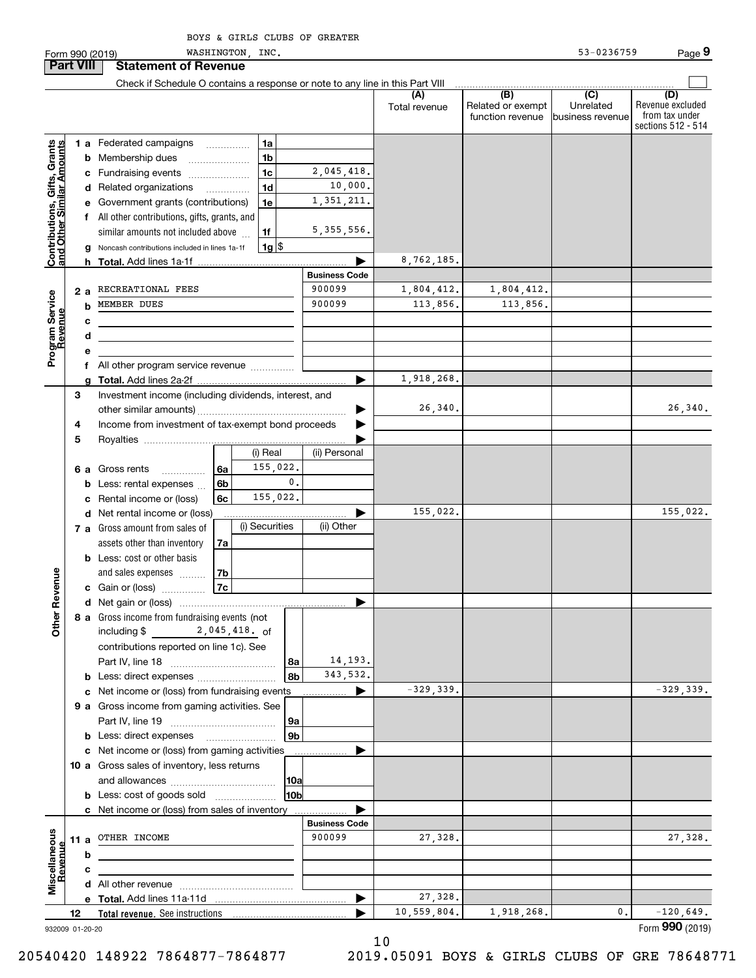WASHINGTON, INC. 53-0236759 Form 990 (2019) WASHINGTON, INC. 53-0236759 Page **Part VIII Statement of Revenue**  $\mathcal{L}^{\text{max}}$ Check if Schedule O contains a response or note to any line in this Part VIII **(A)** $\overline{(D)}$  **(B) (C) (D)** Revenue excluded Total revenue  $\vert$  Related or exempt Unrelatedfrom tax under function revenue business revenue sections 512 - 514 **Contributions, Gifts, Grants**<br>and Other Similar Amounts **1 a** Federated campaigns **Contributions, Gifts, Grants and Other Similar Amounts** ~~~~~**1ab** Membership dues \_\_\_\_\_\_\_\_\_\_\_\_\_\_\_ **1b**2,045,418. **c** Fundraising events \_\_\_\_\_\_\_\_\_\_\_\_\_\_ **1c**10,000. **d** Related organizations …………… **1d**1,351,211. **e** Government grants (contributions) **1ef** All other contributions, gifts, grants, and 5,355,556. similar amounts not included above **1f1**\$**g** Noncash contributions included in lines 1a-1f 1g 8,762,185. **h Total.**  Add lines 1a-1f | **Business Code** 1,804,412. **a2**RECREATIONAL FEES 900099 1,804,412. Program Service<br>Revenue **Program Service** 113,856. **b**MEMBER DUES 900099 113,856. **Revenue cdef** All other program service revenue .............. 1,918,268. **gTotal.**  Add lines 2a-2f | Investment income (including dividends, interest, and **3**26,340. 26,340. …… ▶ other similar amounts) ~~~~~~~~~~~~~~~~~Income from investment of tax-exempt bond proceeds **4** $\blacksquare$ **5**Royalties | (i) Real (ii) Personal 155,022. **6 a** Gross rents **6a**~~~~~0.**6bb** Less: rental expenses  $\ldots$ 155,022. **6cc** Rental income or (loss) 155,022. 155,022.  $\blacktriangleright$ **d** Net rental income or (loss) (i) Securities (ii) Other **7 a** Gross amount from sales of assets other than inventory **7ab** Less: cost or other basis **Other Revenue Other Revenue** and sales expenses **7b7cc** Gain or (loss) …………… **d**Net gain or (loss) | **8 a** Gross income from fundraising events (not including  $\$ \qquad \qquad$  2 , 045 , 418  $\qquad$  of contributions reported on line 1c). See 14,193. Part IV, line 18 ~~~~~~~~~~~~ **8a**343,532. **8bb** Less: direct expenses  $^{(1)}$  $-329,339.$   $-329,339.$ **c** Net income or (loss) from fundraising events **............... 9 a** Gross income from gaming activities. See Part IV, line 19 ~~~~~~~~~~~~ **9a9bb** Less: direct expenses \_\_\_\_\_\_\_\_\_\_\_\_\_\_\_\_\_\_  $\blacktriangleright$ **c** Net income or (loss) from gaming activities . . . . . . . . . . . . . . . . . . **10 a** Gross sales of inventory, less returns and allowances ~~~~~~~~~~~~ **10a10bb** Less: cost of goods sold  $^{[1]}$  .....................  $\blacksquare$ **c** Net income or (loss) from sales of inventory . . . . . . . . . . . . . . . . . . **Business Code Miscellaneous** Miscellaneous 27,328. 27,328. **11 a** OTHER INCOME 900099 Revenue **Revenue bcd** All other revenue  $\ldots$   $\ldots$   $\ldots$   $\ldots$   $\ldots$   $\ldots$   $\ldots$   $\ldots$ 27,328. **Total.**  Add lines 11a-11d | **e** $10,559,804.$   $1,918,268.$  0.  $-120,649.$ …… ▶ **12Total revenue.**  See instructions

932009 01-20-20

10

20540420 148922 7864877-7864877 2019.05091 BOYS & GIRLS CLUBS OF GRE 78648771

Form (2019) **990**

**9**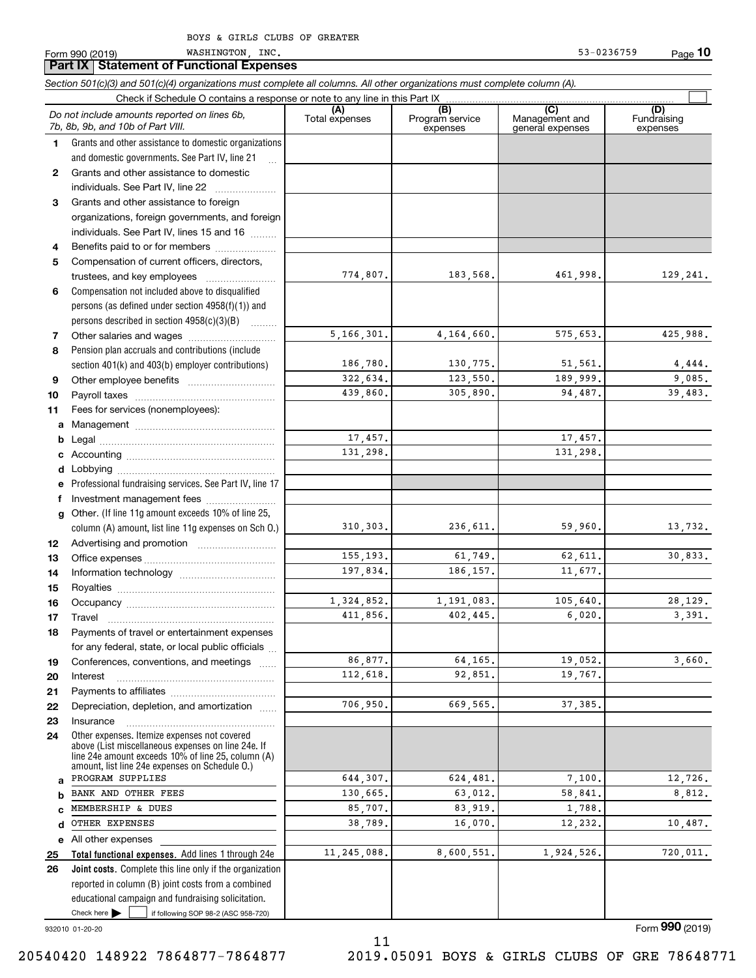| WASHINGTON, INC.<br>Form 990 (2019)<br><b>Part IX Statement of Functional Expenses</b>                                     |                          |                                    | 53-0236759                                | $Page$ 10                          |
|----------------------------------------------------------------------------------------------------------------------------|--------------------------|------------------------------------|-------------------------------------------|------------------------------------|
| Section 501(c)(3) and 501(c)(4) organizations must complete all columns. All other organizations must complete column (A). |                          |                                    |                                           |                                    |
| Check if Schedule O contains a response or note to any line in this Part IX                                                |                          |                                    |                                           |                                    |
| Do not include amounts reported on lines 6b,<br>7b, 8b, 9b, and 10b of Part VIII.                                          | (A)<br>Total expenses    | (B)<br>Program service<br>expenses | (C)<br>Management and<br>general expenses | (D)<br>Fundraising<br>expenses     |
| Grants and other assistance to domestic organizations<br>$\mathbf 1$                                                       |                          |                                    |                                           |                                    |
| and domestic governments. See Part IV, line 21                                                                             |                          |                                    |                                           |                                    |
| Grants and other assistance to domestic<br>$\mathbf{2}$                                                                    |                          |                                    |                                           |                                    |
| individuals. See Part IV, line 22                                                                                          |                          |                                    |                                           |                                    |
| Grants and other assistance to foreign<br>3                                                                                |                          |                                    |                                           |                                    |
| organizations, foreign governments, and foreign                                                                            |                          |                                    |                                           |                                    |
| individuals. See Part IV, lines 15 and 16                                                                                  |                          |                                    |                                           |                                    |
| Benefits paid to or for members<br>4                                                                                       |                          |                                    |                                           |                                    |
| Compensation of current officers, directors,<br>5                                                                          |                          |                                    |                                           |                                    |
| trustees, and key employees                                                                                                | 774,807.                 | 183,568.                           | 461,998.                                  | 129,241.                           |
| Compensation not included above to disqualified<br>6                                                                       |                          |                                    |                                           |                                    |
| persons (as defined under section 4958(f)(1)) and                                                                          |                          |                                    |                                           |                                    |
| persons described in section 4958(c)(3)(B)                                                                                 |                          |                                    |                                           |                                    |
| 7                                                                                                                          | $\overline{5,166,301}$ . | 4,164,660.                         | 575,653.                                  | 425,988.                           |
| Pension plan accruals and contributions (include<br>8                                                                      |                          |                                    |                                           |                                    |
| section 401(k) and 403(b) employer contributions)                                                                          | 186,780.                 | 130,775.                           | 51, 561.                                  |                                    |
| 9                                                                                                                          | 322,634.                 | 123,550.                           | 189,999.                                  | $\frac{4,444.}{9,085.}$<br>39,483. |
| 10                                                                                                                         | 439,860.                 | 305,890.                           | 94,487.                                   |                                    |
| Fees for services (nonemployees):<br>11                                                                                    |                          |                                    |                                           |                                    |
| a                                                                                                                          |                          |                                    |                                           |                                    |
| b                                                                                                                          | 17,457.                  |                                    | 17,457.                                   |                                    |
| с                                                                                                                          | 131,298.                 |                                    | 131,298.                                  |                                    |
| d                                                                                                                          |                          |                                    |                                           |                                    |
| Professional fundraising services. See Part IV, line 17<br>е                                                               |                          |                                    |                                           |                                    |
| Investment management fees<br>f                                                                                            |                          |                                    |                                           |                                    |
| Other. (If line 11g amount exceeds 10% of line 25,<br>a                                                                    |                          |                                    |                                           |                                    |
| column (A) amount, list line 11g expenses on Sch O.)                                                                       | 310, 303.                | 236,611.                           | 59,960.                                   | 13,732.                            |
| 12                                                                                                                         |                          |                                    |                                           |                                    |
| 13                                                                                                                         | 155, 193.                | 61,749.                            | 62,611.                                   | 30,833.                            |
| 14                                                                                                                         | 197,834.                 | 186,157.                           | 11,677.                                   |                                    |
| 15                                                                                                                         |                          |                                    |                                           |                                    |
| 16                                                                                                                         | 1,324,852.               | 1,191,083.                         | 105,640.                                  | 28, 129.                           |
| 17<br>Travel                                                                                                               | 411,856.                 | 402,445.                           | 6,020.                                    | 3,391                              |
| Payments of travel or entertainment expenses<br>18                                                                         |                          |                                    |                                           |                                    |
| for any federal, state, or local public officials                                                                          |                          |                                    |                                           |                                    |
| Conferences, conventions, and meetings<br>19                                                                               | 86,877.                  | 64,165.                            | 19,052.                                   | 3,660.                             |
| 20<br>Interest                                                                                                             | 112,618.                 | 92,851.                            | 19,767.                                   |                                    |
| 21                                                                                                                         |                          |                                    |                                           |                                    |
| Depreciation, depletion, and amortization<br>22                                                                            | 706,950.                 | 669,565.                           | 37, 385.                                  |                                    |
| 23<br>Insurance                                                                                                            |                          |                                    |                                           |                                    |

644,307. 130,665. 85,707. 38,789.

11,245,088.

11

932010 01-20-20

 $Check here$ 

All other expenses

PROGRAM SUPPLIES BANK AND OTHER FEES MEMBERSHIP & DUES OTHER EXPENSES

**abcde25 26**

Check here  $\bullet$  if following SOP 98-2 (ASC 958-720)

reported in column (B) joint costs from a combined educational campaign and fundraising solicitation.

**Total functional expenses.**  Add lines 1 through 24e **Joint costs.** Complete this line only if the organization

Other expenses. Itemize expenses not covered above (List miscellaneous expenses on line 24e. If line 24e amount exceeds 10% of line 25, column (A) amount, list line 24e expenses on Schedule O.)

Form (2019) **990**

20540420 148922 7864877-7864877 2019.05091 BOYS & GIRLS CLUBS OF GRE 78648771

83,919. 1,788.

624,481. 7,100. 12,726. 63,012. 58,841. 8,812.

16,070. 12,232. 10,487.

8,600,551. 1,924,526. 720,011.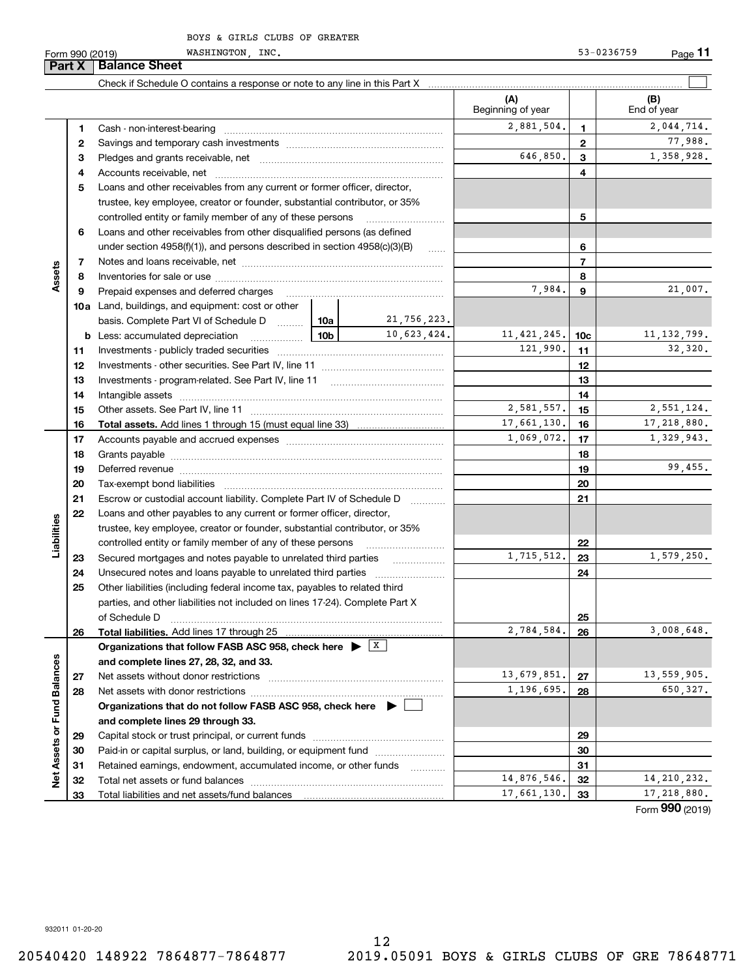|                             | Part X | <b>Balance Sheet</b>                                                                        |          |               |                          |                 |                    |
|-----------------------------|--------|---------------------------------------------------------------------------------------------|----------|---------------|--------------------------|-----------------|--------------------|
|                             |        |                                                                                             |          |               |                          |                 |                    |
|                             |        |                                                                                             |          |               | (A)<br>Beginning of year |                 | (B)<br>End of year |
|                             | 1      |                                                                                             |          |               | 2,881,504.               | 1               | 2,044,714.         |
|                             | 2      |                                                                                             |          |               |                          | $\mathbf{2}$    | 77,988.            |
|                             | з      |                                                                                             | 646,850. | 3             | 1,358,928.               |                 |                    |
|                             | 4      |                                                                                             |          | 4             |                          |                 |                    |
|                             | 5      | Loans and other receivables from any current or former officer, director,                   |          |               |                          |                 |                    |
|                             |        | trustee, key employee, creator or founder, substantial contributor, or 35%                  |          |               |                          |                 |                    |
|                             |        | controlled entity or family member of any of these persons                                  |          |               |                          | 5               |                    |
|                             | 6      | Loans and other receivables from other disqualified persons (as defined                     |          |               |                          |                 |                    |
|                             |        | under section $4958(f)(1)$ , and persons described in section $4958(c)(3)(B)$               |          | 1.1.1.1       |                          | 6               |                    |
|                             | 7      |                                                                                             |          |               |                          | $\overline{7}$  |                    |
| Assets                      | 8      |                                                                                             |          |               |                          | 8               |                    |
|                             | 9      | Prepaid expenses and deferred charges                                                       |          |               | 7,984.                   | 9               | 21,007.            |
|                             |        | <b>10a</b> Land, buildings, and equipment: cost or other                                    |          |               |                          |                 |                    |
|                             |        | basis. Complete Part VI of Schedule D  10a                                                  |          | 21, 756, 223. |                          |                 |                    |
|                             | b      | <u> 10b</u><br>Less: accumulated depreciation                                               |          | 10,623,424.   | 11, 421, 245.            | 10 <sub>c</sub> | 11, 132, 799.      |
|                             | 11     |                                                                                             | 121,990. | 11            | 32,320.                  |                 |                    |
|                             | 12     |                                                                                             |          | 12            |                          |                 |                    |
|                             | 13     |                                                                                             |          |               | 13                       |                 |                    |
|                             | 14     |                                                                                             |          |               |                          | 14              |                    |
|                             | 15     |                                                                                             |          |               | 2,581,557.               | 15              | 2,551,124.         |
|                             | 16     |                                                                                             |          |               | 17,661,130.              | 16              | 17,218,880.        |
|                             | 17     |                                                                                             |          |               | 1,069,072.               | 17              | 1,329,943.         |
|                             | 18     |                                                                                             |          |               | 18                       |                 |                    |
|                             | 19     |                                                                                             |          | 19            | 99,455.                  |                 |                    |
|                             | 20     |                                                                                             |          |               | 20                       |                 |                    |
|                             | 21     | Escrow or custodial account liability. Complete Part IV of Schedule D                       | .        |               | 21                       |                 |                    |
|                             | 22     | Loans and other payables to any current or former officer, director,                        |          |               |                          |                 |                    |
| Liabilities                 |        | trustee, key employee, creator or founder, substantial contributor, or 35%                  |          |               |                          |                 |                    |
|                             |        | controlled entity or family member of any of these persons                                  |          |               |                          | 22              |                    |
|                             | 23     | Secured mortgages and notes payable to unrelated third parties                              |          |               | 1,715,512.               | 23              | 1,579,250.         |
|                             | 24     | Unsecured notes and loans payable to unrelated third parties                                |          |               |                          | 24              |                    |
|                             | 25     | Other liabilities (including federal income tax, payables to related third                  |          |               |                          |                 |                    |
|                             |        | parties, and other liabilities not included on lines 17-24). Complete Part X                |          |               |                          |                 |                    |
|                             |        | of Schedule D                                                                               |          |               |                          | 25              |                    |
|                             | 26     | Total liabilities. Add lines 17 through 25                                                  |          |               | 2,784,584.               | 26              | 3,008,648.         |
|                             |        | Organizations that follow FASB ASC 958, check here $\blacktriangleright$ $\boxed{\text{X}}$ |          |               |                          |                 |                    |
|                             |        | and complete lines 27, 28, 32, and 33.                                                      |          |               | 13,679,851.              |                 | 13,559,905.        |
|                             | 27     | Net assets without donor restrictions                                                       |          |               | 1,196,695.               | 27              | 650,327.           |
|                             | 28     | Net assets with donor restrictions                                                          |          |               |                          | 28              |                    |
|                             |        | Organizations that do not follow FASB ASC 958, check here $\blacktriangleright$             |          |               |                          |                 |                    |
| Net Assets or Fund Balances |        | and complete lines 29 through 33.                                                           |          |               |                          |                 |                    |
|                             | 29     |                                                                                             |          |               |                          | 29              |                    |
|                             | 30     | Paid-in or capital surplus, or land, building, or equipment fund                            |          |               |                          | 30<br>31        |                    |
|                             | 31     | Retained earnings, endowment, accumulated income, or other funds                            |          | .             | 14,876,546.              | 32              | 14, 210, 232.      |
|                             | 32     |                                                                                             |          |               | 17,661,130.              | 33              | 17,218,880.        |
|                             | 33     |                                                                                             |          |               |                          |                 | $\overline{2}$     |

Form (2019) **990**

932011 01-20-20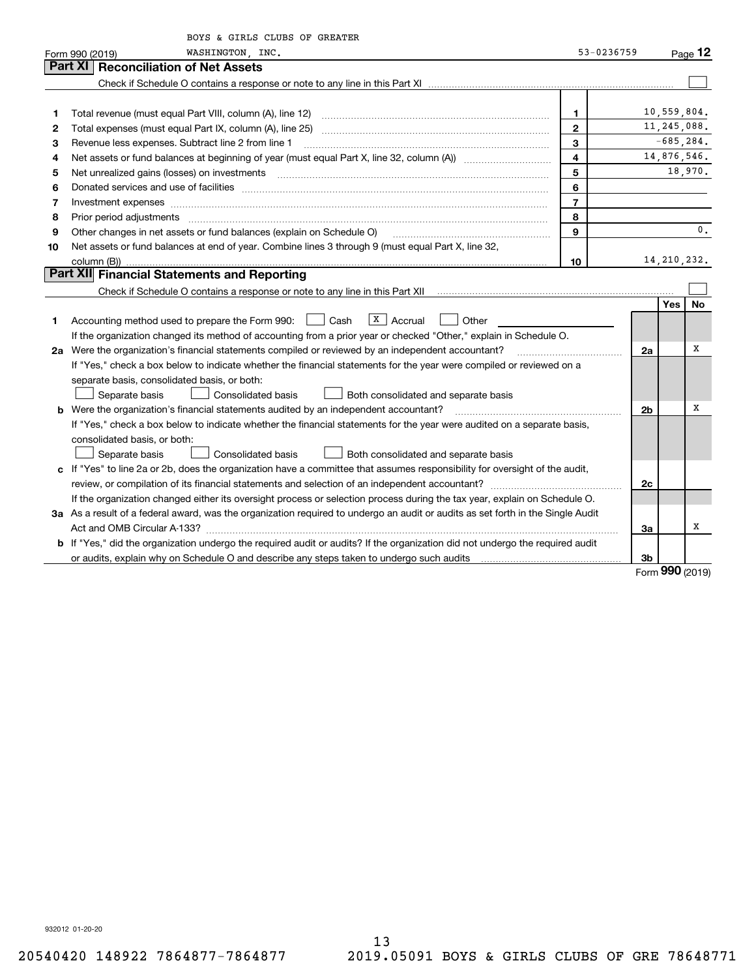|    | BOYS & GIRLS CLUBS OF GREATER                                                                                                   |                |                |               |              |
|----|---------------------------------------------------------------------------------------------------------------------------------|----------------|----------------|---------------|--------------|
|    | WASHINGTON, INC.<br>Form 990 (2019)                                                                                             | 53-0236759     |                |               | Page 12      |
|    | Reconciliation of Net Assets<br>Part XI                                                                                         |                |                |               |              |
|    |                                                                                                                                 |                |                |               |              |
|    |                                                                                                                                 |                |                |               |              |
| 1  |                                                                                                                                 | 1              |                | 10,559,804.   |              |
| 2  |                                                                                                                                 | $\overline{2}$ |                | 11,245,088.   |              |
| 3  | Revenue less expenses. Subtract line 2 from line 1                                                                              | 3              |                |               | $-685, 284.$ |
| 4  |                                                                                                                                 | 4              |                |               | 14,876,546.  |
| 5  |                                                                                                                                 | 5              |                |               | 18,970.      |
| 6  |                                                                                                                                 | 6              |                |               |              |
| 7  | Investment expenses www.communication.com/www.communication.com/www.communication.com/www.com                                   | $\overline{7}$ |                |               |              |
| 8  | Prior period adjustments                                                                                                        | 8              |                |               |              |
| 9  | Other changes in net assets or fund balances (explain on Schedule O)                                                            | 9              |                |               | 0.           |
| 10 | Net assets or fund balances at end of year. Combine lines 3 through 9 (must equal Part X, line 32,                              |                |                |               |              |
|    | column (B))                                                                                                                     | 10             |                | 14, 210, 232. |              |
|    | <b>Part XII</b> Financial Statements and Reporting                                                                              |                |                |               |              |
|    |                                                                                                                                 |                |                |               |              |
|    |                                                                                                                                 |                |                | <b>Yes</b>    | <b>No</b>    |
| 1  | $X$ Accrual<br>Accounting method used to prepare the Form 990: <u>[16</u> ] Cash<br>Other                                       |                |                |               |              |
|    | If the organization changed its method of accounting from a prior year or checked "Other," explain in Schedule O.               |                |                |               |              |
|    | 2a Were the organization's financial statements compiled or reviewed by an independent accountant?                              |                | 2a             |               | х            |
|    | If "Yes," check a box below to indicate whether the financial statements for the year were compiled or reviewed on a            |                |                |               |              |
|    | separate basis, consolidated basis, or both:                                                                                    |                |                |               |              |
|    | Separate basis<br><b>Consolidated basis</b><br>Both consolidated and separate basis                                             |                |                |               |              |
|    | <b>b</b> Were the organization's financial statements audited by an independent accountant?                                     |                | 2 <sub>b</sub> |               | х            |
|    | If "Yes," check a box below to indicate whether the financial statements for the year were audited on a separate basis,         |                |                |               |              |
|    | consolidated basis, or both:                                                                                                    |                |                |               |              |
|    | Separate basis<br>Consolidated basis<br>Both consolidated and separate basis                                                    |                |                |               |              |
|    | c If "Yes" to line 2a or 2b, does the organization have a committee that assumes responsibility for oversight of the audit,     |                |                |               |              |
|    |                                                                                                                                 |                | 2c             |               |              |
|    | If the organization changed either its oversight process or selection process during the tax year, explain on Schedule O.       |                |                |               |              |
|    | 3a As a result of a federal award, was the organization required to undergo an audit or audits as set forth in the Single Audit |                |                |               |              |
|    |                                                                                                                                 |                | За             |               | Х            |
|    | b If "Yes," did the organization undergo the required audit or audits? If the organization did not undergo the required audit   |                |                |               |              |
|    |                                                                                                                                 |                | 3b             |               |              |
|    |                                                                                                                                 |                |                | ററെ പ         |              |

Form (2019) **990**

932012 01-20-20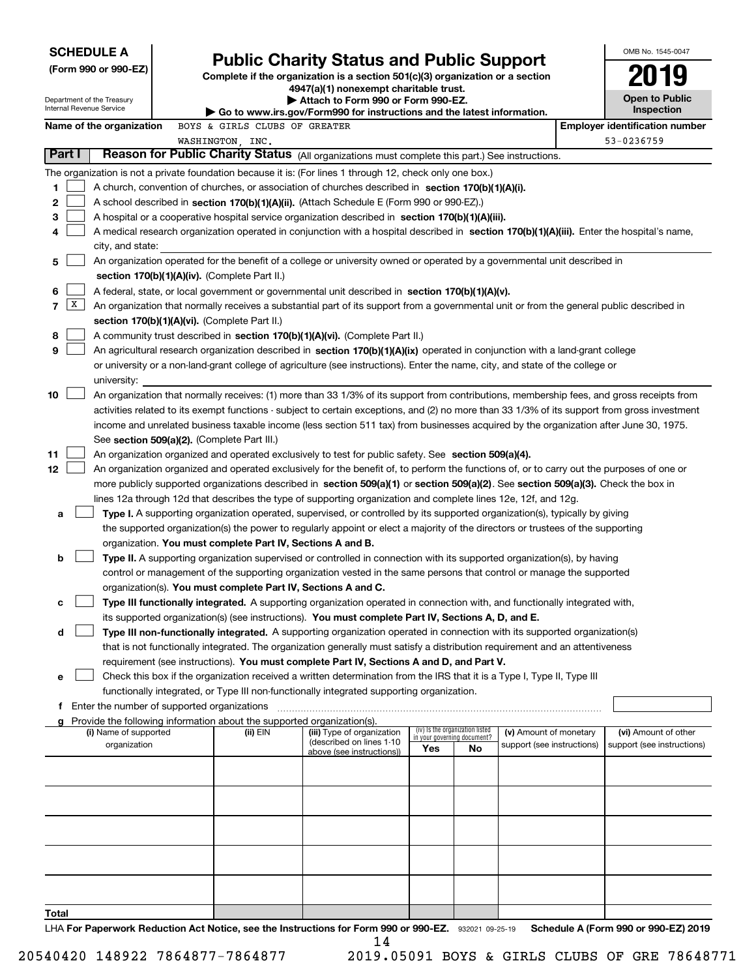| <b>SCHEDULE A</b>                                      |                                                                                                                                                                                                                                               | <b>Public Charity Status and Public Support</b>                                 |                                                                |           |                            |                                       | OMB No. 1545-0047                   |  |
|--------------------------------------------------------|-----------------------------------------------------------------------------------------------------------------------------------------------------------------------------------------------------------------------------------------------|---------------------------------------------------------------------------------|----------------------------------------------------------------|-----------|----------------------------|---------------------------------------|-------------------------------------|--|
| (Form 990 or 990-EZ)                                   |                                                                                                                                                                                                                                               | Complete if the organization is a section $501(c)(3)$ organization or a section |                                                                |           |                            |                                       |                                     |  |
|                                                        |                                                                                                                                                                                                                                               | 4947(a)(1) nonexempt charitable trust.                                          |                                                                |           |                            |                                       |                                     |  |
| Department of the Treasury<br>Internal Revenue Service |                                                                                                                                                                                                                                               | Attach to Form 990 or Form 990-EZ.                                              |                                                                |           |                            |                                       | <b>Open to Public</b><br>Inspection |  |
|                                                        |                                                                                                                                                                                                                                               | Go to www.irs.gov/Form990 for instructions and the latest information.          |                                                                |           |                            | <b>Employer identification number</b> |                                     |  |
| Name of the organization                               | BOYS & GIRLS CLUBS OF GREATER<br>WASHINGTON, INC.                                                                                                                                                                                             |                                                                                 |                                                                |           |                            |                                       | 53-0236759                          |  |
| Part I                                                 | Reason for Public Charity Status (All organizations must complete this part.) See instructions.                                                                                                                                               |                                                                                 |                                                                |           |                            |                                       |                                     |  |
|                                                        | The organization is not a private foundation because it is: (For lines 1 through 12, check only one box.)                                                                                                                                     |                                                                                 |                                                                |           |                            |                                       |                                     |  |
| 1                                                      | A church, convention of churches, or association of churches described in section 170(b)(1)(A)(i).                                                                                                                                            |                                                                                 |                                                                |           |                            |                                       |                                     |  |
| 2                                                      | A school described in section 170(b)(1)(A)(ii). (Attach Schedule E (Form 990 or 990-EZ).)                                                                                                                                                     |                                                                                 |                                                                |           |                            |                                       |                                     |  |
| 3                                                      | A hospital or a cooperative hospital service organization described in section $170(b)(1)(A)(iii)$ .                                                                                                                                          |                                                                                 |                                                                |           |                            |                                       |                                     |  |
| 4                                                      | A medical research organization operated in conjunction with a hospital described in section 170(b)(1)(A)(iii). Enter the hospital's name,                                                                                                    |                                                                                 |                                                                |           |                            |                                       |                                     |  |
| city, and state:                                       |                                                                                                                                                                                                                                               |                                                                                 |                                                                |           |                            |                                       |                                     |  |
| 5                                                      | An organization operated for the benefit of a college or university owned or operated by a governmental unit described in                                                                                                                     |                                                                                 |                                                                |           |                            |                                       |                                     |  |
|                                                        | section 170(b)(1)(A)(iv). (Complete Part II.)                                                                                                                                                                                                 |                                                                                 |                                                                |           |                            |                                       |                                     |  |
| 6                                                      | A federal, state, or local government or governmental unit described in section 170(b)(1)(A)(v).                                                                                                                                              |                                                                                 |                                                                |           |                            |                                       |                                     |  |
| X<br>7                                                 | An organization that normally receives a substantial part of its support from a governmental unit or from the general public described in                                                                                                     |                                                                                 |                                                                |           |                            |                                       |                                     |  |
| 8                                                      | section 170(b)(1)(A)(vi). (Complete Part II.)<br>A community trust described in section 170(b)(1)(A)(vi). (Complete Part II.)                                                                                                                 |                                                                                 |                                                                |           |                            |                                       |                                     |  |
| 9                                                      | An agricultural research organization described in section 170(b)(1)(A)(ix) operated in conjunction with a land-grant college                                                                                                                 |                                                                                 |                                                                |           |                            |                                       |                                     |  |
|                                                        | or university or a non-land-grant college of agriculture (see instructions). Enter the name, city, and state of the college or                                                                                                                |                                                                                 |                                                                |           |                            |                                       |                                     |  |
| university:                                            |                                                                                                                                                                                                                                               |                                                                                 |                                                                |           |                            |                                       |                                     |  |
| 10                                                     | An organization that normally receives: (1) more than 33 1/3% of its support from contributions, membership fees, and gross receipts from                                                                                                     |                                                                                 |                                                                |           |                            |                                       |                                     |  |
|                                                        | activities related to its exempt functions - subject to certain exceptions, and (2) no more than 33 1/3% of its support from gross investment                                                                                                 |                                                                                 |                                                                |           |                            |                                       |                                     |  |
|                                                        | income and unrelated business taxable income (less section 511 tax) from businesses acquired by the organization after June 30, 1975.                                                                                                         |                                                                                 |                                                                |           |                            |                                       |                                     |  |
|                                                        | See section 509(a)(2). (Complete Part III.)                                                                                                                                                                                                   |                                                                                 |                                                                |           |                            |                                       |                                     |  |
| 11                                                     | An organization organized and operated exclusively to test for public safety. See section 509(a)(4).                                                                                                                                          |                                                                                 |                                                                |           |                            |                                       |                                     |  |
| 12                                                     | An organization organized and operated exclusively for the benefit of, to perform the functions of, or to carry out the purposes of one or                                                                                                    |                                                                                 |                                                                |           |                            |                                       |                                     |  |
|                                                        | more publicly supported organizations described in section 509(a)(1) or section 509(a)(2). See section 509(a)(3). Check the box in                                                                                                            |                                                                                 |                                                                |           |                            |                                       |                                     |  |
| а                                                      | lines 12a through 12d that describes the type of supporting organization and complete lines 12e, 12f, and 12g.<br>Type I. A supporting organization operated, supervised, or controlled by its supported organization(s), typically by giving |                                                                                 |                                                                |           |                            |                                       |                                     |  |
|                                                        | the supported organization(s) the power to regularly appoint or elect a majority of the directors or trustees of the supporting                                                                                                               |                                                                                 |                                                                |           |                            |                                       |                                     |  |
|                                                        | organization. You must complete Part IV, Sections A and B.                                                                                                                                                                                    |                                                                                 |                                                                |           |                            |                                       |                                     |  |
| b                                                      | Type II. A supporting organization supervised or controlled in connection with its supported organization(s), by having                                                                                                                       |                                                                                 |                                                                |           |                            |                                       |                                     |  |
|                                                        | control or management of the supporting organization vested in the same persons that control or manage the supported                                                                                                                          |                                                                                 |                                                                |           |                            |                                       |                                     |  |
|                                                        | organization(s). You must complete Part IV, Sections A and C.                                                                                                                                                                                 |                                                                                 |                                                                |           |                            |                                       |                                     |  |
| C                                                      | Type III functionally integrated. A supporting organization operated in connection with, and functionally integrated with,                                                                                                                    |                                                                                 |                                                                |           |                            |                                       |                                     |  |
|                                                        | its supported organization(s) (see instructions). You must complete Part IV, Sections A, D, and E.                                                                                                                                            |                                                                                 |                                                                |           |                            |                                       |                                     |  |
| d                                                      | Type III non-functionally integrated. A supporting organization operated in connection with its supported organization(s)                                                                                                                     |                                                                                 |                                                                |           |                            |                                       |                                     |  |
|                                                        | that is not functionally integrated. The organization generally must satisfy a distribution requirement and an attentiveness                                                                                                                  |                                                                                 |                                                                |           |                            |                                       |                                     |  |
| е                                                      | requirement (see instructions). You must complete Part IV, Sections A and D, and Part V.<br>Check this box if the organization received a written determination from the IRS that it is a Type I, Type II, Type III                           |                                                                                 |                                                                |           |                            |                                       |                                     |  |
|                                                        | functionally integrated, or Type III non-functionally integrated supporting organization.                                                                                                                                                     |                                                                                 |                                                                |           |                            |                                       |                                     |  |
|                                                        | f Enter the number of supported organizations                                                                                                                                                                                                 |                                                                                 |                                                                |           |                            |                                       |                                     |  |
|                                                        | Provide the following information about the supported organization(s).                                                                                                                                                                        |                                                                                 |                                                                |           |                            |                                       |                                     |  |
| (i) Name of supported                                  | (ii) EIN                                                                                                                                                                                                                                      | (iii) Type of organization<br>(described on lines 1-10                          | (iv) Is the organization listed<br>in your governing document? |           | (v) Amount of monetary     |                                       | (vi) Amount of other                |  |
| organization                                           |                                                                                                                                                                                                                                               | above (see instructions))                                                       | Yes                                                            | <b>No</b> | support (see instructions) |                                       | support (see instructions)          |  |
|                                                        |                                                                                                                                                                                                                                               |                                                                                 |                                                                |           |                            |                                       |                                     |  |
|                                                        |                                                                                                                                                                                                                                               |                                                                                 |                                                                |           |                            |                                       |                                     |  |
|                                                        |                                                                                                                                                                                                                                               |                                                                                 |                                                                |           |                            |                                       |                                     |  |
|                                                        |                                                                                                                                                                                                                                               |                                                                                 |                                                                |           |                            |                                       |                                     |  |
|                                                        |                                                                                                                                                                                                                                               |                                                                                 |                                                                |           |                            |                                       |                                     |  |
|                                                        |                                                                                                                                                                                                                                               |                                                                                 |                                                                |           |                            |                                       |                                     |  |
|                                                        |                                                                                                                                                                                                                                               |                                                                                 |                                                                |           |                            |                                       |                                     |  |
|                                                        |                                                                                                                                                                                                                                               |                                                                                 |                                                                |           |                            |                                       |                                     |  |
|                                                        |                                                                                                                                                                                                                                               |                                                                                 |                                                                |           |                            |                                       |                                     |  |
| Total                                                  |                                                                                                                                                                                                                                               |                                                                                 |                                                                |           |                            |                                       |                                     |  |
|                                                        | UA For Beneruark Poduction Act Notice, see the Instructions for Form 000 or 000-F7 000001.00.05.10 Schodule A (Form 000 or 000-F7) 2010                                                                                                       |                                                                                 |                                                                |           |                            |                                       |                                     |  |

LHA For Paperwork Reduction Act Notice, see the Instructions for Form 990 or 990-EZ. 932021 09-25-19 Schedule A (Form 990 or 990-EZ) 2019 14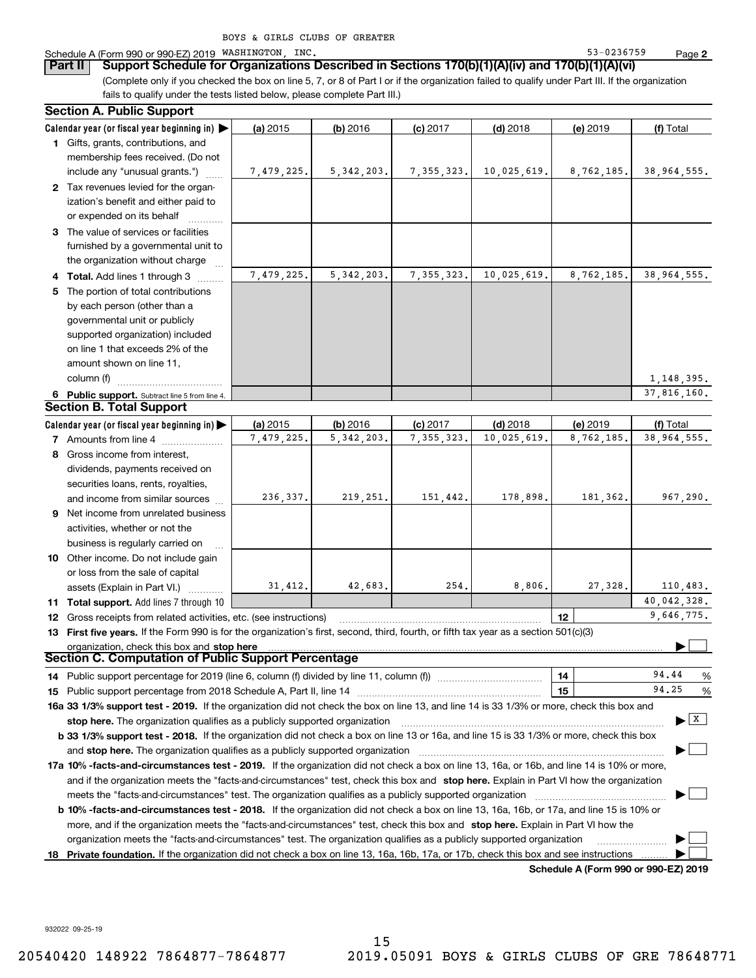|  |  |  |  | BOYS & GIRLS CLUBS OF GREATER |
|--|--|--|--|-------------------------------|
|--|--|--|--|-------------------------------|

#### Schedule A (Form 990 or 990-EZ) 2019 WASHINGTON,INC. 53-0236759 Page

**Part II Support Schedule for Organizations Described in Sections 170(b)(1)(A)(iv) and 170(b)(1)(A)(vi)**

(Complete only if you checked the box on line 5, 7, or 8 of Part I or if the organization failed to qualify under Part III. If the organization fails to qualify under the tests listed below, please complete Part III.)

|    | <b>Section A. Public Support</b>                                                                                                               |            |              |              |             |                                              |                                               |
|----|------------------------------------------------------------------------------------------------------------------------------------------------|------------|--------------|--------------|-------------|----------------------------------------------|-----------------------------------------------|
|    | Calendar year (or fiscal year beginning in)                                                                                                    | (a) 2015   | $(b)$ 2016   | $(c)$ 2017   | $(d)$ 2018  | (e) 2019                                     | (f) Total                                     |
|    | 1 Gifts, grants, contributions, and                                                                                                            |            |              |              |             |                                              |                                               |
|    | membership fees received. (Do not                                                                                                              |            |              |              |             |                                              |                                               |
|    | include any "unusual grants.")                                                                                                                 | 7,479,225. | 5,342,203.   | 7, 355, 323. | 10,025,619. | 8,762,185.                                   | 38,964,555.                                   |
|    | 2 Tax revenues levied for the organ-                                                                                                           |            |              |              |             |                                              |                                               |
|    | ization's benefit and either paid to                                                                                                           |            |              |              |             |                                              |                                               |
|    | or expended on its behalf                                                                                                                      |            |              |              |             |                                              |                                               |
|    | 3 The value of services or facilities                                                                                                          |            |              |              |             |                                              |                                               |
|    | furnished by a governmental unit to                                                                                                            |            |              |              |             |                                              |                                               |
|    | the organization without charge                                                                                                                |            |              |              |             |                                              |                                               |
|    | 4 Total. Add lines 1 through 3                                                                                                                 | 7,479,225. | 5, 342, 203. | 7, 355, 323. | 10,025,619. | 8,762,185.                                   | 38,964,555.                                   |
|    | 5 The portion of total contributions                                                                                                           |            |              |              |             |                                              |                                               |
|    | by each person (other than a                                                                                                                   |            |              |              |             |                                              |                                               |
|    | governmental unit or publicly                                                                                                                  |            |              |              |             |                                              |                                               |
|    | supported organization) included                                                                                                               |            |              |              |             |                                              |                                               |
|    | on line 1 that exceeds 2% of the                                                                                                               |            |              |              |             |                                              |                                               |
|    | amount shown on line 11,                                                                                                                       |            |              |              |             |                                              |                                               |
|    | column (f)                                                                                                                                     |            |              |              |             |                                              | 1,148,395.                                    |
|    | 6 Public support. Subtract line 5 from line 4.                                                                                                 |            |              |              |             |                                              | 37,816,160.                                   |
|    | <b>Section B. Total Support</b>                                                                                                                |            |              |              |             |                                              |                                               |
|    | Calendar year (or fiscal year beginning in)                                                                                                    | (a) 2015   | (b) 2016     | $(c)$ 2017   | $(d)$ 2018  | (e) 2019                                     | (f) Total                                     |
|    | <b>7</b> Amounts from line 4                                                                                                                   | 7,479,225. | 5, 342, 203. | 7, 355, 323, | 10,025,619. | 8,762,185.                                   | 38,964,555.                                   |
|    | 8 Gross income from interest,                                                                                                                  |            |              |              |             |                                              |                                               |
|    | dividends, payments received on                                                                                                                |            |              |              |             |                                              |                                               |
|    | securities loans, rents, royalties,                                                                                                            |            |              |              |             |                                              |                                               |
|    | and income from similar sources                                                                                                                | 236,337.   | 219,251.     | 151,442.     | 178,898.    | 181,362.                                     | 967, 290.                                     |
|    | 9 Net income from unrelated business                                                                                                           |            |              |              |             |                                              |                                               |
|    | activities, whether or not the                                                                                                                 |            |              |              |             |                                              |                                               |
|    | business is regularly carried on                                                                                                               |            |              |              |             |                                              |                                               |
|    | 10 Other income. Do not include gain                                                                                                           |            |              |              |             |                                              |                                               |
|    | or loss from the sale of capital                                                                                                               |            |              |              |             |                                              |                                               |
|    | assets (Explain in Part VI.)                                                                                                                   | 31,412.    | 42,683.      | 254.         | 8,806.      | 27,328.                                      | 110,483.                                      |
|    | 11 Total support. Add lines 7 through 10                                                                                                       |            |              |              |             |                                              | 40,042,328.                                   |
|    | 12 Gross receipts from related activities, etc. (see instructions)                                                                             |            |              |              |             | 12                                           | 9,646,775.                                    |
|    | 13 First five years. If the Form 990 is for the organization's first, second, third, fourth, or fifth tax year as a section 501(c)(3)          |            |              |              |             |                                              |                                               |
|    | organization, check this box and stop here                                                                                                     |            |              |              |             |                                              |                                               |
|    | Section C. Computation of Public Support Percentage                                                                                            |            |              |              |             |                                              |                                               |
|    | 14 Public support percentage for 2019 (line 6, column (f) divided by line 11, column (f) <i>mummeronom</i>                                     |            |              |              |             | 14                                           | 94.44<br>%                                    |
|    |                                                                                                                                                |            |              |              |             | 15                                           | 94.25<br>%                                    |
|    | 16a 33 1/3% support test - 2019. If the organization did not check the box on line 13, and line 14 is 33 1/3% or more, check this box and      |            |              |              |             |                                              |                                               |
|    | stop here. The organization qualifies as a publicly supported organization                                                                     |            |              |              |             |                                              | $\blacktriangleright$ $\overline{\mathbf{x}}$ |
|    | b 33 1/3% support test - 2018. If the organization did not check a box on line 13 or 16a, and line 15 is 33 1/3% or more, check this box       |            |              |              |             |                                              |                                               |
|    | and stop here. The organization qualifies as a publicly supported organization                                                                 |            |              |              |             |                                              |                                               |
|    | 17a 10% -facts-and-circumstances test - 2019. If the organization did not check a box on line 13, 16a, or 16b, and line 14 is 10% or more,     |            |              |              |             |                                              |                                               |
|    | and if the organization meets the "facts-and-circumstances" test, check this box and stop here. Explain in Part VI how the organization        |            |              |              |             |                                              |                                               |
|    | meets the "facts-and-circumstances" test. The organization qualifies as a publicly supported organization                                      |            |              |              |             |                                              |                                               |
|    | <b>b 10% -facts-and-circumstances test - 2018.</b> If the organization did not check a box on line 13, 16a, 16b, or 17a, and line 15 is 10% or |            |              |              |             |                                              |                                               |
|    | more, and if the organization meets the "facts-and-circumstances" test, check this box and stop here. Explain in Part VI how the               |            |              |              |             |                                              |                                               |
|    | organization meets the "facts-and-circumstances" test. The organization qualifies as a publicly supported organization                         |            |              |              |             |                                              |                                               |
| 18 | Private foundation. If the organization did not check a box on line 13, 16a, 16b, 17a, or 17b, check this box and see instructions             |            |              |              |             |                                              |                                               |
|    |                                                                                                                                                |            |              |              |             | <b>Cabadula A (Fause 000 av 000 EZ) 0040</b> |                                               |

**Schedule A (Form 990 or 990-EZ) 2019**

932022 09-25-19

**2**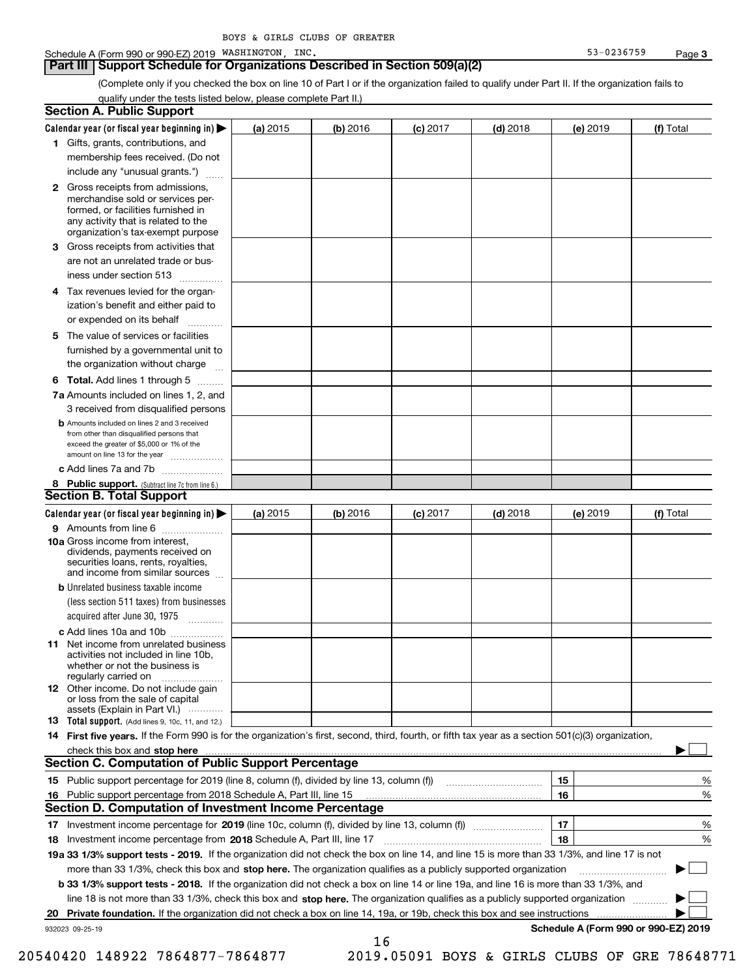| BOYS & GIRLS CLUBS OF GREATER |  |
|-------------------------------|--|
|-------------------------------|--|

#### Schedule A (Form 990 or 990-EZ) 2019 WASHINGTON,INC. 53-0236759 Page

#### **Part III Support Schedule for Organizations Described in Section 509(a)(2)**

(Complete only if you checked the box on line 10 of Part I or if the organization failed to qualify under Part II. If the organization fails to qualify under the tests listed below, please complete Part II.)

| <b>Section A. Public Support</b>                                                                                                                                                         |          |          |            |            |          |                                      |
|------------------------------------------------------------------------------------------------------------------------------------------------------------------------------------------|----------|----------|------------|------------|----------|--------------------------------------|
| Calendar year (or fiscal year beginning in)                                                                                                                                              | (a) 2015 | (b) 2016 | $(c)$ 2017 | $(d)$ 2018 | (e) 2019 | (f) Total                            |
| 1 Gifts, grants, contributions, and                                                                                                                                                      |          |          |            |            |          |                                      |
| membership fees received. (Do not                                                                                                                                                        |          |          |            |            |          |                                      |
| include any "unusual grants.")                                                                                                                                                           |          |          |            |            |          |                                      |
| 2 Gross receipts from admissions,<br>merchandise sold or services per-<br>formed, or facilities furnished in<br>any activity that is related to the<br>organization's tax-exempt purpose |          |          |            |            |          |                                      |
| 3 Gross receipts from activities that<br>are not an unrelated trade or bus-                                                                                                              |          |          |            |            |          |                                      |
| iness under section 513                                                                                                                                                                  |          |          |            |            |          |                                      |
| 4 Tax revenues levied for the organ-<br>ization's benefit and either paid to                                                                                                             |          |          |            |            |          |                                      |
| or expended on its behalf<br>5 The value of services or facilities<br>furnished by a governmental unit to                                                                                |          |          |            |            |          |                                      |
| the organization without charge                                                                                                                                                          |          |          |            |            |          |                                      |
| <b>6 Total.</b> Add lines 1 through 5                                                                                                                                                    |          |          |            |            |          |                                      |
| 7a Amounts included on lines 1, 2, and<br>3 received from disqualified persons                                                                                                           |          |          |            |            |          |                                      |
| <b>b</b> Amounts included on lines 2 and 3 received<br>from other than disqualified persons that<br>exceed the greater of \$5,000 or 1% of the<br>amount on line 13 for the year         |          |          |            |            |          |                                      |
| c Add lines 7a and 7b                                                                                                                                                                    |          |          |            |            |          |                                      |
| 8 Public support. (Subtract line 7c from line 6.)<br><b>Section B. Total Support</b>                                                                                                     |          |          |            |            |          |                                      |
| Calendar year (or fiscal year beginning in)                                                                                                                                              | (a) 2015 | (b) 2016 | $(c)$ 2017 | $(d)$ 2018 | (e) 2019 | (f) Total                            |
| 9 Amounts from line 6                                                                                                                                                                    |          |          |            |            |          |                                      |
| 10a Gross income from interest,<br>dividends, payments received on<br>securities loans, rents, royalties,<br>and income from similar sources                                             |          |          |            |            |          |                                      |
| <b>b</b> Unrelated business taxable income                                                                                                                                               |          |          |            |            |          |                                      |
| (less section 511 taxes) from businesses                                                                                                                                                 |          |          |            |            |          |                                      |
| acquired after June 30, 1975                                                                                                                                                             |          |          |            |            |          |                                      |
| c Add lines 10a and 10b                                                                                                                                                                  |          |          |            |            |          |                                      |
| 11 Net income from unrelated business<br>activities not included in line 10b.<br>whether or not the business is<br>regularly carried on                                                  |          |          |            |            |          |                                      |
| <b>12</b> Other income. Do not include gain<br>or loss from the sale of capital<br>assets (Explain in Part VI.)                                                                          |          |          |            |            |          |                                      |
| 13 Total support. (Add lines 9, 10c, 11, and 12.)                                                                                                                                        |          |          |            |            |          |                                      |
| 14 First five years. If the Form 990 is for the organization's first, second, third, fourth, or fifth tax year as a section 501(c)(3) organization,                                      |          |          |            |            |          |                                      |
| check this box and stop here <i>manual content of the content of the state of the state state state state state state</i><br><b>Section C. Computation of Public Support Percentage</b>  |          |          |            |            |          |                                      |
| 15 Public support percentage for 2019 (line 8, column (f), divided by line 13, column (f))                                                                                               |          |          |            |            | 15       | %                                    |
| 16 Public support percentage from 2018 Schedule A, Part III, line 15                                                                                                                     |          |          |            |            | 16       | %                                    |
| <b>Section D. Computation of Investment Income Percentage</b>                                                                                                                            |          |          |            |            |          |                                      |
| 17 Investment income percentage for 2019 (line 10c, column (f), divided by line 13, column (f))                                                                                          |          |          |            |            | 17       | %                                    |
| 18 Investment income percentage from 2018 Schedule A, Part III, line 17                                                                                                                  |          |          |            |            | 18       | %                                    |
| 19a 33 1/3% support tests - 2019. If the organization did not check the box on line 14, and line 15 is more than 33 1/3%, and line 17 is not                                             |          |          |            |            |          |                                      |
| more than 33 1/3%, check this box and stop here. The organization qualifies as a publicly supported organization                                                                         |          |          |            |            |          |                                      |
| <b>b 33 1/3% support tests - 2018.</b> If the organization did not check a box on line 14 or line 19a, and line 16 is more than 33 1/3%, and                                             |          |          |            |            |          |                                      |
| line 18 is not more than 33 1/3%, check this box and stop here. The organization qualifies as a publicly supported organization                                                          |          |          |            |            |          |                                      |
| 20 Private foundation. If the organization did not check a box on line 14, 19a, or 19b, check this box and see instructions                                                              |          |          |            |            |          |                                      |
| 932023 09-25-19                                                                                                                                                                          |          | 16       |            |            |          | Schedule A (Form 990 or 990-EZ) 2019 |

20540420 148922 7864877-7864877 2019.05091 BOYS & GIRLS CLUBS OF GRE 78648771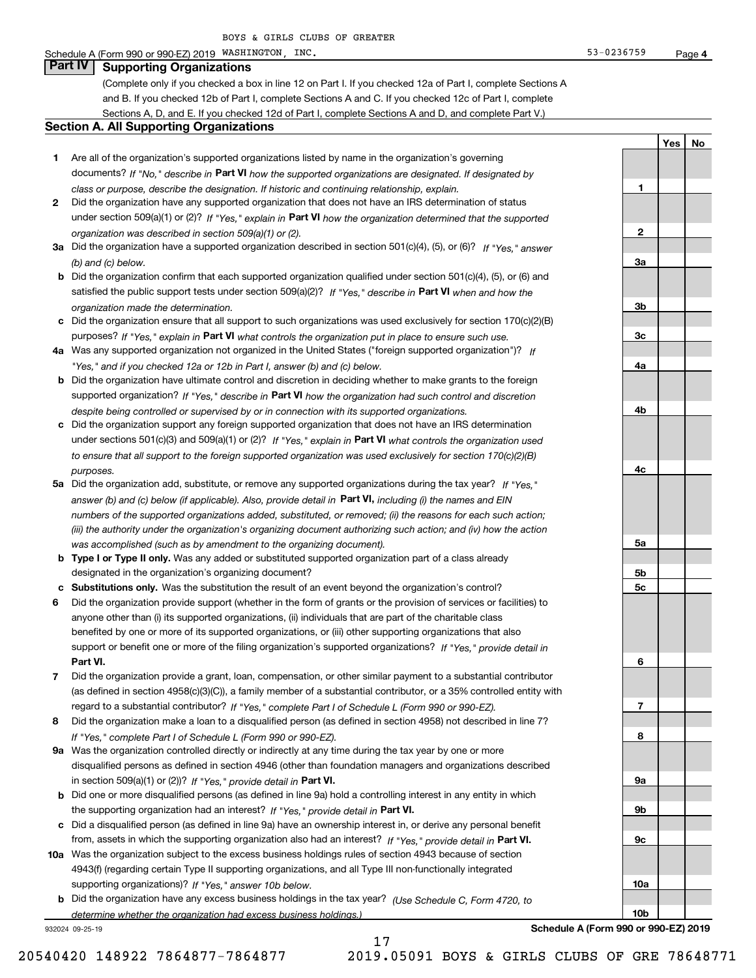#### Schedule A (Form 990 or 990-EZ) 2019 WASHINGTON,INC. 53-0236759 Page

### **Part IV Supporting Organizations**

(Complete only if you checked a box in line 12 on Part I. If you checked 12a of Part I, complete Sections A and B. If you checked 12b of Part I, complete Sections A and C. If you checked 12c of Part I, complete Sections A, D, and E. If you checked 12d of Part I, complete Sections A and D, and complete Part V.)

#### **Section A. All Supporting Organizations**

- **1** Are all of the organization's supported organizations listed by name in the organization's governing documents? If "No," describe in **Part VI** how the supported organizations are designated. If designated by *class or purpose, describe the designation. If historic and continuing relationship, explain.*
- **2** Did the organization have any supported organization that does not have an IRS determination of status under section 509(a)(1) or (2)? If "Yes," explain in Part VI how the organization determined that the supported *organization was described in section 509(a)(1) or (2).*
- **3a** Did the organization have a supported organization described in section 501(c)(4), (5), or (6)? If "Yes," answer *(b) and (c) below.*
- **b** Did the organization confirm that each supported organization qualified under section 501(c)(4), (5), or (6) and satisfied the public support tests under section 509(a)(2)? If "Yes," describe in **Part VI** when and how the *organization made the determination.*
- **c**Did the organization ensure that all support to such organizations was used exclusively for section 170(c)(2)(B) purposes? If "Yes," explain in **Part VI** what controls the organization put in place to ensure such use.
- **4a***If* Was any supported organization not organized in the United States ("foreign supported organization")? *"Yes," and if you checked 12a or 12b in Part I, answer (b) and (c) below.*
- **b** Did the organization have ultimate control and discretion in deciding whether to make grants to the foreign supported organization? If "Yes," describe in **Part VI** how the organization had such control and discretion *despite being controlled or supervised by or in connection with its supported organizations.*
- **c** Did the organization support any foreign supported organization that does not have an IRS determination under sections 501(c)(3) and 509(a)(1) or (2)? If "Yes," explain in **Part VI** what controls the organization used *to ensure that all support to the foreign supported organization was used exclusively for section 170(c)(2)(B) purposes.*
- **5a** Did the organization add, substitute, or remove any supported organizations during the tax year? If "Yes," answer (b) and (c) below (if applicable). Also, provide detail in **Part VI,** including (i) the names and EIN *numbers of the supported organizations added, substituted, or removed; (ii) the reasons for each such action; (iii) the authority under the organization's organizing document authorizing such action; and (iv) how the action was accomplished (such as by amendment to the organizing document).*
- **b** Type I or Type II only. Was any added or substituted supported organization part of a class already designated in the organization's organizing document?
- **cSubstitutions only.**  Was the substitution the result of an event beyond the organization's control?
- **6** Did the organization provide support (whether in the form of grants or the provision of services or facilities) to **Part VI.** *If "Yes," provide detail in* support or benefit one or more of the filing organization's supported organizations? anyone other than (i) its supported organizations, (ii) individuals that are part of the charitable class benefited by one or more of its supported organizations, or (iii) other supporting organizations that also
- **7**Did the organization provide a grant, loan, compensation, or other similar payment to a substantial contributor *If "Yes," complete Part I of Schedule L (Form 990 or 990-EZ).* regard to a substantial contributor? (as defined in section 4958(c)(3)(C)), a family member of a substantial contributor, or a 35% controlled entity with
- **8** Did the organization make a loan to a disqualified person (as defined in section 4958) not described in line 7? *If "Yes," complete Part I of Schedule L (Form 990 or 990-EZ).*
- **9a** Was the organization controlled directly or indirectly at any time during the tax year by one or more in section 509(a)(1) or (2))? If "Yes," *provide detail in* <code>Part VI.</code> disqualified persons as defined in section 4946 (other than foundation managers and organizations described
- **b** Did one or more disqualified persons (as defined in line 9a) hold a controlling interest in any entity in which the supporting organization had an interest? If "Yes," provide detail in P**art VI**.
- **c**Did a disqualified person (as defined in line 9a) have an ownership interest in, or derive any personal benefit from, assets in which the supporting organization also had an interest? If "Yes," provide detail in P**art VI.**
- **10a** Was the organization subject to the excess business holdings rules of section 4943 because of section supporting organizations)? If "Yes," answer 10b below. 4943(f) (regarding certain Type II supporting organizations, and all Type III non-functionally integrated
- **b** Did the organization have any excess business holdings in the tax year? (Use Schedule C, Form 4720, to *determine whether the organization had excess business holdings.)*

17

932024 09-25-19

**Schedule A (Form 990 or 990-EZ) 2019**

**123a3b3c4a4b4c5a 5b5c6789a 9b9c10a10b**

**YesNo**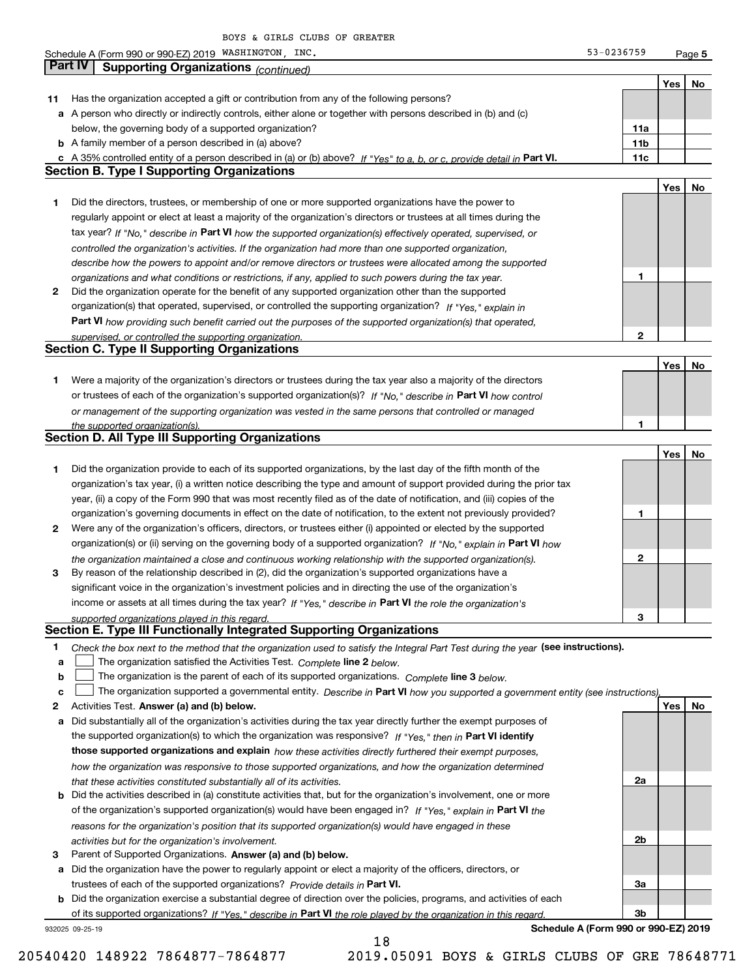|        | Schedule A (Form 990 or 990-EZ) 2019 WASHINGTON, INC.                                                                                                                        | 53-0236759   |     | Page 5 |
|--------|------------------------------------------------------------------------------------------------------------------------------------------------------------------------------|--------------|-----|--------|
|        | Part IV<br><b>Supporting Organizations (continued)</b>                                                                                                                       |              |     |        |
|        |                                                                                                                                                                              |              | Yes | No     |
| 11     | Has the organization accepted a gift or contribution from any of the following persons?                                                                                      |              |     |        |
|        | a A person who directly or indirectly controls, either alone or together with persons described in (b) and (c)                                                               |              |     |        |
|        | below, the governing body of a supported organization?                                                                                                                       | 11a          |     |        |
|        | <b>b</b> A family member of a person described in (a) above?                                                                                                                 | 11b          |     |        |
|        | c A 35% controlled entity of a person described in (a) or (b) above? If "Yes" to a, b, or c, provide detail in Part VI.                                                      | 11c          |     |        |
|        | <b>Section B. Type I Supporting Organizations</b>                                                                                                                            |              |     |        |
|        |                                                                                                                                                                              |              | Yes | No     |
| 1      | Did the directors, trustees, or membership of one or more supported organizations have the power to                                                                          |              |     |        |
|        | regularly appoint or elect at least a majority of the organization's directors or trustees at all times during the                                                           |              |     |        |
|        | tax year? If "No," describe in Part VI how the supported organization(s) effectively operated, supervised, or                                                                |              |     |        |
|        | controlled the organization's activities. If the organization had more than one supported organization,                                                                      |              |     |        |
|        | describe how the powers to appoint and/or remove directors or trustees were allocated among the supported                                                                    |              |     |        |
|        | organizations and what conditions or restrictions, if any, applied to such powers during the tax year.                                                                       | 1            |     |        |
| 2      | Did the organization operate for the benefit of any supported organization other than the supported                                                                          |              |     |        |
|        | organization(s) that operated, supervised, or controlled the supporting organization? If "Yes," explain in                                                                   |              |     |        |
|        | <b>Part VI</b> how providing such benefit carried out the purposes of the supported organization(s) that operated,                                                           | $\mathbf{2}$ |     |        |
|        | supervised, or controlled the supporting organization.<br><b>Section C. Type II Supporting Organizations</b>                                                                 |              |     |        |
|        |                                                                                                                                                                              |              | Yes | No     |
| 1      | Were a majority of the organization's directors or trustees during the tax year also a majority of the directors                                                             |              |     |        |
|        | or trustees of each of the organization's supported organization(s)? If "No," describe in Part VI how control                                                                |              |     |        |
|        | or management of the supporting organization was vested in the same persons that controlled or managed                                                                       |              |     |        |
|        | the supported organization(s).                                                                                                                                               | 1            |     |        |
|        | <b>Section D. All Type III Supporting Organizations</b>                                                                                                                      |              |     |        |
|        |                                                                                                                                                                              |              | Yes | No     |
| 1      | Did the organization provide to each of its supported organizations, by the last day of the fifth month of the                                                               |              |     |        |
|        | organization's tax year, (i) a written notice describing the type and amount of support provided during the prior tax                                                        |              |     |        |
|        | year, (ii) a copy of the Form 990 that was most recently filed as of the date of notification, and (iii) copies of the                                                       |              |     |        |
|        | organization's governing documents in effect on the date of notification, to the extent not previously provided?                                                             | 1            |     |        |
| 2      | Were any of the organization's officers, directors, or trustees either (i) appointed or elected by the supported                                                             |              |     |        |
|        | organization(s) or (ii) serving on the governing body of a supported organization? If "No," explain in Part VI how                                                           |              |     |        |
|        | the organization maintained a close and continuous working relationship with the supported organization(s).                                                                  | 2            |     |        |
| 3      | By reason of the relationship described in (2), did the organization's supported organizations have a                                                                        |              |     |        |
|        | significant voice in the organization's investment policies and in directing the use of the organization's                                                                   |              |     |        |
|        | income or assets at all times during the tax year? If "Yes," describe in Part VI the role the organization's                                                                 |              |     |        |
|        | supported organizations played in this regard.                                                                                                                               | 3            |     |        |
|        | Section E. Type III Functionally Integrated Supporting Organizations                                                                                                         |              |     |        |
| 1      | Check the box next to the method that the organization used to satisfy the Integral Part Test during the year (see instructions).                                            |              |     |        |
| a      | The organization satisfied the Activities Test. Complete line 2 below.                                                                                                       |              |     |        |
| b      | The organization is the parent of each of its supported organizations. Complete line 3 below.                                                                                |              |     |        |
| c      | The organization supported a governmental entity. Describe in Part VI how you supported a government entity (see instructions)<br>Activities Test. Answer (a) and (b) below. |              | Yes | No     |
| 2<br>a | Did substantially all of the organization's activities during the tax year directly further the exempt purposes of                                                           |              |     |        |
|        | the supported organization(s) to which the organization was responsive? If "Yes." then in Part VI identify                                                                   |              |     |        |
|        | those supported organizations and explain how these activities directly furthered their exempt purposes,                                                                     |              |     |        |
|        | how the organization was responsive to those supported organizations, and how the organization determined                                                                    |              |     |        |
|        | that these activities constituted substantially all of its activities.                                                                                                       | 2a           |     |        |
|        | <b>b</b> Did the activities described in (a) constitute activities that, but for the organization's involvement, one or more                                                 |              |     |        |
|        | of the organization's supported organization(s) would have been engaged in? If "Yes," explain in Part VI the                                                                 |              |     |        |
|        | reasons for the organization's position that its supported organization(s) would have engaged in these                                                                       |              |     |        |
|        | activities but for the organization's involvement.                                                                                                                           | 2b           |     |        |
| З      | Parent of Supported Organizations. Answer (a) and (b) below.                                                                                                                 |              |     |        |
|        | a Did the organization have the power to regularly appoint or elect a majority of the officers, directors, or                                                                |              |     |        |
|        | trustees of each of the supported organizations? Provide details in Part VI.                                                                                                 | За           |     |        |
|        | <b>b</b> Did the organization exercise a substantial degree of direction over the policies, programs, and activities of each                                                 |              |     |        |
|        | of its supported organizations? If "Yes," describe in Part VI the role played by the organization in this regard.                                                            | Зb           |     |        |

18

932025 09-25-19

**Schedule A (Form 990 or 990-EZ) 2019**

20540420 148922 7864877-7864877 2019.05091 BOYS & GIRLS CLUBS OF GRE 78648771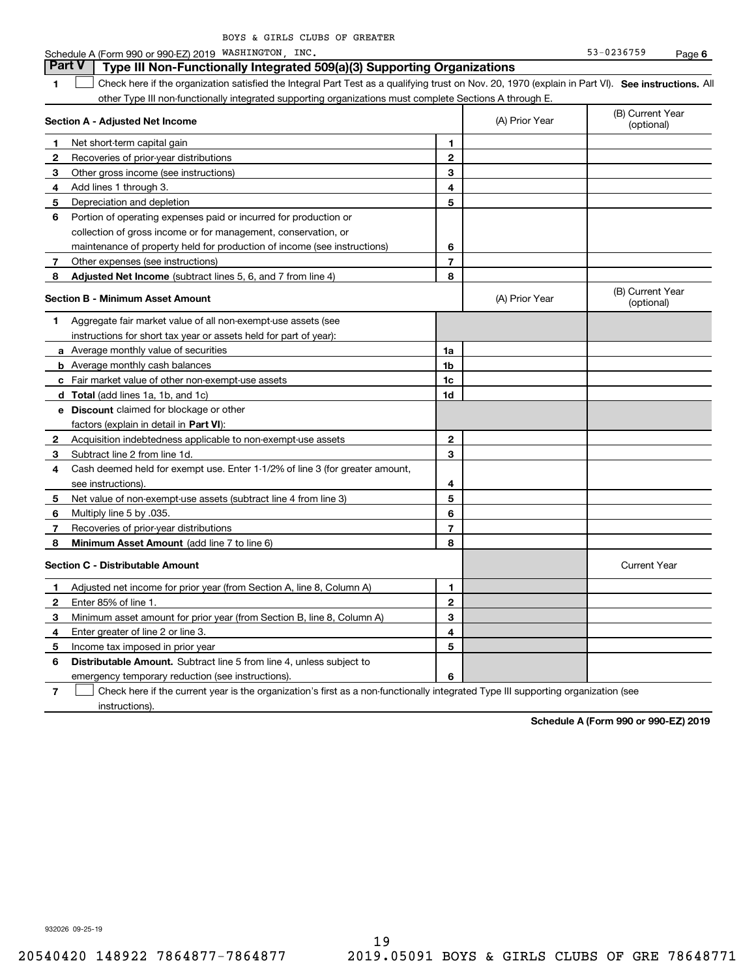| BOYS & GIRLS CLUBS OF GREATER |
|-------------------------------|
|-------------------------------|

#### **1SEP 10. See instructions.** All antegral Part Test as a qualifying trust on Nov. 20, 1970 (explain in Part VI). See instructions. All **Section A - Adjusted Net Income 123** Other gross income (see instructions) **456** Portion of operating expenses paid or incurred for production or **7** Other expenses (see instructions) **8** Adjusted Net Income (subtract lines 5, 6, and 7 from line 4) **8 8 1234567Section B - Minimum Asset Amount 1**Aggregate fair market value of all non-exempt-use assets (see **2**Acquisition indebtedness applicable to non-exempt-use assets **3** Subtract line 2 from line 1d. **4**Cash deemed held for exempt use. Enter 1-1/2% of line 3 (for greater amount, **5** Net value of non-exempt-use assets (subtract line 4 from line 3) **678a** Average monthly value of securities **b** Average monthly cash balances **c**Fair market value of other non-exempt-use assets **dTotal**  (add lines 1a, 1b, and 1c) **eDiscount** claimed for blockage or other **1a1b1c1d2345678**factors (explain in detail in **Part VI**): **Minimum Asset Amount**  (add line 7 to line 6) **Section C - Distributable Amount 123456123456Distributable Amount.** Subtract line 5 from line 4, unless subject to other Type III non-functionally integrated supporting organizations must complete Sections A through E. (B) Current Year (optional)(A) Prior Year Net short-term capital gain Recoveries of prior-year distributions Add lines 1 through 3. Depreciation and depletion collection of gross income or for management, conservation, or maintenance of property held for production of income (see instructions) (B) Current Year (optional)(A) Prior Year instructions for short tax year or assets held for part of year): see instructions). Multiply line 5 by .035. Recoveries of prior-year distributions Current Year Adjusted net income for prior year (from Section A, line 8, Column A) Enter 85% of line 1. Minimum asset amount for prior year (from Section B, line 8, Column A) Enter greater of line 2 or line 3. Income tax imposed in prior year emergency temporary reduction (see instructions). **Part V** Type III Non-Functionally Integrated 509(a)(3) Supporting Organizations  $\mathcal{L}^{\text{max}}$

**7**Check here if the current year is the organization's first as a non-functionally integrated Type III supporting organization (see instructions). $\mathcal{L}^{\text{max}}$ 

**Schedule A (Form 990 or 990-EZ) 2019**

932026 09-25-19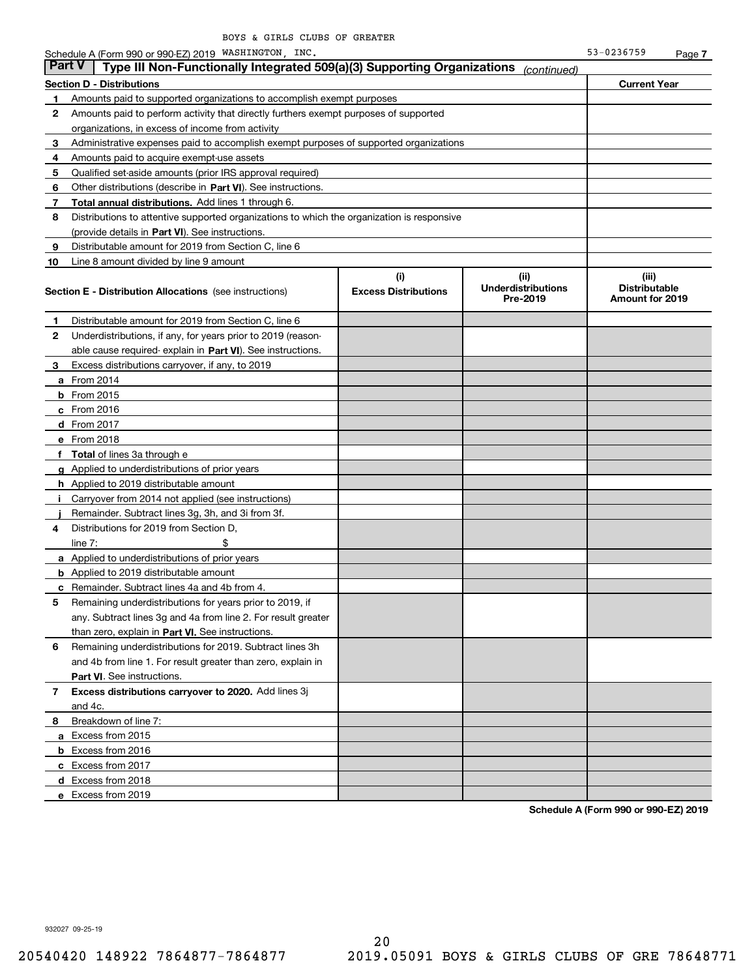|               | Schedule A (Form 990 or 990-EZ) 2019 WASHINGTON, INC.                                      |                                    |                                        | 53-0236759                                              | Page 7 |
|---------------|--------------------------------------------------------------------------------------------|------------------------------------|----------------------------------------|---------------------------------------------------------|--------|
| <b>Part V</b> | Type III Non-Functionally Integrated 509(a)(3) Supporting Organizations                    |                                    | (continued)                            |                                                         |        |
|               | <b>Section D - Distributions</b>                                                           |                                    |                                        | <b>Current Year</b>                                     |        |
| 1             | Amounts paid to supported organizations to accomplish exempt purposes                      |                                    |                                        |                                                         |        |
| 2             | Amounts paid to perform activity that directly furthers exempt purposes of supported       |                                    |                                        |                                                         |        |
|               | organizations, in excess of income from activity                                           |                                    |                                        |                                                         |        |
| 3             | Administrative expenses paid to accomplish exempt purposes of supported organizations      |                                    |                                        |                                                         |        |
| 4             | Amounts paid to acquire exempt-use assets                                                  |                                    |                                        |                                                         |        |
| 5             | Qualified set-aside amounts (prior IRS approval required)                                  |                                    |                                        |                                                         |        |
| 6             | Other distributions (describe in Part VI). See instructions.                               |                                    |                                        |                                                         |        |
| 7             | <b>Total annual distributions.</b> Add lines 1 through 6.                                  |                                    |                                        |                                                         |        |
| 8             | Distributions to attentive supported organizations to which the organization is responsive |                                    |                                        |                                                         |        |
|               | (provide details in Part VI). See instructions.                                            |                                    |                                        |                                                         |        |
| 9             | Distributable amount for 2019 from Section C, line 6                                       |                                    |                                        |                                                         |        |
| 10            | Line 8 amount divided by line 9 amount                                                     |                                    |                                        |                                                         |        |
|               | <b>Section E - Distribution Allocations</b> (see instructions)                             | (i)<br><b>Excess Distributions</b> | (ii)<br>Underdistributions<br>Pre-2019 | (iii)<br><b>Distributable</b><br><b>Amount for 2019</b> |        |
| 1.            | Distributable amount for 2019 from Section C, line 6                                       |                                    |                                        |                                                         |        |
| 2             | Underdistributions, if any, for years prior to 2019 (reason-                               |                                    |                                        |                                                         |        |
|               | able cause required- explain in Part VI). See instructions.                                |                                    |                                        |                                                         |        |
| 3             | Excess distributions carryover, if any, to 2019                                            |                                    |                                        |                                                         |        |
|               | <b>a</b> From 2014                                                                         |                                    |                                        |                                                         |        |
|               | <b>b</b> From 2015                                                                         |                                    |                                        |                                                         |        |
|               | $c$ From 2016                                                                              |                                    |                                        |                                                         |        |
|               | <b>d</b> From 2017                                                                         |                                    |                                        |                                                         |        |
|               | e From 2018                                                                                |                                    |                                        |                                                         |        |
|               | f Total of lines 3a through e                                                              |                                    |                                        |                                                         |        |
|               | g Applied to underdistributions of prior years                                             |                                    |                                        |                                                         |        |
|               | <b>h</b> Applied to 2019 distributable amount                                              |                                    |                                        |                                                         |        |
| Ť.            | Carryover from 2014 not applied (see instructions)                                         |                                    |                                        |                                                         |        |
|               | Remainder. Subtract lines 3g, 3h, and 3i from 3f.                                          |                                    |                                        |                                                         |        |
| 4             | Distributions for 2019 from Section D,                                                     |                                    |                                        |                                                         |        |
|               | \$<br>line $7:$                                                                            |                                    |                                        |                                                         |        |
|               | <b>a</b> Applied to underdistributions of prior years                                      |                                    |                                        |                                                         |        |
|               | <b>b</b> Applied to 2019 distributable amount                                              |                                    |                                        |                                                         |        |
|               | <b>c</b> Remainder. Subtract lines 4a and 4b from 4.                                       |                                    |                                        |                                                         |        |
|               | Remaining underdistributions for years prior to 2019, if                                   |                                    |                                        |                                                         |        |
|               | any. Subtract lines 3g and 4a from line 2. For result greater                              |                                    |                                        |                                                         |        |
|               | than zero, explain in Part VI. See instructions.                                           |                                    |                                        |                                                         |        |
| 6             | Remaining underdistributions for 2019. Subtract lines 3h                                   |                                    |                                        |                                                         |        |
|               | and 4b from line 1. For result greater than zero, explain in                               |                                    |                                        |                                                         |        |
|               | Part VI. See instructions.                                                                 |                                    |                                        |                                                         |        |
| 7             | Excess distributions carryover to 2020. Add lines 3j                                       |                                    |                                        |                                                         |        |
|               | and 4c.                                                                                    |                                    |                                        |                                                         |        |
| 8             | Breakdown of line 7:                                                                       |                                    |                                        |                                                         |        |
|               | a Excess from 2015                                                                         |                                    |                                        |                                                         |        |
|               | <b>b</b> Excess from 2016                                                                  |                                    |                                        |                                                         |        |
|               | c Excess from 2017                                                                         |                                    |                                        |                                                         |        |
|               | d Excess from 2018                                                                         |                                    |                                        |                                                         |        |
|               | e Excess from 2019                                                                         |                                    |                                        |                                                         |        |
|               |                                                                                            |                                    |                                        |                                                         |        |

**Schedule A (Form 990 or 990-EZ) 2019**

932027 09-25-19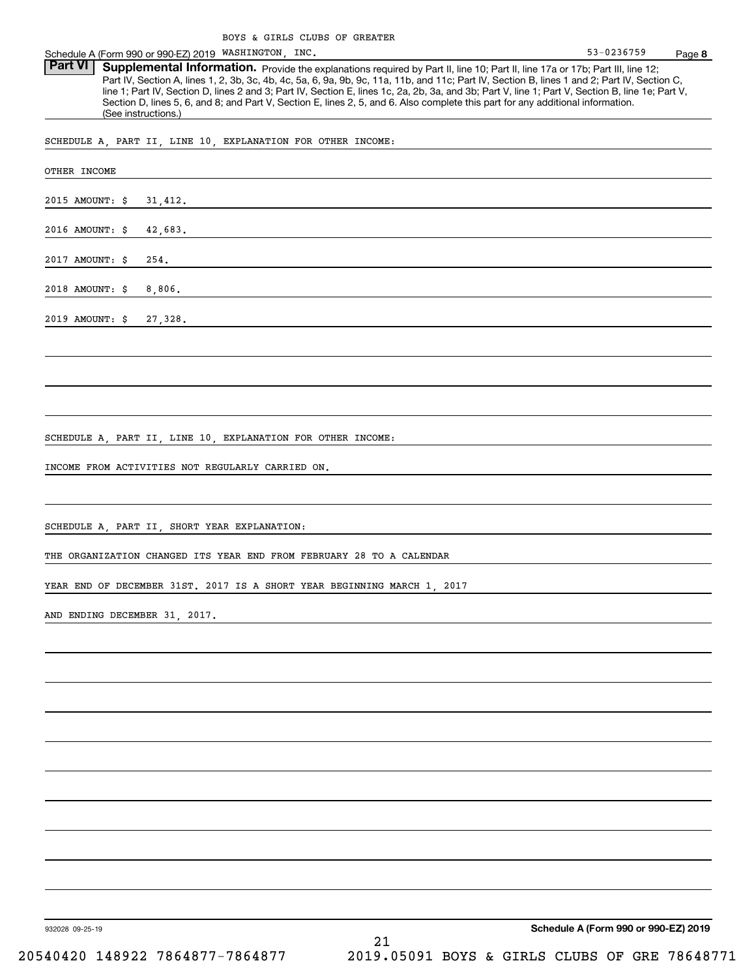Schedule A (Form 990 or 990-EZ) 2019 WASHINGTON, INC. 53-0236759 Page

Part VI | Supplemental Information. Provide the explanations required by Part II, line 10; Part II, line 17a or 17b; Part III, line 12; Part IV, Section A, lines 1, 2, 3b, 3c, 4b, 4c, 5a, 6, 9a, 9b, 9c, 11a, 11b, and 11c; Part IV, Section B, lines 1 and 2; Part IV, Section C, line 1; Part IV, Section D, lines 2 and 3; Part IV, Section E, lines 1c, 2a, 2b, 3a, and 3b; Part V, line 1; Part V, Section B, line 1e; Part V, Section D, lines 5, 6, and 8; and Part V, Section E, lines 2, 5, and 6. Also complete this part for any additional information. (See instructions.)

SCHEDULE A, PART II, LINE 10, EXPLANATION FOR OTHER INCOME:

| OTHER INCOME        |                         |  |  |  |  |  |
|---------------------|-------------------------|--|--|--|--|--|
|                     | 2015 AMOUNT: \$ 31,412. |  |  |  |  |  |
|                     | 2016 AMOUNT: \$ 42,683. |  |  |  |  |  |
| 2017 AMOUNT: \$254. |                         |  |  |  |  |  |
|                     | 2018 AMOUNT: \$ 8,806.  |  |  |  |  |  |
|                     | 2019 AMOUNT: \$ 27,328. |  |  |  |  |  |

SCHEDULE A, PART II, LINE 10, EXPLANATION FOR OTHER INCOME:

INCOME FROM ACTIVITIES NOT REGULARLY CARRIED ON.

SCHEDULE A, PART II, SHORT YEAR EXPLANATION:

THE ORGANIZATION CHANGED ITS YEAR END FROM FEBRUARY 28 TO A CALENDAR

YEAR END OF DECEMBER 31ST. 2017 IS A SHORT YEAR BEGINNING MARCH 1, 2017

AND ENDING DECEMBER 31, 2017.

932028 09-25-19

**Schedule A (Form 990 or 990-EZ) 2019** 21 20540420 148922 7864877-7864877 2019.05091 BOYS & GIRLS CLUBS OF GRE 78648771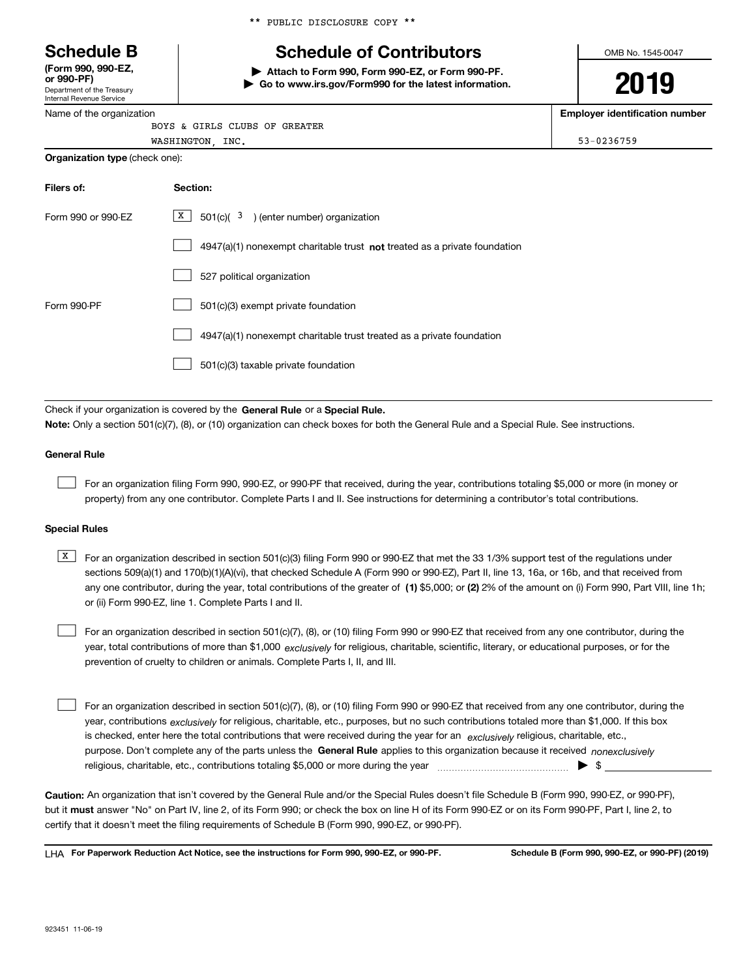Department of the Treasury **(Form 990, 990-EZ, or 990-PF)**

Internal Revenue Service Name of the organization

# **Schedule B Schedule of Contributors**

**| Attach to Form 990, Form 990-EZ, or Form 990-PF. | Go to www.irs.gov/Form990 for the latest information.** OMB No. 1545-0047

**2019**

**Employer identification number**

| . |  |  |                               |
|---|--|--|-------------------------------|
|   |  |  | BOYS & GIRLS CLUBS OF GREATER |

| <u>. .</u><br>____ | WASHINGTON | INC | $- - -$<br>.<br>ــ הסרי |
|--------------------|------------|-----|-------------------------|
|--------------------|------------|-----|-------------------------|

| <b>Organization type</b> (check one): |                                                                             |  |  |  |  |  |
|---------------------------------------|-----------------------------------------------------------------------------|--|--|--|--|--|
| Filers of:                            | Section:                                                                    |  |  |  |  |  |
| Form 990 or 990-EZ                    | $X$ 501(c)( 3) (enter number) organization                                  |  |  |  |  |  |
|                                       | $4947(a)(1)$ nonexempt charitable trust not treated as a private foundation |  |  |  |  |  |
|                                       | 527 political organization                                                  |  |  |  |  |  |
| Form 990-PF                           | 501(c)(3) exempt private foundation                                         |  |  |  |  |  |
|                                       | 4947(a)(1) nonexempt charitable trust treated as a private foundation       |  |  |  |  |  |
|                                       | 501(c)(3) taxable private foundation                                        |  |  |  |  |  |

Check if your organization is covered by the **General Rule** or a **Special Rule. Note:**  Only a section 501(c)(7), (8), or (10) organization can check boxes for both the General Rule and a Special Rule. See instructions.

#### **General Rule**

 $\mathcal{L}^{\text{max}}$ 

For an organization filing Form 990, 990-EZ, or 990-PF that received, during the year, contributions totaling \$5,000 or more (in money or property) from any one contributor. Complete Parts I and II. See instructions for determining a contributor's total contributions.

#### **Special Rules**

any one contributor, during the year, total contributions of the greater of  $\,$  (1) \$5,000; or **(2)** 2% of the amount on (i) Form 990, Part VIII, line 1h;  $\overline{X}$  For an organization described in section 501(c)(3) filing Form 990 or 990-EZ that met the 33 1/3% support test of the regulations under sections 509(a)(1) and 170(b)(1)(A)(vi), that checked Schedule A (Form 990 or 990-EZ), Part II, line 13, 16a, or 16b, and that received from or (ii) Form 990-EZ, line 1. Complete Parts I and II.

year, total contributions of more than \$1,000 *exclusively* for religious, charitable, scientific, literary, or educational purposes, or for the For an organization described in section 501(c)(7), (8), or (10) filing Form 990 or 990-EZ that received from any one contributor, during the prevention of cruelty to children or animals. Complete Parts I, II, and III.  $\mathcal{L}^{\text{max}}$ 

purpose. Don't complete any of the parts unless the **General Rule** applies to this organization because it received *nonexclusively* year, contributions <sub>exclusively</sub> for religious, charitable, etc., purposes, but no such contributions totaled more than \$1,000. If this box is checked, enter here the total contributions that were received during the year for an  $\;$ exclusively religious, charitable, etc., For an organization described in section 501(c)(7), (8), or (10) filing Form 990 or 990-EZ that received from any one contributor, during the religious, charitable, etc., contributions totaling \$5,000 or more during the year  $\Box$ — $\Box$  =  $\Box$  $\mathcal{L}^{\text{max}}$ 

**Caution:**  An organization that isn't covered by the General Rule and/or the Special Rules doesn't file Schedule B (Form 990, 990-EZ, or 990-PF),  **must** but it answer "No" on Part IV, line 2, of its Form 990; or check the box on line H of its Form 990-EZ or on its Form 990-PF, Part I, line 2, to certify that it doesn't meet the filing requirements of Schedule B (Form 990, 990-EZ, or 990-PF).

**For Paperwork Reduction Act Notice, see the instructions for Form 990, 990-EZ, or 990-PF. Schedule B (Form 990, 990-EZ, or 990-PF) (2019)** LHA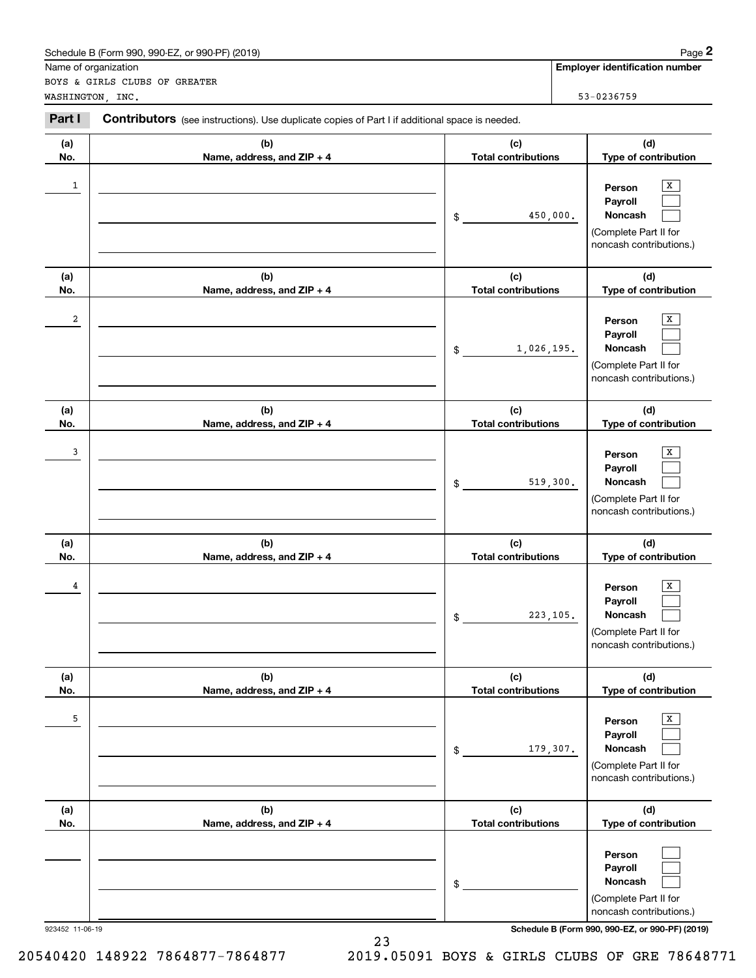|              | Schedule B (Form 990, 990-EZ, or 990-PF) (2019)                                                       |                                   |          | Page 2                                                                                |
|--------------|-------------------------------------------------------------------------------------------------------|-----------------------------------|----------|---------------------------------------------------------------------------------------|
|              | Name of organization                                                                                  |                                   |          | <b>Employer identification number</b>                                                 |
|              | BOYS & GIRLS CLUBS OF GREATER<br>WASHINGTON, INC.                                                     |                                   |          | 53-0236759                                                                            |
| Part I       | <b>Contributors</b> (see instructions). Use duplicate copies of Part I if additional space is needed. |                                   |          |                                                                                       |
| (a)<br>No.   | (b)<br>Name, address, and ZIP + 4                                                                     | (c)<br><b>Total contributions</b> |          | (d)<br>Type of contribution                                                           |
| $\mathbf{1}$ |                                                                                                       | \$                                | 450,000. | х<br>Person<br>Payroll<br>Noncash<br>(Complete Part II for<br>noncash contributions.) |
| (a)<br>No.   | (b)<br>Name, address, and ZIP + 4                                                                     | (c)<br><b>Total contributions</b> |          | (d)<br>Type of contribution                                                           |
| 2            |                                                                                                       | 1,026,195.<br>\$                  |          | x<br>Person<br>Payroll<br>Noncash<br>(Complete Part II for<br>noncash contributions.) |
| (a)<br>No.   | (b)<br>Name, address, and ZIP + 4                                                                     | (c)<br><b>Total contributions</b> |          | (d)<br>Type of contribution                                                           |
| 3            |                                                                                                       | \$                                | 519,300. | x<br>Person<br>Payroll<br>Noncash<br>(Complete Part II for<br>noncash contributions.) |
| (a)<br>No.   | (b)<br>Name, address, and ZIP + 4                                                                     | (c)<br><b>Total contributions</b> |          | (d)<br>Type of contribution                                                           |
| 4            |                                                                                                       | \$                                | 223,105. | x<br>Person<br>Payroll<br>Noncash<br>(Complete Part II for<br>noncash contributions.) |
| (a)<br>No.   | (b)<br>Name, address, and ZIP + 4                                                                     | (c)<br><b>Total contributions</b> |          | (d)<br>Type of contribution                                                           |
| 5            |                                                                                                       | \$                                | 179,307. | X<br>Person<br>Payroll<br>Noncash<br>(Complete Part II for<br>noncash contributions.) |
| (a)<br>No.   | (b)<br>Name, address, and ZIP + 4                                                                     | (c)<br><b>Total contributions</b> |          | (d)<br>Type of contribution                                                           |
|              |                                                                                                       | \$                                |          | Person<br>Payroll<br>Noncash<br>(Complete Part II for<br>noncash contributions.)      |

923452 11-06-19 **Schedule B (Form 990, 990-EZ, or 990-PF) (2019)**

23 20540420 148922 7864877-7864877 2019.05091 BOYS & GIRLS CLUBS OF GRE 78648771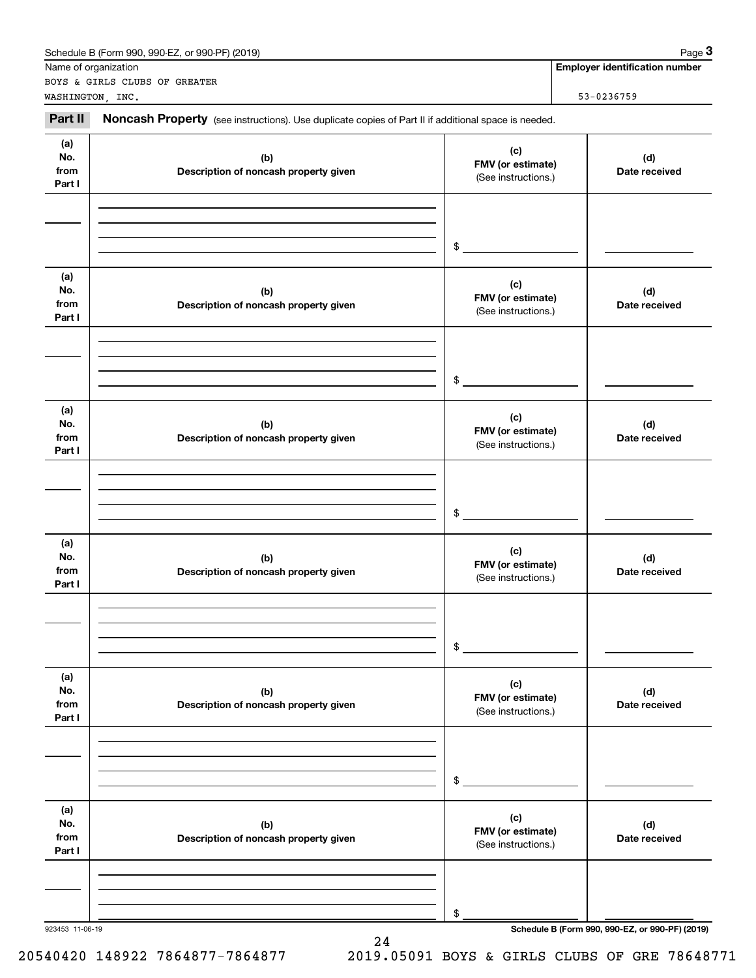|                              | Schedule B (Form 990, 990-EZ, or 990-PF) (2019)<br>Name of organization                             |                                                 | Page 3<br><b>Employer identification number</b> |
|------------------------------|-----------------------------------------------------------------------------------------------------|-------------------------------------------------|-------------------------------------------------|
|                              | BOYS & GIRLS CLUBS OF GREATER                                                                       |                                                 |                                                 |
| Part II                      | WASHINGTON, INC.                                                                                    |                                                 | 53-0236759                                      |
|                              | Noncash Property (see instructions). Use duplicate copies of Part II if additional space is needed. |                                                 |                                                 |
| (a)<br>No.<br>from<br>Part I | (b)<br>Description of noncash property given                                                        | (c)<br>FMV (or estimate)<br>(See instructions.) | (d)<br>Date received                            |
|                              |                                                                                                     | \$                                              |                                                 |
| (a)<br>No.<br>from<br>Part I | (b)<br>Description of noncash property given                                                        | (c)<br>FMV (or estimate)<br>(See instructions.) | (d)<br>Date received                            |
|                              |                                                                                                     | \$                                              |                                                 |
| (a)<br>No.<br>from<br>Part I | (b)<br>Description of noncash property given                                                        | (c)<br>FMV (or estimate)<br>(See instructions.) | (d)<br>Date received                            |
|                              |                                                                                                     | \$                                              |                                                 |
| (a)<br>No.<br>from<br>Part I | (b)<br>Description of noncash property given                                                        | (c)<br>FMV (or estimate)<br>(See instructions.) | (d)<br>Date received                            |
|                              |                                                                                                     | \$                                              |                                                 |
| (a)<br>No.<br>from<br>Part I | (b)<br>Description of noncash property given                                                        | (c)<br>FMV (or estimate)<br>(See instructions.) | (d)<br>Date received                            |
|                              |                                                                                                     | \$                                              |                                                 |
| (a)<br>No.<br>from<br>Part I | (b)<br>Description of noncash property given                                                        | (c)<br>FMV (or estimate)<br>(See instructions.) | (d)<br>Date received                            |
|                              |                                                                                                     |                                                 |                                                 |
| 923453 11-06-19              | 24                                                                                                  | \$                                              | Schedule B (Form 990, 990-EZ, or 990-PF) (2019) |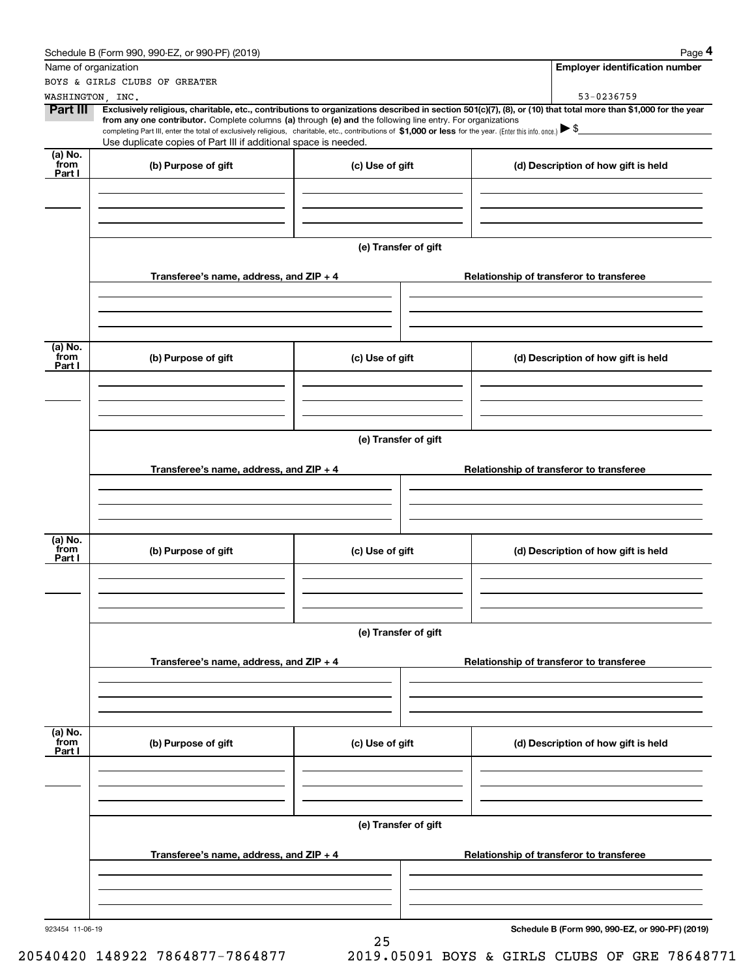|                             | Schedule B (Form 990, 990-EZ, or 990-PF) (2019)                                                                                                                                                                                                                              |                      |                                          | Page 4                                          |  |  |  |  |
|-----------------------------|------------------------------------------------------------------------------------------------------------------------------------------------------------------------------------------------------------------------------------------------------------------------------|----------------------|------------------------------------------|-------------------------------------------------|--|--|--|--|
| Name of organization        |                                                                                                                                                                                                                                                                              |                      |                                          | <b>Employer identification number</b>           |  |  |  |  |
|                             | BOYS & GIRLS CLUBS OF GREATER                                                                                                                                                                                                                                                |                      |                                          |                                                 |  |  |  |  |
| WASHINGTON, INC.            |                                                                                                                                                                                                                                                                              |                      |                                          | 53-0236759                                      |  |  |  |  |
| Part III                    | Exclusively religious, charitable, etc., contributions to organizations described in section 501(c)(7), (8), or (10) that total more than \$1,000 for the year<br>from any one contributor. Complete columns (a) through (e) and the following line entry. For organizations |                      |                                          |                                                 |  |  |  |  |
|                             | completing Part III, enter the total of exclusively religious, charitable, etc., contributions of \$1,000 or less for the year. (Enter this info. once.) \\$                                                                                                                 |                      |                                          |                                                 |  |  |  |  |
| (a) $\overline{\text{No.}}$ | Use duplicate copies of Part III if additional space is needed.                                                                                                                                                                                                              |                      |                                          |                                                 |  |  |  |  |
| from                        | (b) Purpose of gift                                                                                                                                                                                                                                                          | (c) Use of gift      |                                          | (d) Description of how gift is held             |  |  |  |  |
| Part I                      |                                                                                                                                                                                                                                                                              |                      |                                          |                                                 |  |  |  |  |
|                             |                                                                                                                                                                                                                                                                              |                      |                                          |                                                 |  |  |  |  |
|                             |                                                                                                                                                                                                                                                                              |                      |                                          |                                                 |  |  |  |  |
|                             |                                                                                                                                                                                                                                                                              |                      |                                          |                                                 |  |  |  |  |
|                             |                                                                                                                                                                                                                                                                              | (e) Transfer of gift |                                          |                                                 |  |  |  |  |
|                             |                                                                                                                                                                                                                                                                              |                      |                                          |                                                 |  |  |  |  |
|                             | Transferee's name, address, and $ZIP + 4$                                                                                                                                                                                                                                    |                      |                                          | Relationship of transferor to transferee        |  |  |  |  |
|                             |                                                                                                                                                                                                                                                                              |                      |                                          |                                                 |  |  |  |  |
|                             |                                                                                                                                                                                                                                                                              |                      |                                          |                                                 |  |  |  |  |
|                             |                                                                                                                                                                                                                                                                              |                      |                                          |                                                 |  |  |  |  |
| (a) No.                     |                                                                                                                                                                                                                                                                              |                      |                                          |                                                 |  |  |  |  |
| from<br>Part I              | (b) Purpose of gift                                                                                                                                                                                                                                                          | (c) Use of gift      |                                          | (d) Description of how gift is held             |  |  |  |  |
|                             |                                                                                                                                                                                                                                                                              |                      |                                          |                                                 |  |  |  |  |
|                             |                                                                                                                                                                                                                                                                              |                      |                                          |                                                 |  |  |  |  |
|                             |                                                                                                                                                                                                                                                                              |                      |                                          |                                                 |  |  |  |  |
|                             |                                                                                                                                                                                                                                                                              |                      |                                          |                                                 |  |  |  |  |
|                             | (e) Transfer of gift                                                                                                                                                                                                                                                         |                      |                                          |                                                 |  |  |  |  |
|                             | Transferee's name, address, and $ZIP + 4$                                                                                                                                                                                                                                    |                      | Relationship of transferor to transferee |                                                 |  |  |  |  |
|                             |                                                                                                                                                                                                                                                                              |                      |                                          |                                                 |  |  |  |  |
|                             |                                                                                                                                                                                                                                                                              |                      |                                          |                                                 |  |  |  |  |
|                             |                                                                                                                                                                                                                                                                              |                      |                                          |                                                 |  |  |  |  |
|                             |                                                                                                                                                                                                                                                                              |                      |                                          |                                                 |  |  |  |  |
| (a) No.<br>from             | (b) Purpose of gift                                                                                                                                                                                                                                                          | (c) Use of gift      |                                          | (d) Description of how gift is held             |  |  |  |  |
| Part I                      |                                                                                                                                                                                                                                                                              |                      |                                          |                                                 |  |  |  |  |
|                             |                                                                                                                                                                                                                                                                              |                      |                                          |                                                 |  |  |  |  |
|                             |                                                                                                                                                                                                                                                                              |                      |                                          |                                                 |  |  |  |  |
|                             |                                                                                                                                                                                                                                                                              |                      |                                          |                                                 |  |  |  |  |
|                             | (e) Transfer of gift                                                                                                                                                                                                                                                         |                      |                                          |                                                 |  |  |  |  |
|                             |                                                                                                                                                                                                                                                                              |                      |                                          |                                                 |  |  |  |  |
|                             | Transferee's name, address, and $ZIP + 4$                                                                                                                                                                                                                                    |                      | Relationship of transferor to transferee |                                                 |  |  |  |  |
|                             |                                                                                                                                                                                                                                                                              |                      |                                          |                                                 |  |  |  |  |
|                             |                                                                                                                                                                                                                                                                              |                      |                                          |                                                 |  |  |  |  |
|                             |                                                                                                                                                                                                                                                                              |                      |                                          |                                                 |  |  |  |  |
| (a) No.<br>from             |                                                                                                                                                                                                                                                                              |                      |                                          |                                                 |  |  |  |  |
| Part I                      | (b) Purpose of gift                                                                                                                                                                                                                                                          | (c) Use of gift      |                                          | (d) Description of how gift is held             |  |  |  |  |
|                             |                                                                                                                                                                                                                                                                              |                      |                                          |                                                 |  |  |  |  |
|                             |                                                                                                                                                                                                                                                                              |                      |                                          |                                                 |  |  |  |  |
|                             |                                                                                                                                                                                                                                                                              |                      |                                          |                                                 |  |  |  |  |
|                             |                                                                                                                                                                                                                                                                              | (e) Transfer of gift |                                          |                                                 |  |  |  |  |
|                             |                                                                                                                                                                                                                                                                              |                      |                                          |                                                 |  |  |  |  |
|                             | Transferee's name, address, and $ZIP + 4$                                                                                                                                                                                                                                    |                      |                                          | Relationship of transferor to transferee        |  |  |  |  |
|                             |                                                                                                                                                                                                                                                                              |                      |                                          |                                                 |  |  |  |  |
|                             |                                                                                                                                                                                                                                                                              |                      |                                          |                                                 |  |  |  |  |
|                             |                                                                                                                                                                                                                                                                              |                      |                                          |                                                 |  |  |  |  |
|                             |                                                                                                                                                                                                                                                                              |                      |                                          |                                                 |  |  |  |  |
| 923454 11-06-19             |                                                                                                                                                                                                                                                                              | 25                   |                                          | Schedule B (Form 990, 990-EZ, or 990-PF) (2019) |  |  |  |  |
|                             |                                                                                                                                                                                                                                                                              |                      |                                          |                                                 |  |  |  |  |

20540420 148922 7864877-7864877 2019.05091 BOYS & GIRLS CLUBS OF GRE 78648771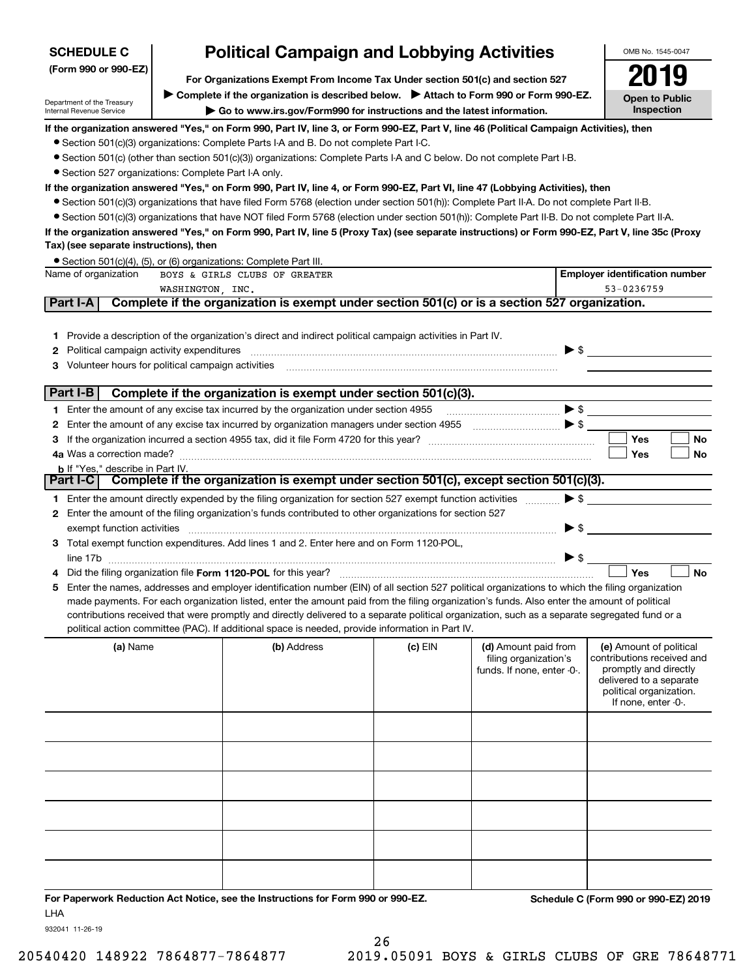| <b>Political Campaign and Lobbying Activities</b><br><b>SCHEDULE C</b> |                                                                                                                                                                        |                                                                                                                                                  |         |                            |                          | OMB No. 1545-0047                                  |  |
|------------------------------------------------------------------------|------------------------------------------------------------------------------------------------------------------------------------------------------------------------|--------------------------------------------------------------------------------------------------------------------------------------------------|---------|----------------------------|--------------------------|----------------------------------------------------|--|
| (Form 990 or 990-EZ)                                                   |                                                                                                                                                                        |                                                                                                                                                  |         |                            |                          |                                                    |  |
|                                                                        | For Organizations Exempt From Income Tax Under section 501(c) and section 527<br>Complete if the organization is described below. > Attach to Form 990 or Form 990-EZ. |                                                                                                                                                  |         |                            |                          |                                                    |  |
| Department of the Treasury<br>Internal Revenue Service                 |                                                                                                                                                                        | Go to www.irs.gov/Form990 for instructions and the latest information.                                                                           |         |                            |                          | <b>Open to Public</b><br>Inspection                |  |
|                                                                        |                                                                                                                                                                        | If the organization answered "Yes," on Form 990, Part IV, line 3, or Form 990-EZ, Part V, line 46 (Political Campaign Activities), then          |         |                            |                          |                                                    |  |
|                                                                        |                                                                                                                                                                        | • Section 501(c)(3) organizations: Complete Parts I-A and B. Do not complete Part I-C.                                                           |         |                            |                          |                                                    |  |
|                                                                        |                                                                                                                                                                        | • Section 501(c) (other than section 501(c)(3)) organizations: Complete Parts I-A and C below. Do not complete Part I-B.                         |         |                            |                          |                                                    |  |
| • Section 527 organizations: Complete Part I-A only.                   |                                                                                                                                                                        |                                                                                                                                                  |         |                            |                          |                                                    |  |
|                                                                        |                                                                                                                                                                        | If the organization answered "Yes," on Form 990, Part IV, line 4, or Form 990-EZ, Part VI, line 47 (Lobbying Activities), then                   |         |                            |                          |                                                    |  |
|                                                                        |                                                                                                                                                                        | • Section 501(c)(3) organizations that have filed Form 5768 (election under section 501(h)): Complete Part II-A. Do not complete Part II-B.      |         |                            |                          |                                                    |  |
|                                                                        |                                                                                                                                                                        | • Section 501(c)(3) organizations that have NOT filed Form 5768 (election under section 501(h)): Complete Part II-B. Do not complete Part II-A.  |         |                            |                          |                                                    |  |
|                                                                        |                                                                                                                                                                        | If the organization answered "Yes," on Form 990, Part IV, line 5 (Proxy Tax) (see separate instructions) or Form 990-EZ, Part V, line 35c (Proxy |         |                            |                          |                                                    |  |
| Tax) (see separate instructions), then                                 |                                                                                                                                                                        |                                                                                                                                                  |         |                            |                          |                                                    |  |
|                                                                        |                                                                                                                                                                        | • Section 501(c)(4), (5), or (6) organizations: Complete Part III.                                                                               |         |                            |                          |                                                    |  |
| Name of organization                                                   |                                                                                                                                                                        | BOYS & GIRLS CLUBS OF GREATER                                                                                                                    |         |                            |                          | <b>Employer identification number</b>              |  |
| Part I-A                                                               | WASHINGTON, INC.                                                                                                                                                       | Complete if the organization is exempt under section 501(c) or is a section 527 organization.                                                    |         |                            |                          | 53-0236759                                         |  |
|                                                                        |                                                                                                                                                                        |                                                                                                                                                  |         |                            |                          |                                                    |  |
|                                                                        |                                                                                                                                                                        |                                                                                                                                                  |         |                            |                          |                                                    |  |
|                                                                        |                                                                                                                                                                        | 1 Provide a description of the organization's direct and indirect political campaign activities in Part IV.                                      |         |                            |                          |                                                    |  |
| Political campaign activity expenditures<br>2                          |                                                                                                                                                                        |                                                                                                                                                  |         |                            | $\blacktriangleright$ \$ |                                                    |  |
| Volunteer hours for political campaign activities<br>3                 |                                                                                                                                                                        |                                                                                                                                                  |         |                            |                          |                                                    |  |
| Part I-B                                                               |                                                                                                                                                                        | Complete if the organization is exempt under section 501(c)(3).                                                                                  |         |                            |                          |                                                    |  |
|                                                                        |                                                                                                                                                                        | 1 Enter the amount of any excise tax incurred by the organization under section 4955                                                             |         |                            |                          | $\blacktriangleright$ \$                           |  |
| 2                                                                      |                                                                                                                                                                        |                                                                                                                                                  |         |                            |                          |                                                    |  |
|                                                                        |                                                                                                                                                                        |                                                                                                                                                  |         |                            |                          | Yes<br>No                                          |  |
| 4a Was a correction made?                                              |                                                                                                                                                                        |                                                                                                                                                  |         |                            |                          | Yes<br>No                                          |  |
| <b>b</b> If "Yes," describe in Part IV.                                |                                                                                                                                                                        |                                                                                                                                                  |         |                            |                          |                                                    |  |
|                                                                        |                                                                                                                                                                        | Part I-C   Complete if the organization is exempt under section 501(c), except section 501(c)(3).                                                |         |                            |                          |                                                    |  |
|                                                                        |                                                                                                                                                                        | 1 Enter the amount directly expended by the filing organization for section 527 exempt function activities                                       |         |                            | $\blacktriangleright$ \$ |                                                    |  |
| exempt function activities                                             |                                                                                                                                                                        | 2 Enter the amount of the filing organization's funds contributed to other organizations for section 527                                         |         |                            | $\blacktriangleright$ \$ |                                                    |  |
|                                                                        |                                                                                                                                                                        | 3 Total exempt function expenditures. Add lines 1 and 2. Enter here and on Form 1120-POL,                                                        |         |                            |                          |                                                    |  |
|                                                                        |                                                                                                                                                                        |                                                                                                                                                  |         |                            | $\triangleright$ \$      |                                                    |  |
|                                                                        |                                                                                                                                                                        | Did the filing organization file Form 1120-POL for this year?                                                                                    |         |                            |                          | Yes<br><b>No</b>                                   |  |
| 5.                                                                     |                                                                                                                                                                        | Enter the names, addresses and employer identification number (EIN) of all section 527 political organizations to which the filing organization  |         |                            |                          |                                                    |  |
|                                                                        |                                                                                                                                                                        | made payments. For each organization listed, enter the amount paid from the filing organization's funds. Also enter the amount of political      |         |                            |                          |                                                    |  |
|                                                                        |                                                                                                                                                                        | contributions received that were promptly and directly delivered to a separate political organization, such as a separate segregated fund or a   |         |                            |                          |                                                    |  |
|                                                                        |                                                                                                                                                                        | political action committee (PAC). If additional space is needed, provide information in Part IV.                                                 |         |                            |                          |                                                    |  |
| (a) Name                                                               |                                                                                                                                                                        | (b) Address                                                                                                                                      | (c) EIN | (d) Amount paid from       |                          | (e) Amount of political                            |  |
|                                                                        |                                                                                                                                                                        |                                                                                                                                                  |         | filing organization's      |                          | contributions received and                         |  |
|                                                                        |                                                                                                                                                                        |                                                                                                                                                  |         | funds. If none, enter -0-. |                          | promptly and directly                              |  |
|                                                                        |                                                                                                                                                                        |                                                                                                                                                  |         |                            |                          | delivered to a separate<br>political organization. |  |
|                                                                        |                                                                                                                                                                        |                                                                                                                                                  |         |                            |                          | If none, enter -0-.                                |  |
|                                                                        |                                                                                                                                                                        |                                                                                                                                                  |         |                            |                          |                                                    |  |
|                                                                        |                                                                                                                                                                        |                                                                                                                                                  |         |                            |                          |                                                    |  |
|                                                                        |                                                                                                                                                                        |                                                                                                                                                  |         |                            |                          |                                                    |  |
|                                                                        |                                                                                                                                                                        |                                                                                                                                                  |         |                            |                          |                                                    |  |
|                                                                        |                                                                                                                                                                        |                                                                                                                                                  |         |                            |                          |                                                    |  |
|                                                                        |                                                                                                                                                                        |                                                                                                                                                  |         |                            |                          |                                                    |  |

**For Paperwork Reduction Act Notice, see the Instructions for Form 990 or 990-EZ. Schedule C (Form 990 or 990-EZ) 2019** LHA

932041 11-26-19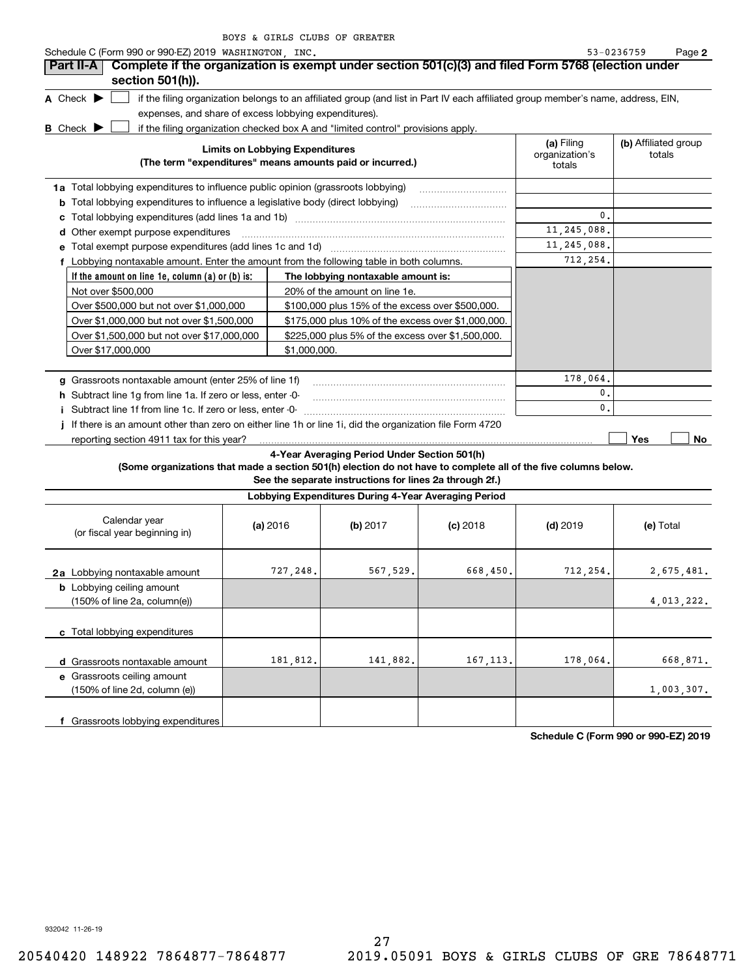| BOYS & GIRLS CLUBS OF GREATER |  |  |  |  |  |  |
|-------------------------------|--|--|--|--|--|--|
|-------------------------------|--|--|--|--|--|--|

| Schedule C (Form 990 or 990-EZ) 2019 WASHINGTON, INC.                                                           |                                                       |                                                                                                                                   |            |                                        | 53-0236759<br>Page 2           |
|-----------------------------------------------------------------------------------------------------------------|-------------------------------------------------------|-----------------------------------------------------------------------------------------------------------------------------------|------------|----------------------------------------|--------------------------------|
| Complete if the organization is exempt under section 501(c)(3) and filed Form 5768 (election under<br>Part II-A |                                                       |                                                                                                                                   |            |                                        |                                |
| section 501(h)).                                                                                                |                                                       |                                                                                                                                   |            |                                        |                                |
| A Check $\blacktriangleright$                                                                                   |                                                       | if the filing organization belongs to an affiliated group (and list in Part IV each affiliated group member's name, address, EIN, |            |                                        |                                |
|                                                                                                                 | expenses, and share of excess lobbying expenditures). |                                                                                                                                   |            |                                        |                                |
| <b>B</b> Check $\blacktriangleright$                                                                            |                                                       | if the filing organization checked box A and "limited control" provisions apply.                                                  |            |                                        |                                |
|                                                                                                                 | <b>Limits on Lobbying Expenditures</b>                | (The term "expenditures" means amounts paid or incurred.)                                                                         |            | (a) Filing<br>organization's<br>totals | (b) Affiliated group<br>totals |
| <b>1a</b> Total lobbying expenditures to influence public opinion (grassroots lobbying)                         |                                                       |                                                                                                                                   |            |                                        |                                |
| <b>b</b> Total lobbying expenditures to influence a legislative body (direct lobbying)                          |                                                       |                                                                                                                                   |            |                                        |                                |
|                                                                                                                 |                                                       |                                                                                                                                   |            | $\mathbf{0}$ .                         |                                |
| d Other exempt purpose expenditures                                                                             |                                                       |                                                                                                                                   |            | 11, 245, 088.                          |                                |
| e Total exempt purpose expenditures (add lines 1c and 1d)                                                       |                                                       |                                                                                                                                   |            | 11,245,088.                            |                                |
| f Lobbying nontaxable amount. Enter the amount from the following table in both columns.                        |                                                       |                                                                                                                                   |            | 712,254.                               |                                |
| If the amount on line 1e, column (a) or (b) is:                                                                 |                                                       | The lobbying nontaxable amount is:                                                                                                |            |                                        |                                |
| Not over \$500,000                                                                                              |                                                       | 20% of the amount on line 1e.                                                                                                     |            |                                        |                                |
| Over \$500,000 but not over \$1,000,000                                                                         |                                                       | \$100,000 plus 15% of the excess over \$500,000.                                                                                  |            |                                        |                                |
| Over \$1,000,000 but not over \$1,500,000                                                                       |                                                       | \$175,000 plus 10% of the excess over \$1,000,000.                                                                                |            |                                        |                                |
| Over \$1,500,000 but not over \$17,000,000                                                                      |                                                       | \$225,000 plus 5% of the excess over \$1,500,000.                                                                                 |            |                                        |                                |
| Over \$17,000,000                                                                                               | \$1,000,000.                                          |                                                                                                                                   |            |                                        |                                |
|                                                                                                                 |                                                       |                                                                                                                                   |            |                                        |                                |
| g Grassroots nontaxable amount (enter 25% of line 1f)                                                           |                                                       |                                                                                                                                   |            | 178,064.                               |                                |
| h Subtract line 1g from line 1a. If zero or less, enter -0-                                                     |                                                       |                                                                                                                                   |            | 0.                                     |                                |
| Subtract line 1f from line 1c. If zero or less, enter -0-<br>j.                                                 |                                                       |                                                                                                                                   |            | $\mathbf{0}$ .                         |                                |
| If there is an amount other than zero on either line 1h or line 1i, did the organization file Form 4720<br>j.   |                                                       |                                                                                                                                   |            |                                        |                                |
| reporting section 4911 tax for this year?                                                                       |                                                       |                                                                                                                                   |            |                                        | No<br>Yes                      |
| (Some organizations that made a section 501(h) election do not have to complete all of the five columns below.  |                                                       | 4-Year Averaging Period Under Section 501(h)<br>See the separate instructions for lines 2a through 2f.)                           |            |                                        |                                |
|                                                                                                                 |                                                       | Lobbying Expenditures During 4-Year Averaging Period                                                                              |            |                                        |                                |
| Calendar year<br>(or fiscal year beginning in)                                                                  | (a) 2016                                              | (b) 2017                                                                                                                          | $(c)$ 2018 | $(d)$ 2019                             | (e) Total                      |
| 2a Lobbying nontaxable amount                                                                                   | 727,248.                                              | 567,529.                                                                                                                          | 668,450.   | 712, 254.                              | 2,675,481.                     |
| <b>b</b> Lobbying ceiling amount<br>$(150\% \text{ of line } 2a, \text{ column}(e))$                            |                                                       |                                                                                                                                   |            |                                        | 4,013,222.                     |
| c Total lobbying expenditures                                                                                   |                                                       |                                                                                                                                   |            |                                        |                                |
| d Grassroots nontaxable amount<br>e Grassroots ceiling amount                                                   | 181,812.                                              | 141,882.                                                                                                                          | 167, 113.  | 178,064.                               | 668,871.                       |

**f** Grassroots lobbying expenditures (150% of line 2d, column (e)) 1,003,307.

**Schedule C (Form 990 or 990-EZ) 2019**

932042 11-26-19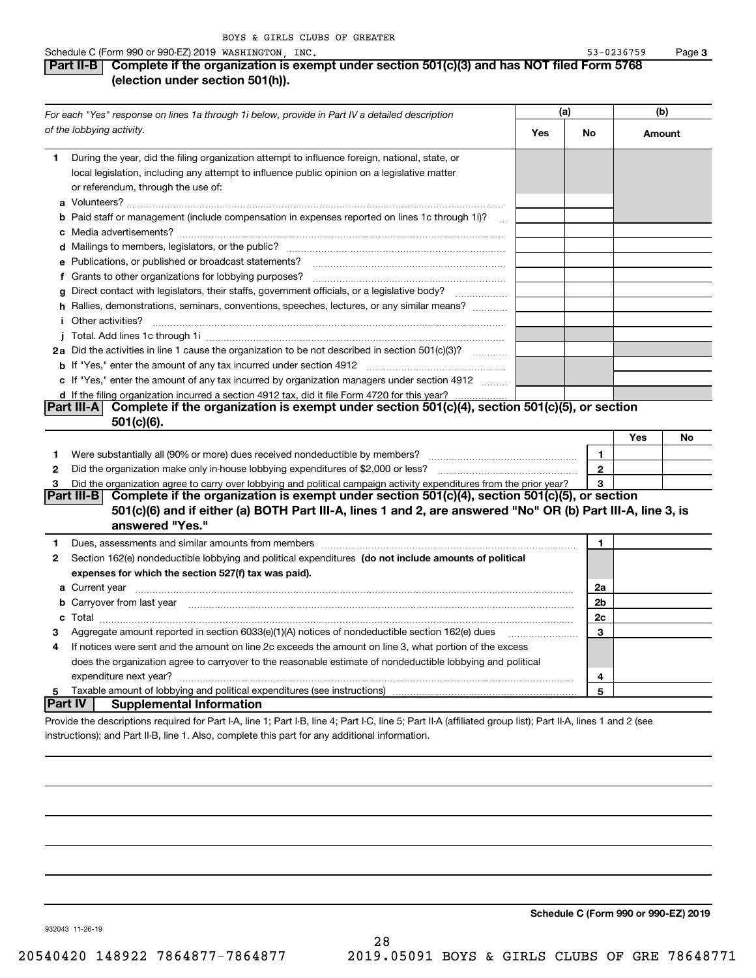| Schedule C (Form 990 or 990-EZ) 2019  WASHINGTON     INC .                                           | 53-0236759 | Page |
|------------------------------------------------------------------------------------------------------|------------|------|
| Part II-B Complete if the organization is exempt under section 501(c)(3) and has NOT filed Form 5768 |            |      |
| (election under section 501(h)).                                                                     |            |      |

| For each "Yes" response on lines 1a through 1i below, provide in Part IV a detailed description |                                                                                                                                                                                                                                               | (a) |              | (b)    |    |
|-------------------------------------------------------------------------------------------------|-----------------------------------------------------------------------------------------------------------------------------------------------------------------------------------------------------------------------------------------------|-----|--------------|--------|----|
|                                                                                                 | of the lobbying activity.                                                                                                                                                                                                                     | Yes | No           | Amount |    |
| 1                                                                                               | During the year, did the filing organization attempt to influence foreign, national, state, or<br>local legislation, including any attempt to influence public opinion on a legislative matter<br>or referendum, through the use of:          |     |              |        |    |
|                                                                                                 | b Paid staff or management (include compensation in expenses reported on lines 1c through 1i)?<br>$\sim$                                                                                                                                      |     |              |        |    |
|                                                                                                 |                                                                                                                                                                                                                                               |     |              |        |    |
|                                                                                                 | e Publications, or published or broadcast statements?                                                                                                                                                                                         |     |              |        |    |
|                                                                                                 |                                                                                                                                                                                                                                               |     |              |        |    |
|                                                                                                 | g Direct contact with legislators, their staffs, government officials, or a legislative body?                                                                                                                                                 |     |              |        |    |
|                                                                                                 | h Rallies, demonstrations, seminars, conventions, speeches, lectures, or any similar means?<br><i>i</i> Other activities?                                                                                                                     |     |              |        |    |
|                                                                                                 |                                                                                                                                                                                                                                               |     |              |        |    |
|                                                                                                 | 2a Did the activities in line 1 cause the organization to be not described in section 501(c)(3)?                                                                                                                                              |     |              |        |    |
|                                                                                                 |                                                                                                                                                                                                                                               |     |              |        |    |
|                                                                                                 | c If "Yes," enter the amount of any tax incurred by organization managers under section 4912                                                                                                                                                  |     |              |        |    |
|                                                                                                 | d If the filing organization incurred a section 4912 tax, did it file Form 4720 for this year?                                                                                                                                                |     |              |        |    |
|                                                                                                 | Complete if the organization is exempt under section 501(c)(4), section 501(c)(5), or section<br><b>Part III-AI</b>                                                                                                                           |     |              |        |    |
|                                                                                                 | $501(c)(6)$ .                                                                                                                                                                                                                                 |     |              |        |    |
|                                                                                                 |                                                                                                                                                                                                                                               |     |              | Yes    | No |
| 1                                                                                               |                                                                                                                                                                                                                                               |     | 1            |        |    |
| $\mathbf{2}$                                                                                    |                                                                                                                                                                                                                                               |     | $\mathbf{2}$ |        |    |
| 3                                                                                               | Did the organization agree to carry over lobbying and political campaign activity expenditures from the prior year?                                                                                                                           |     | 3            |        |    |
|                                                                                                 | Part III-B<br>Complete if the organization is exempt under section 501(c)(4), section 501(c)(5), or section<br>501(c)(6) and if either (a) BOTH Part III-A, lines 1 and 2, are answered "No" OR (b) Part III-A, line 3, is<br>answered "Yes." |     |              |        |    |
| 1                                                                                               | Dues, assessments and similar amounts from members [111] www.communicallyness.communicallyness.communicallyness.com                                                                                                                           |     | 1            |        |    |
| 2                                                                                               | Section 162(e) nondeductible lobbying and political expenditures (do not include amounts of political                                                                                                                                         |     |              |        |    |
|                                                                                                 | expenses for which the section 527(f) tax was paid).                                                                                                                                                                                          |     |              |        |    |
|                                                                                                 |                                                                                                                                                                                                                                               |     | 2a           |        |    |
|                                                                                                 | <b>b</b> Carryover from last year manufactured and content to content the content of the content of the content of the content of the content of the content of the content of the content of the content of the content of the con           |     | 2b           |        |    |
|                                                                                                 |                                                                                                                                                                                                                                               |     | 2c           |        |    |
| з                                                                                               | Aggregate amount reported in section 6033(e)(1)(A) notices of nondeductible section 162(e) dues                                                                                                                                               |     | 3            |        |    |
| 4                                                                                               | If notices were sent and the amount on line 2c exceeds the amount on line 3, what portion of the excess                                                                                                                                       |     |              |        |    |
|                                                                                                 | does the organization agree to carryover to the reasonable estimate of nondeductible lobbying and political                                                                                                                                   |     |              |        |    |
|                                                                                                 |                                                                                                                                                                                                                                               |     | 4            |        |    |
| 5                                                                                               | Taxable amount of lobbying and political expenditures (see instructions)                                                                                                                                                                      |     | 5            |        |    |
|                                                                                                 | Part IV  <br><b>Supplemental Information</b>                                                                                                                                                                                                  |     |              |        |    |
|                                                                                                 | ide the decembring user inset for Dart LA. Iins 4: Dart LD. Iins 4: Dart LO. Iins E. Dart H.A. (afflicted amount light). Dart H.A. Iinse 4, and 0 (a                                                                                          |     |              |        |    |

Provide the descriptions required for Part I-A, line 1; Part I-B, line 4; Part I-C, line 5; Part II-A (affiliated group list); Part II-A, lines 1 and 2 (see instructions); and Part II-B, line 1. Also, complete this part for any additional information.

**Schedule C (Form 990 or 990-EZ) 2019**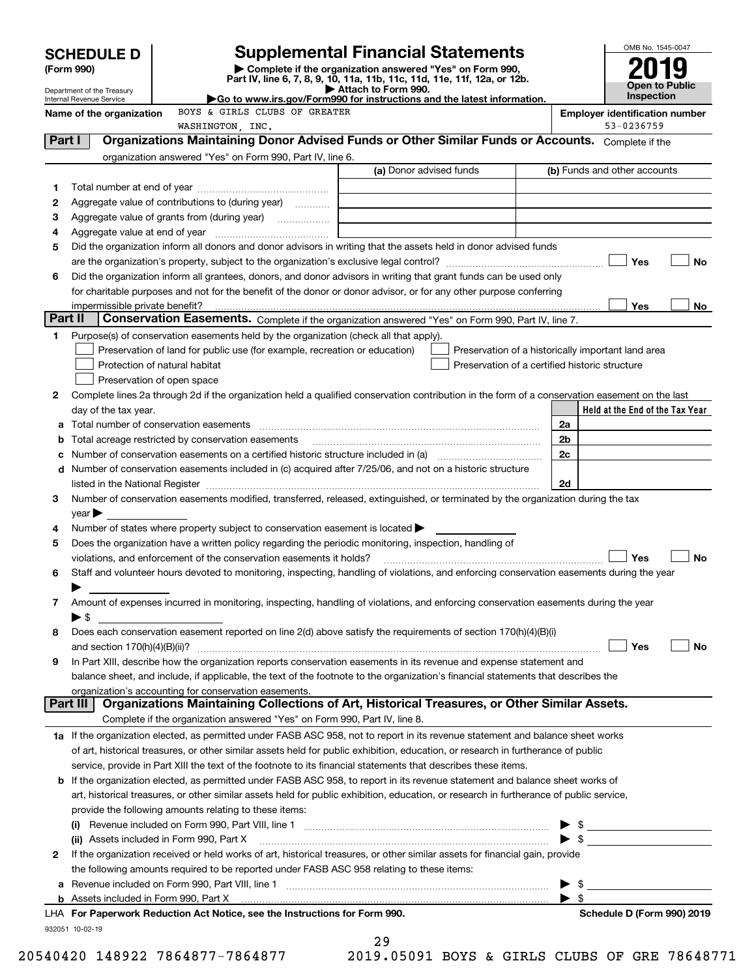|         | <b>SCHEDULE D</b>                                                                                                                                                                                                             | <b>Supplemental Financial Statements</b>                                                      |                         | OMB No. 1545-0047                                   |
|---------|-------------------------------------------------------------------------------------------------------------------------------------------------------------------------------------------------------------------------------|-----------------------------------------------------------------------------------------------|-------------------------|-----------------------------------------------------|
|         | Complete if the organization answered "Yes" on Form 990,<br>(Form 990)                                                                                                                                                        |                                                                                               |                         |                                                     |
|         |                                                                                                                                                                                                                               | Part IV, line 6, 7, 8, 9, 10, 11a, 11b, 11c, 11d, 11e, 11f, 12a, or 12b.                      |                         | <b>Open to Public</b>                               |
|         | Department of the Treasury<br>Internal Revenue Service                                                                                                                                                                        | Attach to Form 990.<br>Go to www.irs.gov/Form990 for instructions and the latest information. |                         | <b>Inspection</b>                                   |
|         | BOYS & GIRLS CLUBS OF GREATER<br>Name of the organization<br>WASHINGTON, INC.                                                                                                                                                 |                                                                                               |                         | <b>Employer identification number</b><br>53-0236759 |
| Part I  | Organizations Maintaining Donor Advised Funds or Other Similar Funds or Accounts. Complete if the                                                                                                                             |                                                                                               |                         |                                                     |
|         | organization answered "Yes" on Form 990, Part IV, line 6.                                                                                                                                                                     |                                                                                               |                         |                                                     |
|         |                                                                                                                                                                                                                               | (a) Donor advised funds                                                                       |                         | (b) Funds and other accounts                        |
| 1       |                                                                                                                                                                                                                               |                                                                                               |                         |                                                     |
| 2       | Aggregate value of contributions to (during year) <i>mimimal</i>                                                                                                                                                              |                                                                                               |                         |                                                     |
| 3       |                                                                                                                                                                                                                               |                                                                                               |                         |                                                     |
| 4       |                                                                                                                                                                                                                               |                                                                                               |                         |                                                     |
| 5       | Did the organization inform all donors and donor advisors in writing that the assets held in donor advised funds                                                                                                              |                                                                                               |                         |                                                     |
|         |                                                                                                                                                                                                                               |                                                                                               |                         | Yes<br>No                                           |
| 6       | Did the organization inform all grantees, donors, and donor advisors in writing that grant funds can be used only                                                                                                             |                                                                                               |                         |                                                     |
|         | for charitable purposes and not for the benefit of the donor or donor advisor, or for any other purpose conferring                                                                                                            |                                                                                               |                         |                                                     |
| Part II | impermissible private benefit?                                                                                                                                                                                                |                                                                                               |                         | Yes<br>No                                           |
|         | Conservation Easements. Complete if the organization answered "Yes" on Form 990, Part IV, line 7.                                                                                                                             |                                                                                               |                         |                                                     |
| 1       | Purpose(s) of conservation easements held by the organization (check all that apply).                                                                                                                                         |                                                                                               |                         |                                                     |
|         | Preservation of land for public use (for example, recreation or education)                                                                                                                                                    | Preservation of a historically important land area                                            |                         |                                                     |
|         | Protection of natural habitat                                                                                                                                                                                                 | Preservation of a certified historic structure                                                |                         |                                                     |
|         | Preservation of open space                                                                                                                                                                                                    |                                                                                               |                         |                                                     |
| 2       | Complete lines 2a through 2d if the organization held a qualified conservation contribution in the form of a conservation easement on the last                                                                                |                                                                                               |                         |                                                     |
|         | day of the tax year.                                                                                                                                                                                                          |                                                                                               |                         | Held at the End of the Tax Year                     |
|         |                                                                                                                                                                                                                               |                                                                                               | 2a                      |                                                     |
| b       | Total acreage restricted by conservation easements                                                                                                                                                                            |                                                                                               | 2 <sub>b</sub>          |                                                     |
| c       |                                                                                                                                                                                                                               |                                                                                               | 2c                      |                                                     |
|         | d Number of conservation easements included in (c) acquired after 7/25/06, and not on a historic structure                                                                                                                    |                                                                                               |                         |                                                     |
|         | listed in the National Register [111] Marshall Register [11] Marshall Register [11] Marshall Register [11] Marshall Register [11] Marshall Register [11] Marshall Register [11] Marshall Register [11] Marshall Register [11] |                                                                                               | 2d                      |                                                     |
| 3       | Number of conservation easements modified, transferred, released, extinguished, or terminated by the organization during the tax<br>$\gamma$ ear                                                                              |                                                                                               |                         |                                                     |
| 4       | Number of states where property subject to conservation easement is located >                                                                                                                                                 |                                                                                               |                         |                                                     |
| 5       | Does the organization have a written policy regarding the periodic monitoring, inspection, handling of                                                                                                                        |                                                                                               |                         |                                                     |
|         | violations, and enforcement of the conservation easements it holds?                                                                                                                                                           |                                                                                               |                         | <b>No</b><br>Yes                                    |
| 6       | Staff and volunteer hours devoted to monitoring, inspecting, handling of violations, and enforcing conservation easements during the year                                                                                     |                                                                                               |                         |                                                     |
|         |                                                                                                                                                                                                                               |                                                                                               |                         |                                                     |
| 7       | Amount of expenses incurred in monitoring, inspecting, handling of violations, and enforcing conservation easements during the year                                                                                           |                                                                                               |                         |                                                     |
|         | $\blacktriangleright$ \$                                                                                                                                                                                                      |                                                                                               |                         |                                                     |
| 8       | Does each conservation easement reported on line 2(d) above satisfy the requirements of section 170(h)(4)(B)(i)                                                                                                               |                                                                                               |                         |                                                     |
|         |                                                                                                                                                                                                                               |                                                                                               |                         | Yes<br>No                                           |
| 9       | In Part XIII, describe how the organization reports conservation easements in its revenue and expense statement and                                                                                                           |                                                                                               |                         |                                                     |
|         | balance sheet, and include, if applicable, the text of the footnote to the organization's financial statements that describes the                                                                                             |                                                                                               |                         |                                                     |
|         | organization's accounting for conservation easements.                                                                                                                                                                         |                                                                                               |                         |                                                     |
|         | Organizations Maintaining Collections of Art, Historical Treasures, or Other Similar Assets.<br>Part III                                                                                                                      |                                                                                               |                         |                                                     |
|         | Complete if the organization answered "Yes" on Form 990, Part IV, line 8.                                                                                                                                                     |                                                                                               |                         |                                                     |
|         | 1a If the organization elected, as permitted under FASB ASC 958, not to report in its revenue statement and balance sheet works                                                                                               |                                                                                               |                         |                                                     |
|         | of art, historical treasures, or other similar assets held for public exhibition, education, or research in furtherance of public                                                                                             |                                                                                               |                         |                                                     |
|         | service, provide in Part XIII the text of the footnote to its financial statements that describes these items.                                                                                                                |                                                                                               |                         |                                                     |
|         | <b>b</b> If the organization elected, as permitted under FASB ASC 958, to report in its revenue statement and balance sheet works of                                                                                          |                                                                                               |                         |                                                     |
|         | art, historical treasures, or other similar assets held for public exhibition, education, or research in furtherance of public service,                                                                                       |                                                                                               |                         |                                                     |
|         | provide the following amounts relating to these items:                                                                                                                                                                        |                                                                                               |                         |                                                     |
|         |                                                                                                                                                                                                                               |                                                                                               |                         |                                                     |
|         | (ii) Assets included in Form 990, Part X [11] [12] Assets included in Form 990, Part X                                                                                                                                        |                                                                                               |                         |                                                     |
| 2       | If the organization received or held works of art, historical treasures, or other similar assets for financial gain, provide                                                                                                  |                                                                                               |                         |                                                     |
|         | the following amounts required to be reported under FASB ASC 958 relating to these items:                                                                                                                                     |                                                                                               |                         |                                                     |
|         |                                                                                                                                                                                                                               |                                                                                               |                         | - \$                                                |
|         |                                                                                                                                                                                                                               |                                                                                               | $\blacktriangleright$ s |                                                     |
|         | LHA For Paperwork Reduction Act Notice, see the Instructions for Form 990.                                                                                                                                                    |                                                                                               |                         | Schedule D (Form 990) 2019                          |
|         | 932051 10-02-19                                                                                                                                                                                                               |                                                                                               |                         |                                                     |

|         | 29 |    |  |
|---------|----|----|--|
| າ ດ 1 ດ |    | ◠⊏ |  |

20540420 148922 7864877-7864877 2019.05091 BOYS & GIRLS CLUBS OF GRE 78648771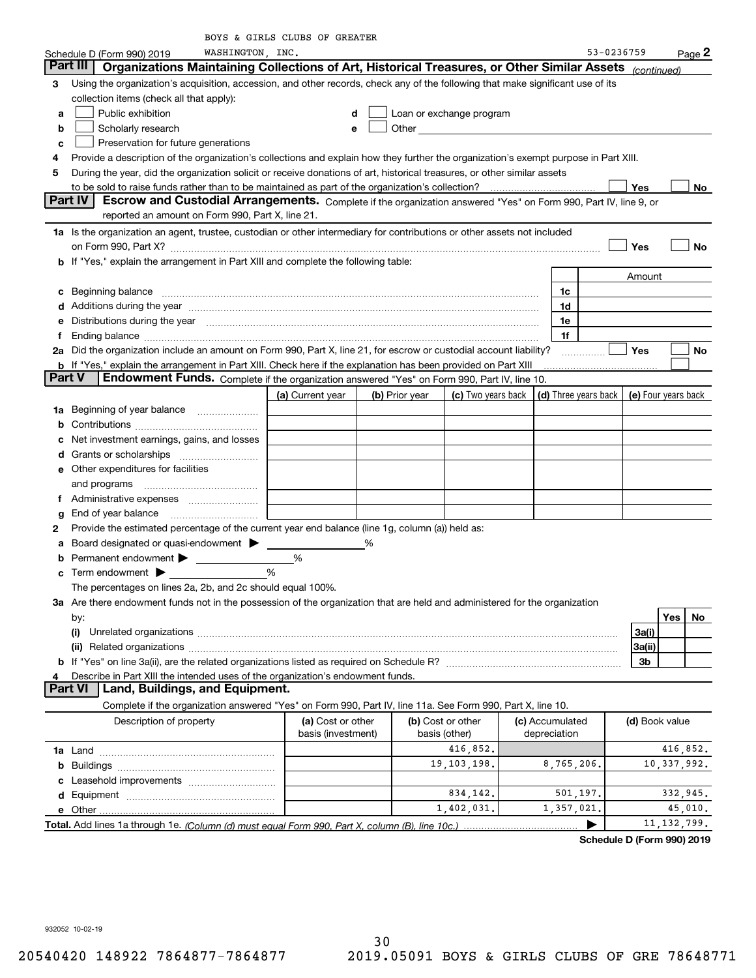|               |                                                                                                                                                                                                                                       | BOYS & GIRLS CLUBS OF GREATER |   |                |                                                                                                                                                                                                                                |                                                                             |                |               |
|---------------|---------------------------------------------------------------------------------------------------------------------------------------------------------------------------------------------------------------------------------------|-------------------------------|---|----------------|--------------------------------------------------------------------------------------------------------------------------------------------------------------------------------------------------------------------------------|-----------------------------------------------------------------------------|----------------|---------------|
|               | WASHINGTON, INC.<br>Schedule D (Form 990) 2019                                                                                                                                                                                        |                               |   |                |                                                                                                                                                                                                                                |                                                                             | 53-0236759     | $Page$ 2      |
|               | Organizations Maintaining Collections of Art, Historical Treasures, or Other Similar Assets<br>Part III                                                                                                                               |                               |   |                |                                                                                                                                                                                                                                |                                                                             | (continued)    |               |
| 3             | Using the organization's acquisition, accession, and other records, check any of the following that make significant use of its<br>collection items (check all that apply):                                                           |                               |   |                |                                                                                                                                                                                                                                |                                                                             |                |               |
| a             | Public exhibition                                                                                                                                                                                                                     |                               |   |                | Loan or exchange program                                                                                                                                                                                                       |                                                                             |                |               |
| b             | Scholarly research                                                                                                                                                                                                                    |                               |   |                | Other the contract of the contract of the contract of the contract of the contract of the contract of the contract of the contract of the contract of the contract of the contract of the contract of the contract of the cont |                                                                             |                |               |
| c             | Preservation for future generations                                                                                                                                                                                                   |                               |   |                |                                                                                                                                                                                                                                |                                                                             |                |               |
|               | Provide a description of the organization's collections and explain how they further the organization's exempt purpose in Part XIII.                                                                                                  |                               |   |                |                                                                                                                                                                                                                                |                                                                             |                |               |
| 5             | During the year, did the organization solicit or receive donations of art, historical treasures, or other similar assets                                                                                                              |                               |   |                |                                                                                                                                                                                                                                |                                                                             |                |               |
|               |                                                                                                                                                                                                                                       |                               |   |                |                                                                                                                                                                                                                                |                                                                             | Yes            | No            |
|               | to be sold to raise funds rather than to be maintained as part of the organization's collection?<br><b>Part IV</b><br>Escrow and Custodial Arrangements. Complete if the organization answered "Yes" on Form 990, Part IV, line 9, or |                               |   |                |                                                                                                                                                                                                                                |                                                                             |                |               |
|               | reported an amount on Form 990, Part X, line 21.                                                                                                                                                                                      |                               |   |                |                                                                                                                                                                                                                                |                                                                             |                |               |
|               | 1a Is the organization an agent, trustee, custodian or other intermediary for contributions or other assets not included                                                                                                              |                               |   |                |                                                                                                                                                                                                                                |                                                                             |                |               |
|               |                                                                                                                                                                                                                                       |                               |   |                |                                                                                                                                                                                                                                |                                                                             | Yes            | No            |
|               | b If "Yes," explain the arrangement in Part XIII and complete the following table:                                                                                                                                                    |                               |   |                |                                                                                                                                                                                                                                |                                                                             |                |               |
|               |                                                                                                                                                                                                                                       |                               |   |                |                                                                                                                                                                                                                                |                                                                             | Amount         |               |
| c             |                                                                                                                                                                                                                                       |                               |   |                |                                                                                                                                                                                                                                | 1c                                                                          |                |               |
|               |                                                                                                                                                                                                                                       |                               |   |                |                                                                                                                                                                                                                                | 1d                                                                          |                |               |
|               | d Additions during the year manufactured and an account of the state of a distribution of Additions during the year manufactured and account of Additions during the year manufactured and account of Additional Additional Ad        |                               |   |                |                                                                                                                                                                                                                                | 1e                                                                          |                |               |
|               | Distributions during the year manufactured and continuum and contract the year manufactured and contract the year                                                                                                                     |                               |   |                |                                                                                                                                                                                                                                | 1f                                                                          |                |               |
|               | 2a Did the organization include an amount on Form 990, Part X, line 21, for escrow or custodial account liability?                                                                                                                    |                               |   |                |                                                                                                                                                                                                                                |                                                                             | Yes            | No            |
|               |                                                                                                                                                                                                                                       |                               |   |                |                                                                                                                                                                                                                                |                                                                             |                |               |
| <b>Part V</b> | <b>b</b> If "Yes," explain the arrangement in Part XIII. Check here if the explanation has been provided on Part XIII<br><b>Endowment Funds.</b> Complete if the organization answered "Yes" on Form 990, Part IV, line 10.           |                               |   |                |                                                                                                                                                                                                                                |                                                                             |                |               |
|               |                                                                                                                                                                                                                                       | (a) Current year              |   | (b) Prior year |                                                                                                                                                                                                                                | (c) Two years back $\vert$ (d) Three years back $\vert$ (e) Four years back |                |               |
| 1a            | Beginning of year balance                                                                                                                                                                                                             |                               |   |                |                                                                                                                                                                                                                                |                                                                             |                |               |
|               |                                                                                                                                                                                                                                       |                               |   |                |                                                                                                                                                                                                                                |                                                                             |                |               |
|               |                                                                                                                                                                                                                                       |                               |   |                |                                                                                                                                                                                                                                |                                                                             |                |               |
|               | Net investment earnings, gains, and losses                                                                                                                                                                                            |                               |   |                |                                                                                                                                                                                                                                |                                                                             |                |               |
|               |                                                                                                                                                                                                                                       |                               |   |                |                                                                                                                                                                                                                                |                                                                             |                |               |
|               | e Other expenditures for facilities                                                                                                                                                                                                   |                               |   |                |                                                                                                                                                                                                                                |                                                                             |                |               |
|               | and programs                                                                                                                                                                                                                          |                               |   |                |                                                                                                                                                                                                                                |                                                                             |                |               |
|               |                                                                                                                                                                                                                                       |                               |   |                |                                                                                                                                                                                                                                |                                                                             |                |               |
| g             | End of year balance                                                                                                                                                                                                                   |                               |   |                |                                                                                                                                                                                                                                |                                                                             |                |               |
| 2             | Provide the estimated percentage of the current year end balance (line 1g, column (a)) held as:                                                                                                                                       |                               |   |                |                                                                                                                                                                                                                                |                                                                             |                |               |
|               | Board designated or quasi-endowment >                                                                                                                                                                                                 |                               | % |                |                                                                                                                                                                                                                                |                                                                             |                |               |
|               |                                                                                                                                                                                                                                       | %                             |   |                |                                                                                                                                                                                                                                |                                                                             |                |               |
|               | $\mathbf c$ Term endowment $\blacktriangleright$                                                                                                                                                                                      | %                             |   |                |                                                                                                                                                                                                                                |                                                                             |                |               |
|               | The percentages on lines 2a, 2b, and 2c should equal 100%.                                                                                                                                                                            |                               |   |                |                                                                                                                                                                                                                                |                                                                             |                |               |
|               | 3a Are there endowment funds not in the possession of the organization that are held and administered for the organization                                                                                                            |                               |   |                |                                                                                                                                                                                                                                |                                                                             |                |               |
|               | by:                                                                                                                                                                                                                                   |                               |   |                |                                                                                                                                                                                                                                |                                                                             |                | Yes<br>No     |
|               | (i)                                                                                                                                                                                                                                   |                               |   |                |                                                                                                                                                                                                                                |                                                                             | 3a(i)          |               |
|               | (ii)                                                                                                                                                                                                                                  |                               |   |                |                                                                                                                                                                                                                                |                                                                             | 3a(ii)         |               |
|               |                                                                                                                                                                                                                                       |                               |   |                |                                                                                                                                                                                                                                |                                                                             | 3b             |               |
|               | Describe in Part XIII the intended uses of the organization's endowment funds.                                                                                                                                                        |                               |   |                |                                                                                                                                                                                                                                |                                                                             |                |               |
|               | Land, Buildings, and Equipment.<br><b>Part VI</b>                                                                                                                                                                                     |                               |   |                |                                                                                                                                                                                                                                |                                                                             |                |               |
|               | Complete if the organization answered "Yes" on Form 990, Part IV, line 11a. See Form 990, Part X, line 10.                                                                                                                            |                               |   |                |                                                                                                                                                                                                                                |                                                                             |                |               |
|               | Description of property                                                                                                                                                                                                               | (a) Cost or other             |   |                | (b) Cost or other                                                                                                                                                                                                              | (c) Accumulated                                                             | (d) Book value |               |
|               |                                                                                                                                                                                                                                       | basis (investment)            |   |                | basis (other)                                                                                                                                                                                                                  | depreciation                                                                |                |               |
|               |                                                                                                                                                                                                                                       |                               |   |                | 416,852.                                                                                                                                                                                                                       |                                                                             |                | 416,852.      |
| b             |                                                                                                                                                                                                                                       |                               |   |                | 19, 103, 198.                                                                                                                                                                                                                  | 8,765,206.                                                                  |                | 10,337,992.   |
|               |                                                                                                                                                                                                                                       |                               |   |                |                                                                                                                                                                                                                                |                                                                             |                |               |
|               |                                                                                                                                                                                                                                       |                               |   |                | 834,142.                                                                                                                                                                                                                       | 501,197.                                                                    |                | 332,945.      |
|               |                                                                                                                                                                                                                                       |                               |   |                | 1,402,031.                                                                                                                                                                                                                     | 1,357,021.                                                                  |                | 45,010.       |
|               |                                                                                                                                                                                                                                       |                               |   |                |                                                                                                                                                                                                                                |                                                                             |                | 11, 132, 799. |

**Schedule D (Form 990) 2019**

932052 10-02-19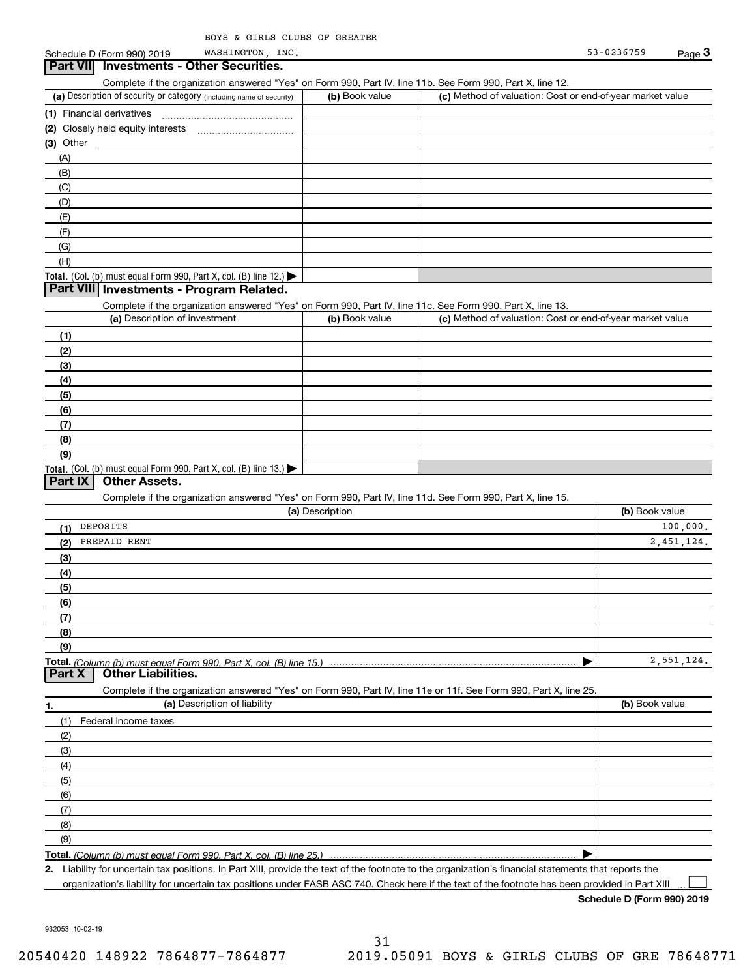WASHINGTON,

#### (a) Description of security or category (including name of security)  $\vert$  (b) Book value  $\vert$  (c) **(1)** Financial derivatives ~~~~~~~~~~~~~~~ **(2)** Closely held equity interests ~~~~~~~~~~~ **(3)**OtherComplete if the organization answered "Yes" on Form 990, Part IV, line 11b. See Form 990, Part X, line 12.  $(b)$  Book value  $\vert$  (c) Method of valuation: Cost or end-of-year market value (A)(B)(C)(D)(E)(F)(G)(H)**Part VII Investments - Other Securities.**

#### Total. (Col. (b) must equal Form 990, Part X, col. (B) line 12.)

#### **Part VIII Investments - Program Related.**

Complete if the organization answered "Yes" on Form 990, Part IV, line 11c. See Form 990, Part X, line 13.

| (a) Description of investment                                                          | (b) Book value | (c) Method of valuation: Cost or end-of-year market value |
|----------------------------------------------------------------------------------------|----------------|-----------------------------------------------------------|
| (1)                                                                                    |                |                                                           |
| (2)                                                                                    |                |                                                           |
| $\left(3\right)$                                                                       |                |                                                           |
| (4)                                                                                    |                |                                                           |
| $\frac{1}{2}$                                                                          |                |                                                           |
| (6)                                                                                    |                |                                                           |
| $\sqrt{(7)}$                                                                           |                |                                                           |
| (8)                                                                                    |                |                                                           |
| (9)                                                                                    |                |                                                           |
| Total. (Col. (b) must equal Form 990, Part X, col. (B) line 13.) $\blacktriangleright$ |                |                                                           |

#### **Part IX Other Assets.**

Complete if the organization answered "Yes" on Form 990, Part IV, line 11d. See Form 990, Part X, line 15.

| (a) Description                                                                                                   | (b) Book value |
|-------------------------------------------------------------------------------------------------------------------|----------------|
| <b>DEPOSITS</b>                                                                                                   | 100,000.       |
| PREPAID RENT<br>(2)                                                                                               | 2,451,124.     |
| (3)                                                                                                               |                |
| (4)                                                                                                               |                |
| (5)                                                                                                               |                |
| $\frac{6}{6}$                                                                                                     |                |
| (7)                                                                                                               |                |
| (8)                                                                                                               |                |
| (9)                                                                                                               |                |
|                                                                                                                   | 2,551,124.     |
| Part X<br><b>Other Liabilities.</b>                                                                               |                |
| Complete if the organization answered "Yes" on Form 990, Part IV, line 11e or 11f. See Form 990, Part X, line 25. |                |

|              | (a) Description of liability | (b) Book value |
|--------------|------------------------------|----------------|
| (1)          | Federal income taxes         |                |
| (2)          |                              |                |
| (3)          |                              |                |
| (4)          |                              |                |
| (5)          |                              |                |
| (6)          |                              |                |
| $\qquad$ (7) |                              |                |
| (8)          |                              |                |
| (9)          |                              |                |
|              |                              |                |

*(Column (b) must equal Form 990, Part X, col. (B) line 25.)* 

**2.**Liability for uncertain tax positions. In Part XIII, provide the text of the footnote to the organization's financial statements that reports the organization's liability for uncertain tax positions under FASB ASC 740. Check here if the text of the footnote has been provided in Part XIII

**Schedule D (Form 990) 2019**

 $\mathcal{L}^{\text{max}}$ 

932053 10-02-19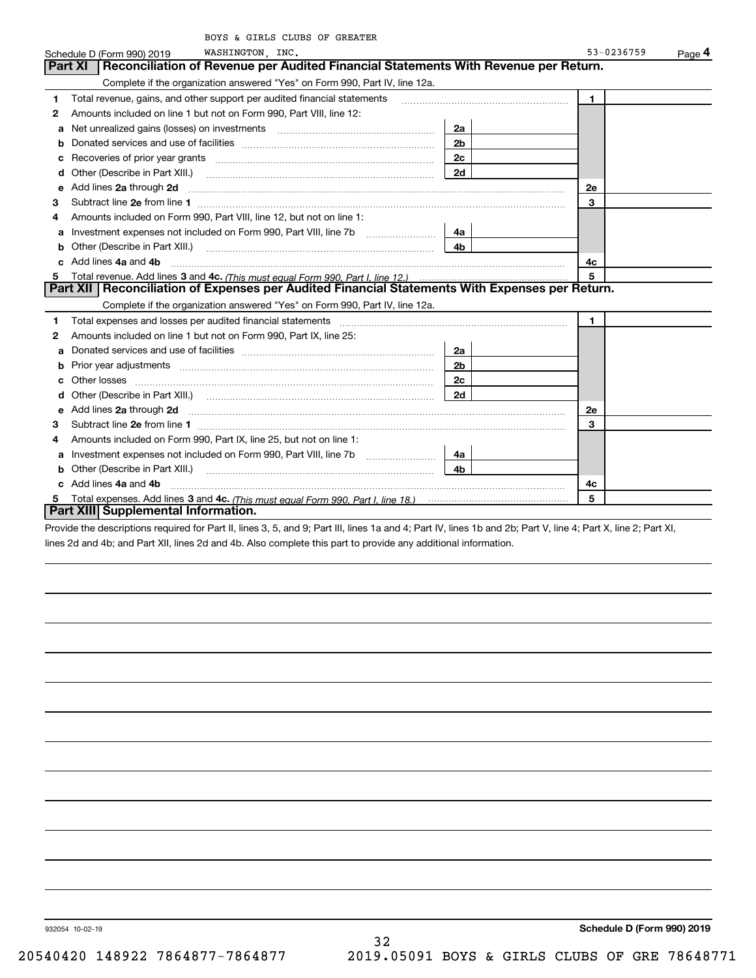|   | BOYS & GIRLS CLUBS OF GREATER                                                                                                                                                                                                                                                    |                |                      |
|---|----------------------------------------------------------------------------------------------------------------------------------------------------------------------------------------------------------------------------------------------------------------------------------|----------------|----------------------|
|   | WASHINGTON, INC.<br>Schedule D (Form 990) 2019                                                                                                                                                                                                                                   |                | 53-0236759<br>Page 4 |
|   | Reconciliation of Revenue per Audited Financial Statements With Revenue per Return.<br>Part XI                                                                                                                                                                                   |                |                      |
|   | Complete if the organization answered "Yes" on Form 990, Part IV, line 12a.                                                                                                                                                                                                      |                |                      |
| 1 | Total revenue, gains, and other support per audited financial statements                                                                                                                                                                                                         |                | 1                    |
| 2 | Amounts included on line 1 but not on Form 990, Part VIII, line 12:                                                                                                                                                                                                              |                |                      |
| a |                                                                                                                                                                                                                                                                                  | 2a             |                      |
| b |                                                                                                                                                                                                                                                                                  | 2b             |                      |
|   |                                                                                                                                                                                                                                                                                  | 2 <sub>c</sub> |                      |
| d | Other (Describe in Part XIII.)                                                                                                                                                                                                                                                   | 2d             |                      |
| e | Add lines 2a through 2d <b>[10]</b> [20] <b>All (20)</b> [20] [20] <b>All (20)</b> [30] <b>All (20)</b> [30] <b>All (20)</b> [30] <b>All (20)</b> [30] <b>All (20)</b> [30] <b>All (20)</b> [30] <b>All (20)</b> [30] <b>All (20)</b> [30] <b>All (20) All (20) All (20) All</b> |                | 2e                   |
| з |                                                                                                                                                                                                                                                                                  |                | 3                    |
| 4 | Amounts included on Form 990, Part VIII, line 12, but not on line 1:                                                                                                                                                                                                             |                |                      |
|   | Investment expenses not included on Form 990, Part VIII, line 7b                                                                                                                                                                                                                 | 4a             |                      |
| b | Other (Describe in Part XIII.) <b>Construction Contract Construction</b> Chern Construction Construction Construction                                                                                                                                                            | 4b.            |                      |
| c | Add lines 4a and 4b                                                                                                                                                                                                                                                              |                | 4c                   |
| 5 |                                                                                                                                                                                                                                                                                  |                | 5                    |
|   | Part XII   Reconciliation of Expenses per Audited Financial Statements With Expenses per Return.                                                                                                                                                                                 |                |                      |
|   | Complete if the organization answered "Yes" on Form 990, Part IV, line 12a.                                                                                                                                                                                                      |                |                      |
| 1 | Total expenses and losses per audited financial statements [111] [12] contracts and statements [12] Total expenses and losses per audited financial statements [12] [12] $\alpha$                                                                                                |                | $\mathbf{1}$         |
| 2 | Amounts included on line 1 but not on Form 990, Part IX, line 25:                                                                                                                                                                                                                |                |                      |
| a |                                                                                                                                                                                                                                                                                  | 2a             |                      |
| b |                                                                                                                                                                                                                                                                                  | 2 <sub>b</sub> |                      |
|   | Other losses                                                                                                                                                                                                                                                                     | 2c             |                      |
| d |                                                                                                                                                                                                                                                                                  | 2d             |                      |
| е | Add lines 2a through 2d <b>contained a contained a contained a contained a</b> contained a contact the state of the state of the state of the state of the state of the state of the state of the state of the state of the state o                                              |                | 2e                   |
| з |                                                                                                                                                                                                                                                                                  |                | 3                    |
|   | Amounts included on Form 990, Part IX, line 25, but not on line 1:                                                                                                                                                                                                               |                |                      |
|   |                                                                                                                                                                                                                                                                                  | 4a             |                      |
| b | Other (Describe in Part XIII.)                                                                                                                                                                                                                                                   | 4b             |                      |
|   | c Add lines 4a and 4b                                                                                                                                                                                                                                                            |                | 4c                   |
|   | Total expenses. Add lines 3 and 4c. (This must equal Form 990, Part I, line 18.) <b>Conservers</b> manufactured in the                                                                                                                                                           |                | 5                    |
|   | Part XIII Supplemental Information.                                                                                                                                                                                                                                              |                |                      |

Provide the descriptions required for Part II, lines 3, 5, and 9; Part III, lines 1a and 4; Part IV, lines 1b and 2b; Part V, line 4; Part X, line 2; Part XI, lines 2d and 4b; and Part XII, lines 2d and 4b. Also complete this part to provide any additional information.

32

932054 10-02-19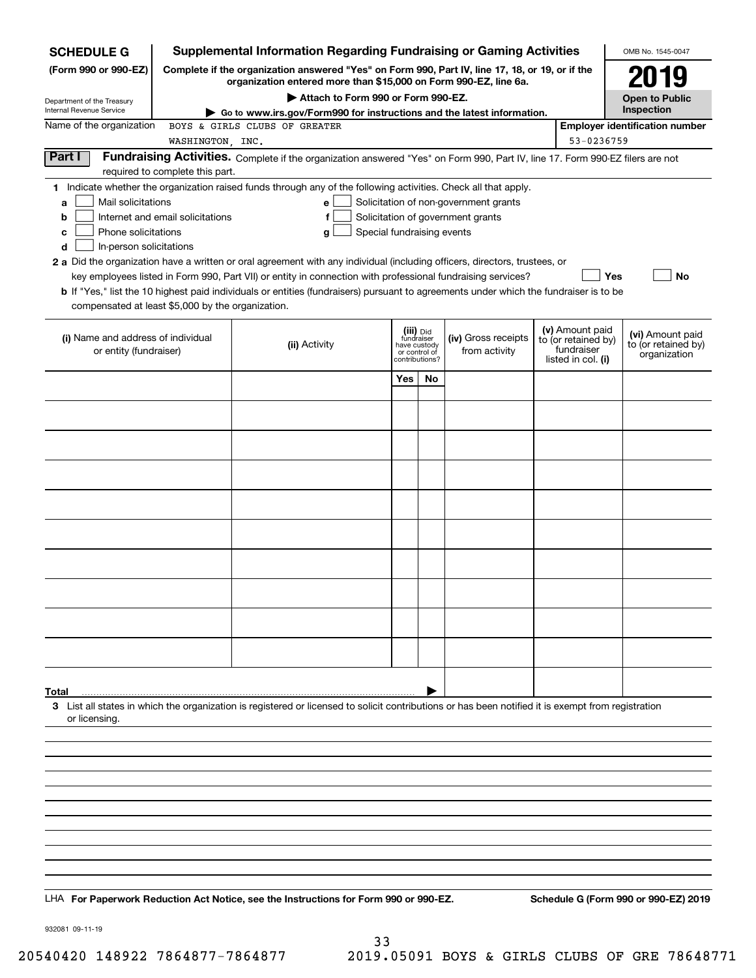| <b>SCHEDULE G</b>                                 | <b>Supplemental Information Regarding Fundraising or Gaming Activities</b>                                                                                          |                                                                                                                                                    |                                 |    |                     |  | OMB No. 1545-0047                 |                                         |  |
|---------------------------------------------------|---------------------------------------------------------------------------------------------------------------------------------------------------------------------|----------------------------------------------------------------------------------------------------------------------------------------------------|---------------------------------|----|---------------------|--|-----------------------------------|-----------------------------------------|--|
| (Form 990 or 990-EZ)                              | Complete if the organization answered "Yes" on Form 990, Part IV, line 17, 18, or 19, or if the<br>organization entered more than \$15,000 on Form 990-EZ, line 6a. |                                                                                                                                                    |                                 |    |                     |  |                                   | 2019                                    |  |
| Department of the Treasury                        |                                                                                                                                                                     | Attach to Form 990 or Form 990-EZ.                                                                                                                 |                                 |    |                     |  |                                   | <b>Open to Public</b>                   |  |
| Internal Revenue Service                          |                                                                                                                                                                     | ► Go to www.irs.gov/Form990 for instructions and the latest information.                                                                           |                                 |    |                     |  |                                   | Inspection                              |  |
| Name of the organization                          |                                                                                                                                                                     | BOYS & GIRLS CLUBS OF GREATER                                                                                                                      |                                 |    |                     |  | 53-0236759                        | <b>Employer identification number</b>   |  |
| Part I                                            | WASHINGTON, INC.                                                                                                                                                    | Fundraising Activities. Complete if the organization answered "Yes" on Form 990, Part IV, line 17. Form 990-EZ filers are not                      |                                 |    |                     |  |                                   |                                         |  |
|                                                   | required to complete this part.                                                                                                                                     |                                                                                                                                                    |                                 |    |                     |  |                                   |                                         |  |
|                                                   |                                                                                                                                                                     | 1 Indicate whether the organization raised funds through any of the following activities. Check all that apply.                                    |                                 |    |                     |  |                                   |                                         |  |
| a<br>b                                            | Mail solicitations<br>Solicitation of non-government grants<br>$\mathbf{e}$<br>Solicitation of government grants<br>Internet and email solicitations<br>f           |                                                                                                                                                    |                                 |    |                     |  |                                   |                                         |  |
| Phone solicitations<br>с                          |                                                                                                                                                                     | Special fundraising events<br>a                                                                                                                    |                                 |    |                     |  |                                   |                                         |  |
| In-person solicitations<br>d                      |                                                                                                                                                                     |                                                                                                                                                    |                                 |    |                     |  |                                   |                                         |  |
|                                                   |                                                                                                                                                                     | 2 a Did the organization have a written or oral agreement with any individual (including officers, directors, trustees, or                         |                                 |    |                     |  |                                   |                                         |  |
|                                                   |                                                                                                                                                                     | key employees listed in Form 990, Part VII) or entity in connection with professional fundraising services?                                        |                                 |    |                     |  | Yes                               | No                                      |  |
| compensated at least \$5,000 by the organization. |                                                                                                                                                                     | b If "Yes," list the 10 highest paid individuals or entities (fundraisers) pursuant to agreements under which the fundraiser is to be              |                                 |    |                     |  |                                   |                                         |  |
|                                                   |                                                                                                                                                                     |                                                                                                                                                    | (iii) Did                       |    |                     |  | (v) Amount paid                   |                                         |  |
| (i) Name and address of individual                |                                                                                                                                                                     | (ii) Activity                                                                                                                                      | fundraiser<br>have custody      |    | (iv) Gross receipts |  | to (or retained by)<br>fundraiser | (vi) Amount paid<br>to (or retained by) |  |
| or entity (fundraiser)                            |                                                                                                                                                                     |                                                                                                                                                    | or control of<br>contributions? |    | from activity       |  | listed in col. (i)                | organization                            |  |
|                                                   |                                                                                                                                                                     |                                                                                                                                                    | Yes                             | No |                     |  |                                   |                                         |  |
|                                                   |                                                                                                                                                                     |                                                                                                                                                    |                                 |    |                     |  |                                   |                                         |  |
|                                                   |                                                                                                                                                                     |                                                                                                                                                    |                                 |    |                     |  |                                   |                                         |  |
|                                                   |                                                                                                                                                                     |                                                                                                                                                    |                                 |    |                     |  |                                   |                                         |  |
|                                                   |                                                                                                                                                                     |                                                                                                                                                    |                                 |    |                     |  |                                   |                                         |  |
|                                                   |                                                                                                                                                                     |                                                                                                                                                    |                                 |    |                     |  |                                   |                                         |  |
|                                                   |                                                                                                                                                                     |                                                                                                                                                    |                                 |    |                     |  |                                   |                                         |  |
|                                                   |                                                                                                                                                                     |                                                                                                                                                    |                                 |    |                     |  |                                   |                                         |  |
|                                                   |                                                                                                                                                                     |                                                                                                                                                    |                                 |    |                     |  |                                   |                                         |  |
|                                                   |                                                                                                                                                                     |                                                                                                                                                    |                                 |    |                     |  |                                   |                                         |  |
|                                                   |                                                                                                                                                                     |                                                                                                                                                    |                                 |    |                     |  |                                   |                                         |  |
|                                                   |                                                                                                                                                                     |                                                                                                                                                    |                                 |    |                     |  |                                   |                                         |  |
|                                                   |                                                                                                                                                                     |                                                                                                                                                    |                                 |    |                     |  |                                   |                                         |  |
|                                                   |                                                                                                                                                                     |                                                                                                                                                    |                                 |    |                     |  |                                   |                                         |  |
|                                                   |                                                                                                                                                                     |                                                                                                                                                    |                                 |    |                     |  |                                   |                                         |  |
|                                                   |                                                                                                                                                                     |                                                                                                                                                    |                                 |    |                     |  |                                   |                                         |  |
|                                                   |                                                                                                                                                                     |                                                                                                                                                    |                                 |    |                     |  |                                   |                                         |  |
| Total                                             |                                                                                                                                                                     |                                                                                                                                                    |                                 |    |                     |  |                                   |                                         |  |
| or licensing.                                     |                                                                                                                                                                     | 3 List all states in which the organization is registered or licensed to solicit contributions or has been notified it is exempt from registration |                                 |    |                     |  |                                   |                                         |  |
|                                                   |                                                                                                                                                                     |                                                                                                                                                    |                                 |    |                     |  |                                   |                                         |  |
|                                                   |                                                                                                                                                                     |                                                                                                                                                    |                                 |    |                     |  |                                   |                                         |  |
|                                                   |                                                                                                                                                                     |                                                                                                                                                    |                                 |    |                     |  |                                   |                                         |  |
|                                                   |                                                                                                                                                                     |                                                                                                                                                    |                                 |    |                     |  |                                   |                                         |  |
|                                                   |                                                                                                                                                                     |                                                                                                                                                    |                                 |    |                     |  |                                   |                                         |  |
|                                                   |                                                                                                                                                                     |                                                                                                                                                    |                                 |    |                     |  |                                   |                                         |  |
|                                                   |                                                                                                                                                                     |                                                                                                                                                    |                                 |    |                     |  |                                   |                                         |  |
|                                                   |                                                                                                                                                                     |                                                                                                                                                    |                                 |    |                     |  |                                   |                                         |  |
|                                                   |                                                                                                                                                                     |                                                                                                                                                    |                                 |    |                     |  |                                   |                                         |  |
|                                                   |                                                                                                                                                                     | LHA For Paperwork Reduction Act Notice, see the Instructions for Form 990 or 990-EZ.                                                               |                                 |    |                     |  |                                   | Schedule G (Form 990 or 990-EZ) 2019    |  |
|                                                   |                                                                                                                                                                     |                                                                                                                                                    |                                 |    |                     |  |                                   |                                         |  |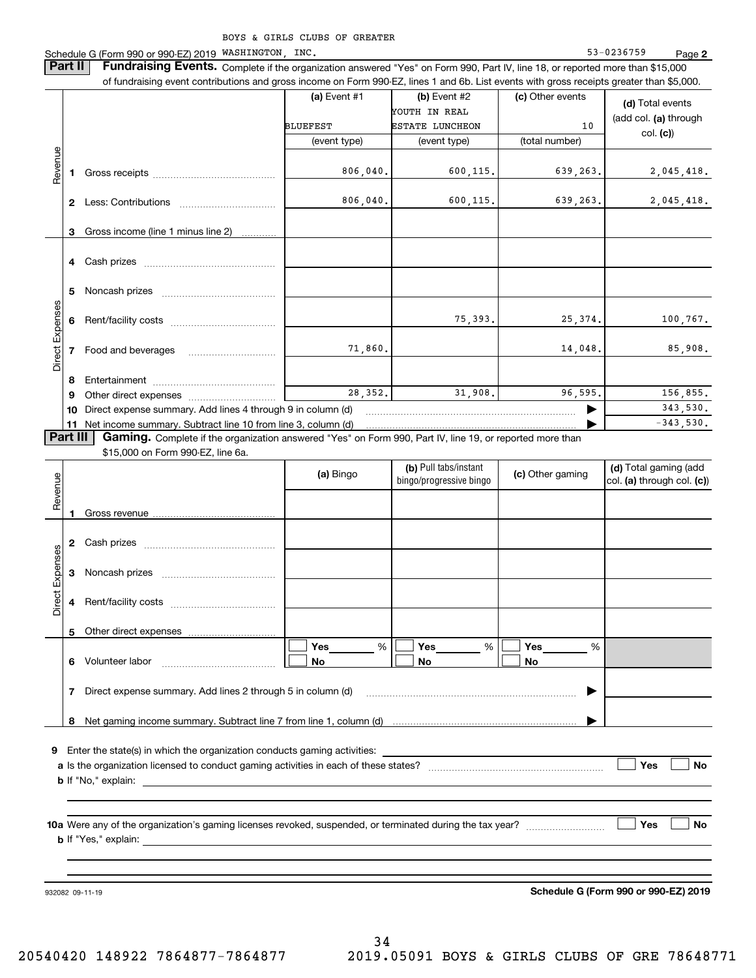|                 |          | Schedule G (Form 990 or 990-EZ) 2019 WASHINGTON, INC.                                                                                     |                                    |                               |                  | 53-0236759<br>Page 2       |
|-----------------|----------|-------------------------------------------------------------------------------------------------------------------------------------------|------------------------------------|-------------------------------|------------------|----------------------------|
|                 | Part II  | Fundraising Events. Complete if the organization answered "Yes" on Form 990, Part IV, line 18, or reported more than \$15,000             |                                    |                               |                  |                            |
|                 |          | of fundraising event contributions and gross income on Form 990-EZ, lines 1 and 6b. List events with gross receipts greater than \$5,000. |                                    |                               |                  |                            |
|                 |          |                                                                                                                                           | (a) Event $#1$                     | (b) Event #2<br>YOUTH IN REAL | (c) Other events | (d) Total events           |
|                 |          |                                                                                                                                           | BLUEFEST                           | ESTATE LUNCHEON               | 10               | (add col. (a) through      |
|                 |          |                                                                                                                                           | (event type)                       | (event type)                  | (total number)   | col. (c)                   |
|                 |          |                                                                                                                                           |                                    |                               |                  |                            |
| Revenue         | 1        |                                                                                                                                           | 806,040.                           | 600, 115.                     | 639,263.         | 2,045,418.                 |
|                 |          |                                                                                                                                           |                                    |                               |                  |                            |
|                 |          |                                                                                                                                           | 806,040.                           | 600,115.                      | 639, 263.        | 2,045,418.                 |
|                 |          |                                                                                                                                           |                                    |                               |                  |                            |
|                 | 3        | Gross income (line 1 minus line 2)                                                                                                        |                                    |                               |                  |                            |
|                 |          |                                                                                                                                           |                                    |                               |                  |                            |
|                 |          |                                                                                                                                           |                                    |                               |                  |                            |
|                 | 5        |                                                                                                                                           |                                    |                               |                  |                            |
|                 |          |                                                                                                                                           |                                    |                               |                  |                            |
|                 | 6        |                                                                                                                                           |                                    | 75, 393.                      | 25, 374.         | 100,767.                   |
| Direct Expenses |          |                                                                                                                                           |                                    |                               |                  |                            |
|                 | 7        | Food and beverages                                                                                                                        | 71,860.                            |                               | 14,048.          | 85,908.                    |
|                 |          |                                                                                                                                           |                                    |                               |                  |                            |
|                 | 8        |                                                                                                                                           |                                    |                               |                  |                            |
|                 | 9        |                                                                                                                                           | 28, 352.<br>31,908.                |                               | 96,595.          | 156,855.                   |
|                 |          | 10 Direct expense summary. Add lines 4 through 9 in column (d)                                                                            |                                    |                               |                  | 343,530.<br>$-343,530.$    |
|                 | Part III | Gaming. Complete if the organization answered "Yes" on Form 990, Part IV, line 19, or reported more than                                  |                                    |                               |                  |                            |
|                 |          | \$15,000 on Form 990-EZ, line 6a.                                                                                                         |                                    |                               |                  |                            |
|                 |          |                                                                                                                                           | (b) Pull tabs/instant<br>(a) Bingo |                               | (c) Other gaming | (d) Total gaming (add      |
| Revenue         |          |                                                                                                                                           |                                    | bingo/progressive bingo       |                  | col. (a) through col. (c)) |
|                 |          |                                                                                                                                           |                                    |                               |                  |                            |
|                 |          |                                                                                                                                           |                                    |                               |                  |                            |
|                 |          |                                                                                                                                           |                                    |                               |                  |                            |
|                 | 2        |                                                                                                                                           |                                    |                               |                  |                            |
| Expenses        | 3        |                                                                                                                                           |                                    |                               |                  |                            |
| ÷               |          |                                                                                                                                           |                                    |                               |                  |                            |
| Direc           | 4        |                                                                                                                                           |                                    |                               |                  |                            |
|                 |          |                                                                                                                                           |                                    |                               |                  |                            |
|                 | 5        |                                                                                                                                           |                                    |                               |                  |                            |
|                 |          |                                                                                                                                           | Yes<br>%                           | Yes<br>%                      | Yes<br>%         |                            |
|                 | 6        | Volunteer labor                                                                                                                           | No                                 | No                            | No               |                            |
|                 | 7        | Direct expense summary. Add lines 2 through 5 in column (d)                                                                               |                                    |                               |                  |                            |
|                 |          |                                                                                                                                           |                                    |                               |                  |                            |
|                 | 8        |                                                                                                                                           |                                    |                               |                  |                            |
|                 |          |                                                                                                                                           |                                    |                               |                  |                            |
| 9               |          | Enter the state(s) in which the organization conducts gaming activities:                                                                  |                                    |                               |                  |                            |
|                 |          |                                                                                                                                           |                                    |                               |                  | Yes<br><b>No</b>           |
|                 |          | <b>b</b> If "No," explain:                                                                                                                |                                    |                               |                  |                            |
|                 |          |                                                                                                                                           |                                    |                               |                  |                            |
|                 |          |                                                                                                                                           |                                    |                               |                  | Yes<br>No                  |
|                 |          |                                                                                                                                           |                                    |                               |                  |                            |
|                 |          |                                                                                                                                           |                                    |                               |                  |                            |

932082 09-11-19

34 20540420 148922 7864877-7864877 2019.05091 BOYS & GIRLS CLUBS OF GRE 78648771

**Schedule G (Form 990 or 990-EZ) 2019**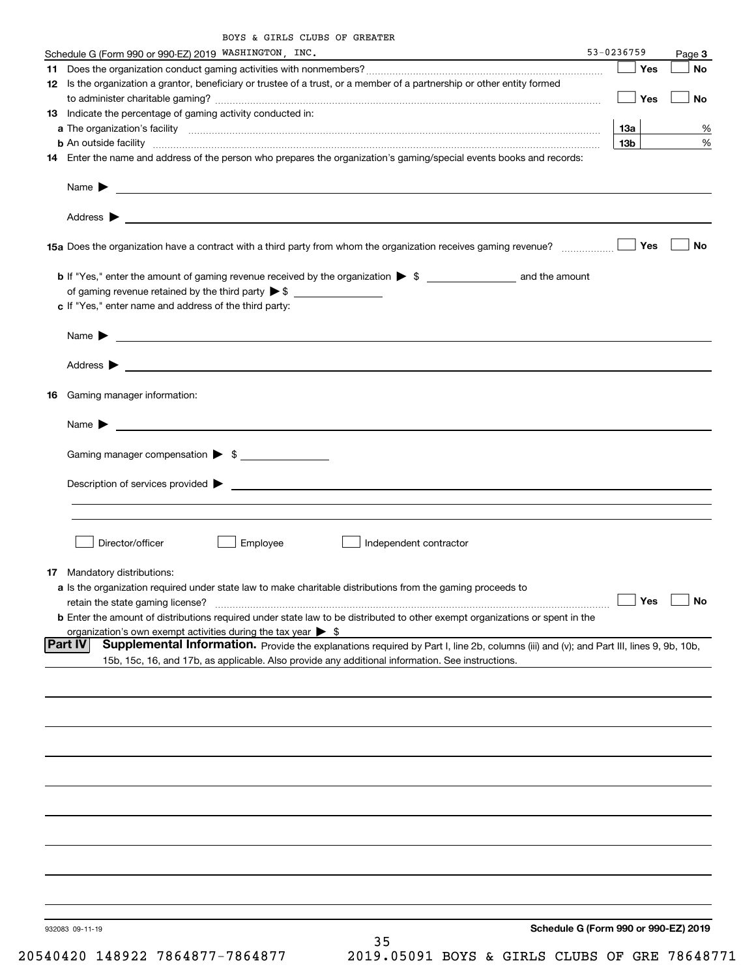|    | Schedule G (Form 990 or 990-EZ) 2019 WASHINGTON, INC.                                                                                                                                                                                     | 53-0236759 |      | Page 3        |
|----|-------------------------------------------------------------------------------------------------------------------------------------------------------------------------------------------------------------------------------------------|------------|------|---------------|
|    |                                                                                                                                                                                                                                           |            | Yes  | <b>No</b>     |
|    | 12 Is the organization a grantor, beneficiary or trustee of a trust, or a member of a partnership or other entity formed                                                                                                                  |            |      |               |
|    |                                                                                                                                                                                                                                           |            | Yes  | No            |
|    | 13 Indicate the percentage of gaming activity conducted in:                                                                                                                                                                               |            |      |               |
|    |                                                                                                                                                                                                                                           | 13a        |      | %             |
|    | <b>b</b> An outside facility <b>contract and the contract of the contract of the contract of the contract of the contract of the contract of the contract of the contract of the contract of the contract of the contract of the cont</b> | 13b        |      | $\frac{0}{0}$ |
|    | 14 Enter the name and address of the person who prepares the organization's gaming/special events books and records:                                                                                                                      |            |      |               |
|    |                                                                                                                                                                                                                                           |            |      |               |
|    |                                                                                                                                                                                                                                           |            |      |               |
|    | <b>15a</b> Does the organization have a contract with a third party from whom the organization receives gaming revenue? $\ldots$                                                                                                          |            |      | No            |
|    |                                                                                                                                                                                                                                           |            |      |               |
|    | of gaming revenue retained by the third party $\triangleright$ \$                                                                                                                                                                         |            |      |               |
|    | c If "Yes," enter name and address of the third party:                                                                                                                                                                                    |            |      |               |
|    |                                                                                                                                                                                                                                           |            |      |               |
|    |                                                                                                                                                                                                                                           |            |      |               |
|    |                                                                                                                                                                                                                                           |            |      |               |
| 16 | Gaming manager information:                                                                                                                                                                                                               |            |      |               |
|    | Name $\blacktriangleright$<br><u> 1989 - Johann Harry Harry Harry Harry Harry Harry Harry Harry Harry Harry Harry Harry Harry Harry Harry Harry</u>                                                                                       |            |      |               |
|    | Gaming manager compensation > \$                                                                                                                                                                                                          |            |      |               |
|    |                                                                                                                                                                                                                                           |            |      |               |
|    |                                                                                                                                                                                                                                           |            |      |               |
|    |                                                                                                                                                                                                                                           |            |      |               |
|    |                                                                                                                                                                                                                                           |            |      |               |
|    | Employee<br>Director/officer                                                                                                                                                                                                              |            |      |               |
|    | Independent contractor                                                                                                                                                                                                                    |            |      |               |
|    | 17 Mandatory distributions:                                                                                                                                                                                                               |            |      |               |
|    | a Is the organization required under state law to make charitable distributions from the gaming proceeds to                                                                                                                               |            |      |               |
|    | retain the state gaming license?                                                                                                                                                                                                          |            | 」Yes | $\Box$ No     |
|    | <b>b</b> Enter the amount of distributions required under state law to be distributed to other exempt organizations or spent in the                                                                                                       |            |      |               |
|    | organization's own exempt activities during the tax year $\triangleright$ \$                                                                                                                                                              |            |      |               |
|    | Supplemental Information. Provide the explanations required by Part I, line 2b, columns (iii) and (v); and Part III, lines 9, 9b, 10b,<br><b>Part IV</b>                                                                                  |            |      |               |
|    | 15b, 15c, 16, and 17b, as applicable. Also provide any additional information. See instructions.                                                                                                                                          |            |      |               |
|    |                                                                                                                                                                                                                                           |            |      |               |
|    |                                                                                                                                                                                                                                           |            |      |               |
|    |                                                                                                                                                                                                                                           |            |      |               |
|    |                                                                                                                                                                                                                                           |            |      |               |
|    |                                                                                                                                                                                                                                           |            |      |               |
|    |                                                                                                                                                                                                                                           |            |      |               |
|    |                                                                                                                                                                                                                                           |            |      |               |
|    |                                                                                                                                                                                                                                           |            |      |               |
|    |                                                                                                                                                                                                                                           |            |      |               |
|    |                                                                                                                                                                                                                                           |            |      |               |
|    | Schedule G (Form 990 or 990-EZ) 2019<br>932083 09-11-19                                                                                                                                                                                   |            |      |               |
|    | 35                                                                                                                                                                                                                                        |            |      |               |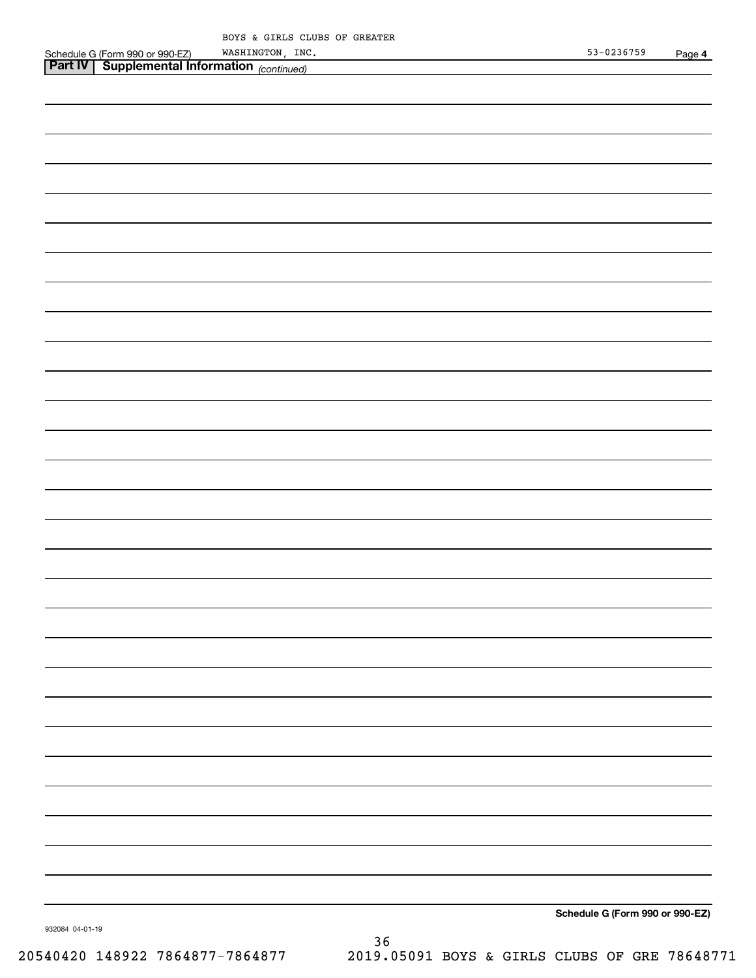|  |  |  | BOYS & GIRLS CLUBS OF GREATER |
|--|--|--|-------------------------------|
|  |  |  |                               |

|                                                                                                        | WASHINGTON, INC. |  |  |                                 | $53 - 0236759$ | Page 4 |
|--------------------------------------------------------------------------------------------------------|------------------|--|--|---------------------------------|----------------|--------|
| Schedule G (Form 990 or 990-EZ) WASHINGTON, INC<br><b>Part IV</b> Supplemental Information (continued) |                  |  |  |                                 |                |        |
|                                                                                                        |                  |  |  |                                 |                |        |
|                                                                                                        |                  |  |  |                                 |                |        |
|                                                                                                        |                  |  |  |                                 |                |        |
|                                                                                                        |                  |  |  |                                 |                |        |
|                                                                                                        |                  |  |  |                                 |                |        |
|                                                                                                        |                  |  |  |                                 |                |        |
|                                                                                                        |                  |  |  |                                 |                |        |
|                                                                                                        |                  |  |  |                                 |                |        |
|                                                                                                        |                  |  |  |                                 |                |        |
|                                                                                                        |                  |  |  |                                 |                |        |
|                                                                                                        |                  |  |  |                                 |                |        |
|                                                                                                        |                  |  |  |                                 |                |        |
|                                                                                                        |                  |  |  |                                 |                |        |
|                                                                                                        |                  |  |  |                                 |                |        |
|                                                                                                        |                  |  |  |                                 |                |        |
|                                                                                                        |                  |  |  |                                 |                |        |
|                                                                                                        |                  |  |  |                                 |                |        |
|                                                                                                        |                  |  |  |                                 |                |        |
|                                                                                                        |                  |  |  |                                 |                |        |
|                                                                                                        |                  |  |  |                                 |                |        |
|                                                                                                        |                  |  |  |                                 |                |        |
|                                                                                                        |                  |  |  |                                 |                |        |
|                                                                                                        |                  |  |  |                                 |                |        |
|                                                                                                        |                  |  |  |                                 |                |        |
|                                                                                                        |                  |  |  |                                 |                |        |
|                                                                                                        |                  |  |  |                                 |                |        |
|                                                                                                        |                  |  |  |                                 |                |        |
|                                                                                                        |                  |  |  |                                 |                |        |
|                                                                                                        |                  |  |  |                                 |                |        |
|                                                                                                        |                  |  |  |                                 |                |        |
|                                                                                                        |                  |  |  |                                 |                |        |
|                                                                                                        |                  |  |  |                                 |                |        |
|                                                                                                        |                  |  |  |                                 |                |        |
|                                                                                                        |                  |  |  |                                 |                |        |
|                                                                                                        |                  |  |  |                                 |                |        |
|                                                                                                        |                  |  |  |                                 |                |        |
|                                                                                                        |                  |  |  |                                 |                |        |
|                                                                                                        |                  |  |  |                                 |                |        |
|                                                                                                        |                  |  |  |                                 |                |        |
|                                                                                                        |                  |  |  |                                 |                |        |
|                                                                                                        |                  |  |  |                                 |                |        |
|                                                                                                        |                  |  |  |                                 |                |        |
|                                                                                                        |                  |  |  |                                 |                |        |
|                                                                                                        |                  |  |  |                                 |                |        |
|                                                                                                        |                  |  |  |                                 |                |        |
|                                                                                                        |                  |  |  |                                 |                |        |
|                                                                                                        |                  |  |  |                                 |                |        |
|                                                                                                        |                  |  |  |                                 |                |        |
|                                                                                                        |                  |  |  |                                 |                |        |
|                                                                                                        |                  |  |  |                                 |                |        |
|                                                                                                        |                  |  |  |                                 |                |        |
|                                                                                                        |                  |  |  | Schedule G (Form 990 or 990-EZ) |                |        |
|                                                                                                        |                  |  |  |                                 |                |        |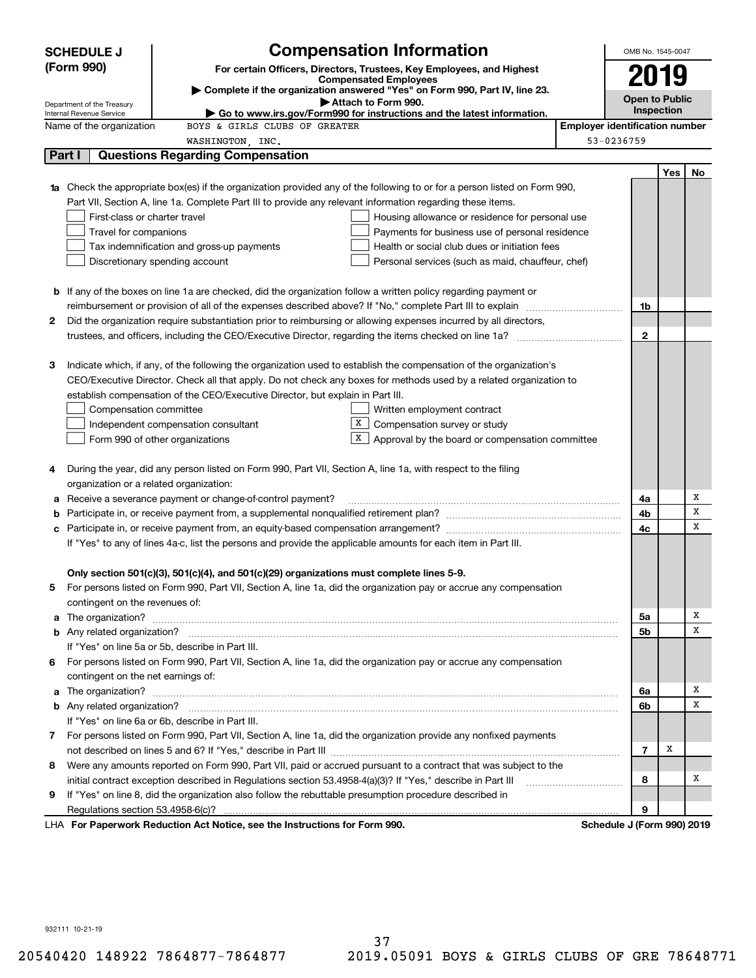|   | <b>SCHEDULE J</b>                                      | <b>Compensation Information</b>                                                                                                  |                                       | OMB No. 1545-0047          |     |    |
|---|--------------------------------------------------------|----------------------------------------------------------------------------------------------------------------------------------|---------------------------------------|----------------------------|-----|----|
|   | (Form 990)                                             | For certain Officers, Directors, Trustees, Key Employees, and Highest                                                            |                                       |                            |     |    |
|   |                                                        | <b>Compensated Employees</b>                                                                                                     |                                       | 2019                       |     |    |
|   |                                                        | Complete if the organization answered "Yes" on Form 990, Part IV, line 23.<br>Attach to Form 990.                                |                                       | <b>Open to Public</b>      |     |    |
|   | Department of the Treasury<br>Internal Revenue Service | $\blacktriangleright$ Go to www.irs.gov/Form990 for instructions and the latest information.                                     |                                       | <b>Inspection</b>          |     |    |
|   | Name of the organization                               | BOYS & GIRLS CLUBS OF GREATER                                                                                                    | <b>Employer identification number</b> |                            |     |    |
|   |                                                        | WASHINGTON, INC.                                                                                                                 |                                       | 53-0236759                 |     |    |
|   | Part I                                                 | <b>Questions Regarding Compensation</b>                                                                                          |                                       |                            |     |    |
|   |                                                        |                                                                                                                                  |                                       |                            | Yes | No |
|   |                                                        | <b>1a</b> Check the appropriate box(es) if the organization provided any of the following to or for a person listed on Form 990, |                                       |                            |     |    |
|   |                                                        | Part VII, Section A, line 1a. Complete Part III to provide any relevant information regarding these items.                       |                                       |                            |     |    |
|   | First-class or charter travel                          | Housing allowance or residence for personal use                                                                                  |                                       |                            |     |    |
|   | Travel for companions                                  | Payments for business use of personal residence                                                                                  |                                       |                            |     |    |
|   |                                                        | Tax indemnification and gross-up payments<br>Health or social club dues or initiation fees                                       |                                       |                            |     |    |
|   |                                                        | Discretionary spending account<br>Personal services (such as maid, chauffeur, chef)                                              |                                       |                            |     |    |
|   |                                                        |                                                                                                                                  |                                       |                            |     |    |
|   |                                                        | <b>b</b> If any of the boxes on line 1a are checked, did the organization follow a written policy regarding payment or           |                                       |                            |     |    |
|   |                                                        |                                                                                                                                  |                                       | 1b                         |     |    |
| 2 |                                                        | Did the organization require substantiation prior to reimbursing or allowing expenses incurred by all directors,                 |                                       |                            |     |    |
|   |                                                        |                                                                                                                                  |                                       | $\overline{2}$             |     |    |
|   |                                                        |                                                                                                                                  |                                       |                            |     |    |
| з |                                                        | Indicate which, if any, of the following the organization used to establish the compensation of the organization's               |                                       |                            |     |    |
|   |                                                        | CEO/Executive Director. Check all that apply. Do not check any boxes for methods used by a related organization to               |                                       |                            |     |    |
|   |                                                        | establish compensation of the CEO/Executive Director, but explain in Part III.                                                   |                                       |                            |     |    |
|   | Compensation committee                                 | Written employment contract<br>X                                                                                                 |                                       |                            |     |    |
|   |                                                        | Compensation survey or study<br>Independent compensation consultant<br>X                                                         |                                       |                            |     |    |
|   |                                                        | Approval by the board or compensation committee<br>Form 990 of other organizations                                               |                                       |                            |     |    |
| 4 |                                                        | During the year, did any person listed on Form 990, Part VII, Section A, line 1a, with respect to the filing                     |                                       |                            |     |    |
|   | organization or a related organization:                |                                                                                                                                  |                                       |                            |     |    |
| а |                                                        | Receive a severance payment or change-of-control payment?                                                                        |                                       | 4a                         |     | Х  |
| b |                                                        |                                                                                                                                  |                                       | 4b                         |     | х  |
| с |                                                        |                                                                                                                                  |                                       | 4c                         |     | x  |
|   |                                                        | If "Yes" to any of lines 4a-c, list the persons and provide the applicable amounts for each item in Part III.                    |                                       |                            |     |    |
|   |                                                        |                                                                                                                                  |                                       |                            |     |    |
|   |                                                        | Only section 501(c)(3), 501(c)(4), and 501(c)(29) organizations must complete lines 5-9.                                         |                                       |                            |     |    |
|   |                                                        | For persons listed on Form 990, Part VII, Section A, line 1a, did the organization pay or accrue any compensation                |                                       |                            |     |    |
|   | contingent on the revenues of:                         |                                                                                                                                  |                                       |                            |     |    |
| a |                                                        |                                                                                                                                  |                                       | 5a                         |     | Х  |
|   |                                                        |                                                                                                                                  |                                       | 5b                         |     | х  |
|   |                                                        | If "Yes" on line 5a or 5b, describe in Part III.                                                                                 |                                       |                            |     |    |
| 6 |                                                        | For persons listed on Form 990, Part VII, Section A, line 1a, did the organization pay or accrue any compensation                |                                       |                            |     |    |
|   | contingent on the net earnings of:                     |                                                                                                                                  |                                       |                            |     |    |
| a |                                                        |                                                                                                                                  |                                       | 6a                         |     | х  |
|   |                                                        |                                                                                                                                  |                                       | 6b                         |     | х  |
|   |                                                        | If "Yes" on line 6a or 6b, describe in Part III.                                                                                 |                                       |                            |     |    |
|   |                                                        | 7 For persons listed on Form 990, Part VII, Section A, line 1a, did the organization provide any nonfixed payments               |                                       |                            |     |    |
|   |                                                        |                                                                                                                                  |                                       | 7                          | х   |    |
| 8 |                                                        | Were any amounts reported on Form 990, Part VII, paid or accrued pursuant to a contract that was subject to the                  |                                       |                            |     |    |
|   |                                                        | initial contract exception described in Regulations section 53.4958-4(a)(3)? If "Yes," describe in Part III                      |                                       | 8                          |     | х  |
| 9 |                                                        | If "Yes" on line 8, did the organization also follow the rebuttable presumption procedure described in                           |                                       |                            |     |    |
|   |                                                        |                                                                                                                                  |                                       | 9                          |     |    |
|   |                                                        | LHA For Paperwork Reduction Act Notice, see the Instructions for Form 990.                                                       |                                       | Schedule J (Form 990) 2019 |     |    |

932111 10-21-19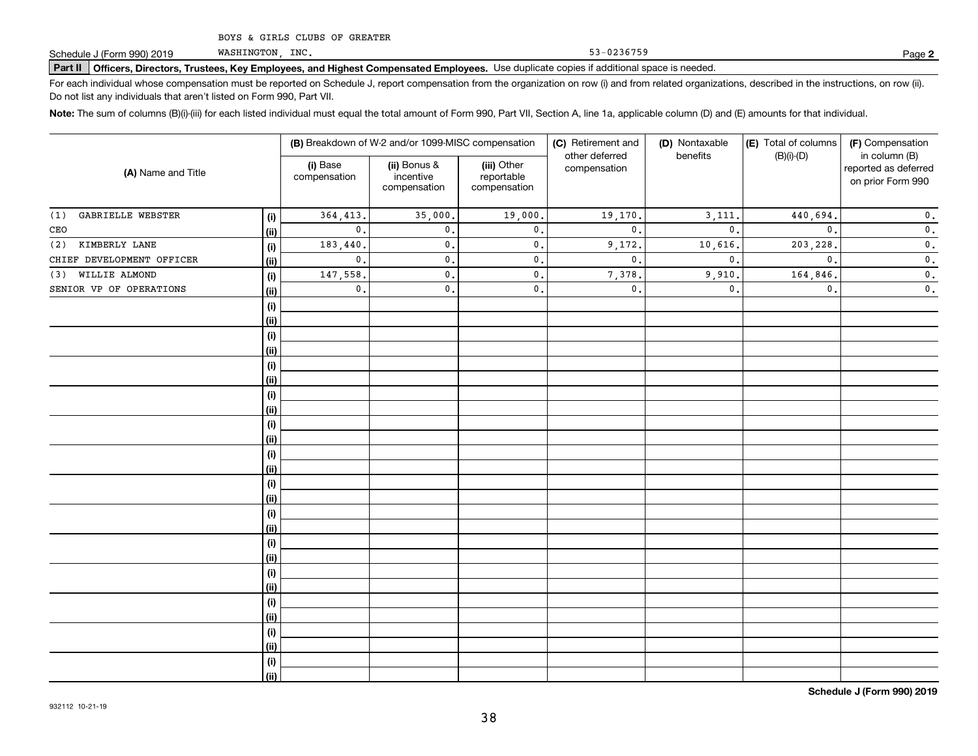WASHINGTON, INC.

53-0236759

**2**

# **Part II Officers, Directors, Trustees, Key Employees, and Highest Compensated Employees.**  Schedule J (Form 990) 2019 Page Use duplicate copies if additional space is needed.

For each individual whose compensation must be reported on Schedule J, report compensation from the organization on row (i) and from related organizations, described in the instructions, on row (ii). Do not list any individuals that aren't listed on Form 990, Part VII.

**Note:**  The sum of columns (B)(i)-(iii) for each listed individual must equal the total amount of Form 990, Part VII, Section A, line 1a, applicable column (D) and (E) amounts for that individual.

|                           |      |                          | (B) Breakdown of W-2 and/or 1099-MISC compensation |                                           | (C) Retirement and             | (D) Nontaxable<br>benefits | (E) Total of columns | (F) Compensation<br>in column (B)         |  |
|---------------------------|------|--------------------------|----------------------------------------------------|-------------------------------------------|--------------------------------|----------------------------|----------------------|-------------------------------------------|--|
| (A) Name and Title        |      | (i) Base<br>compensation | (ii) Bonus &<br>incentive<br>compensation          | (iii) Other<br>reportable<br>compensation | other deferred<br>compensation |                            | $(B)(i)-(D)$         | reported as deferred<br>on prior Form 990 |  |
| GABRIELLE WEBSTER<br>(1)  | (i)  | 364,413.                 | 35,000.                                            | 19,000.                                   | 19,170.                        | 3,111.                     | 440,694.             | $\mathbf 0$ .                             |  |
| CEO                       | (ii) | $\mathbf{0}$ .           | $\mathfrak{o}$ .                                   | $\mathbf{0}$ .                            | $\mathbf 0$ .                  | 0.                         | $\mathbf{0}$ .       | $\mathbf 0$ .                             |  |
| KIMBERLY LANE<br>(2)      | (i)  | 183,440.                 | $\mathbf{0}$ .                                     | $\mathbf{0}$ .                            | 9,172.                         | 10,616                     | 203,228.             | $\mathfrak o$ .                           |  |
| CHIEF DEVELOPMENT OFFICER | (ii) | $\mathbf{0}$ .           | $\mathbf{0}$ .                                     | $\mathbf{0}$ .                            | $\mathbf{0}$ .                 | $\mathbf{0}$ .             | $\mathbf{0}$ .       | $\mathbf 0$ .                             |  |
| WILLIE ALMOND<br>(3)      | (i)  | 147,558.                 | $\mathbf{0}$ .                                     | $\mathbf{0}$ .                            | 7,378.                         | 9,910.                     | 164,846.             | $\mathbf 0$ .                             |  |
| SENIOR VP OF OPERATIONS   | (ii) | $\mathfrak o$ .          | 0.                                                 | $\mathsf{0}\,.$                           | $\mathbf{0}$ .                 | $\mathbf{0}$ .             | $\mathbf{0}$ .       | $\mathbf 0$ .                             |  |
|                           | (i)  |                          |                                                    |                                           |                                |                            |                      |                                           |  |
|                           | (ii) |                          |                                                    |                                           |                                |                            |                      |                                           |  |
|                           | (i)  |                          |                                                    |                                           |                                |                            |                      |                                           |  |
|                           | (ii) |                          |                                                    |                                           |                                |                            |                      |                                           |  |
|                           | (i)  |                          |                                                    |                                           |                                |                            |                      |                                           |  |
|                           | (ii) |                          |                                                    |                                           |                                |                            |                      |                                           |  |
|                           | (i)  |                          |                                                    |                                           |                                |                            |                      |                                           |  |
|                           | (ii) |                          |                                                    |                                           |                                |                            |                      |                                           |  |
|                           | (i)  |                          |                                                    |                                           |                                |                            |                      |                                           |  |
|                           | (ii) |                          |                                                    |                                           |                                |                            |                      |                                           |  |
|                           | (i)  |                          |                                                    |                                           |                                |                            |                      |                                           |  |
|                           | (ii) |                          |                                                    |                                           |                                |                            |                      |                                           |  |
|                           | (i)  |                          |                                                    |                                           |                                |                            |                      |                                           |  |
|                           | (ii) |                          |                                                    |                                           |                                |                            |                      |                                           |  |
|                           | (i)  |                          |                                                    |                                           |                                |                            |                      |                                           |  |
|                           | (ii) |                          |                                                    |                                           |                                |                            |                      |                                           |  |
|                           | (i)  |                          |                                                    |                                           |                                |                            |                      |                                           |  |
|                           | (ii) |                          |                                                    |                                           |                                |                            |                      |                                           |  |
|                           | (i)  |                          |                                                    |                                           |                                |                            |                      |                                           |  |
|                           | (ii) |                          |                                                    |                                           |                                |                            |                      |                                           |  |
|                           | (i)  |                          |                                                    |                                           |                                |                            |                      |                                           |  |
|                           | (ii) |                          |                                                    |                                           |                                |                            |                      |                                           |  |
|                           | (i)  |                          |                                                    |                                           |                                |                            |                      |                                           |  |
|                           | (ii) |                          |                                                    |                                           |                                |                            |                      |                                           |  |
|                           | (i)  |                          |                                                    |                                           |                                |                            |                      |                                           |  |
|                           | (ii) |                          |                                                    |                                           |                                |                            |                      |                                           |  |

**Schedule J (Form 990) 2019**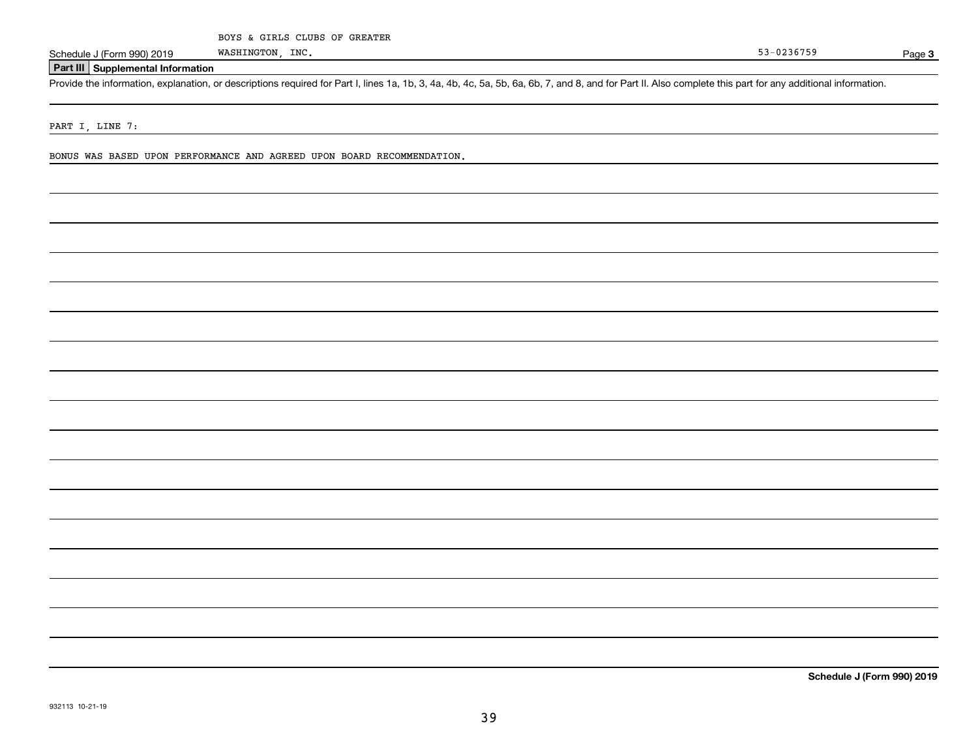Page 3

### **Part III Supplemental Information**

Schedule J (Form 990) 2019 WASHINGTON, INC.<br>Part III Supplemental Information<br>Provide the information, explanation, or descriptions required for Part I, lines 1a, 1b, 3, 4a, 4b, 4c, 5a, 5b, 6a, 6b, 7, and 8, and for Part I

PART I, LINE 7:

BONUS WAS BASED UPON PERFORMANCE AND AGREED UPON BOARD RECOMMENDATION.

WASHINGTON, INC.

**Schedule J (Form 990) 2019**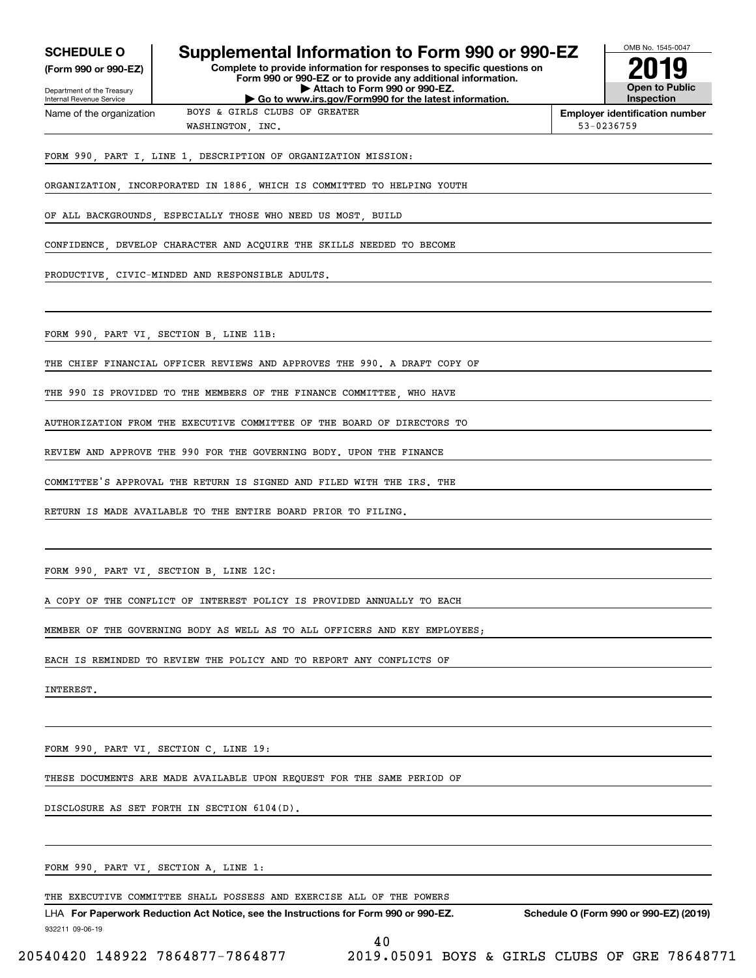**(Form 990 or 990-EZ)**

Department of the Treasury Internal Revenue Service Name of the organization

### **SCHEDULE O Supplemental Information to Form 990 or 990-EZ**

**Complete to provide information for responses to specific questions on Form 990 or 990-EZ or to provide any additional information. | Attach to Form 990 or 990-EZ. | Go to www.irs.gov/Form990 for the latest information.**



**Employer identification number** WASHINGTON, INC. 53-0236759

#### FORM 990, PART I, LINE 1, DESCRIPTION OF ORGANIZATION MISSION:

ORGANIZATION, INCORPORATED IN 1886, WHICH IS COMMITTED TO HELPING YOUTH

BOYS & GIRLS CLUBS OF GREATER

OF ALL BACKGROUNDS, ESPECIALLY THOSE WHO NEED US MOST, BUILD

CONFIDENCE, DEVELOP CHARACTER AND ACQUIRE THE SKILLS NEEDED TO BECOME

PRODUCTIVE, CIVIC-MINDED AND RESPONSIBLE ADULTS.

FORM 990, PART VI, SECTION B, LINE 11B:

THE CHIEF FINANCIAL OFFICER REVIEWS AND APPROVES THE 990. A DRAFT COPY OF

THE 990 IS PROVIDED TO THE MEMBERS OF THE FINANCE COMMITTEE WHO HAVE

AUTHORIZATION FROM THE EXECUTIVE COMMITTEE OF THE BOARD OF DIRECTORS TO

REVIEW AND APPROVE THE 990 FOR THE GOVERNING BODY. UPON THE FINANCE

COMMITTEE'S APPROVAL THE RETURN IS SIGNED AND FILED WITH THE IRS. THE

RETURN IS MADE AVAILABLE TO THE ENTIRE BOARD PRIOR TO FILING.

FORM 990, PART VI, SECTION B, LINE 12C:

A COPY OF THE CONFLICT OF INTEREST POLICY IS PROVIDED ANNUALLY TO EACH

MEMBER OF THE GOVERNING BODY AS WELL AS TO ALL OFFICERS AND KEY EMPLOYEES;

EACH IS REMINDED TO REVIEW THE POLICY AND TO REPORT ANY CONFLICTS OF

INTEREST.

FORM 990, PART VI, SECTION C, LINE 19:

THESE DOCUMENTS ARE MADE AVAILABLE UPON REQUEST FOR THE SAME PERIOD OF

DISCLOSURE AS SET FORTH IN SECTION 6104(D).

FORM 990, PART VI, SECTION A, LINE 1:

THE EXECUTIVE COMMITTEE SHALL POSSESS AND EXERCISE ALL OF THE POWERS

932211 09-06-19 LHA For Paperwork Reduction Act Notice, see the Instructions for Form 990 or 990-EZ. Schedule O (Form 990 or 990-EZ) (2019)

40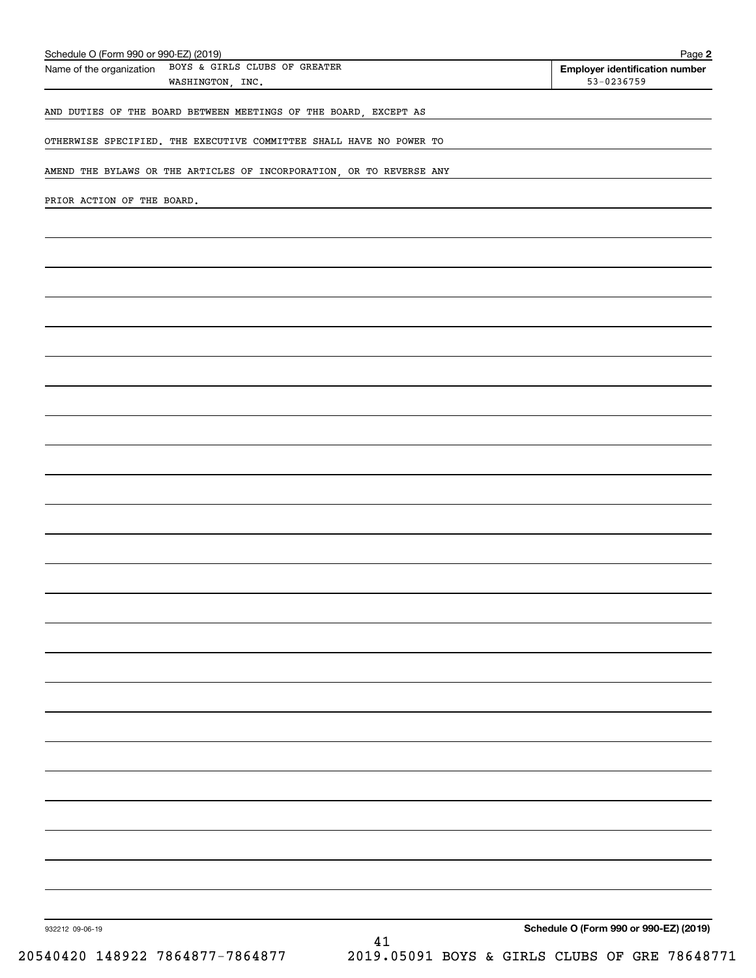| BOYS & GIRLS CLUBS OF GREATER<br>Name of the organization<br>WASHINGTON, INC. | <b>Employer identification number</b><br>53-0236759 |
|-------------------------------------------------------------------------------|-----------------------------------------------------|
|                                                                               |                                                     |
| AND DUTIES OF THE BOARD BETWEEN MEETINGS OF THE BOARD, EXCEPT AS              |                                                     |
| OTHERWISE SPECIFIED. THE EXECUTIVE COMMITTEE SHALL HAVE NO POWER TO           |                                                     |
| AMEND THE BYLAWS OR THE ARTICLES OF INCORPORATION, OR TO REVERSE ANY          |                                                     |
|                                                                               |                                                     |
| PRIOR ACTION OF THE BOARD.                                                    |                                                     |
|                                                                               |                                                     |
|                                                                               |                                                     |
|                                                                               |                                                     |
|                                                                               |                                                     |
|                                                                               |                                                     |
|                                                                               |                                                     |
|                                                                               |                                                     |
|                                                                               |                                                     |
|                                                                               |                                                     |
|                                                                               |                                                     |
|                                                                               |                                                     |
|                                                                               |                                                     |
|                                                                               |                                                     |
|                                                                               |                                                     |
|                                                                               |                                                     |
|                                                                               |                                                     |
|                                                                               |                                                     |
|                                                                               |                                                     |
|                                                                               |                                                     |
|                                                                               |                                                     |
|                                                                               |                                                     |
|                                                                               |                                                     |
|                                                                               |                                                     |
|                                                                               |                                                     |
|                                                                               |                                                     |
|                                                                               |                                                     |
|                                                                               |                                                     |
|                                                                               |                                                     |
|                                                                               |                                                     |
|                                                                               |                                                     |
|                                                                               |                                                     |
|                                                                               |                                                     |
|                                                                               |                                                     |
| 932212 09-06-19                                                               | Schedule O (Form 990 or 990-EZ) (2019)              |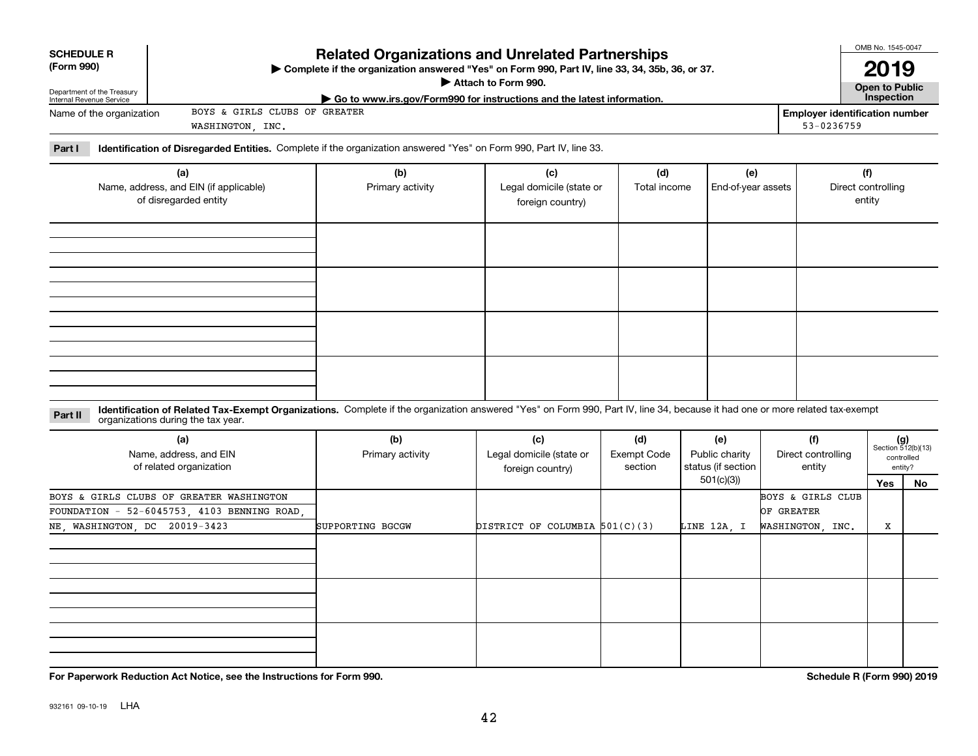| <b>SCHEDULE R</b><br>(Form 990)<br>Department of the Treasury<br>Internal Revenue Service |                                                   |                                                                                                                           | <b>Related Organizations and Unrelated Partnerships</b><br>▶ Complete if the organization answered "Yes" on Form 990, Part IV, line 33, 34, 35b, 36, or 37.<br>Attach to Form 990.<br>► Go to www.irs.gov/Form990 for instructions and the latest information. |                                                  |  |            |                                       |  |
|-------------------------------------------------------------------------------------------|---------------------------------------------------|---------------------------------------------------------------------------------------------------------------------------|----------------------------------------------------------------------------------------------------------------------------------------------------------------------------------------------------------------------------------------------------------------|--------------------------------------------------|--|------------|---------------------------------------|--|
| Name of the organization                                                                  | BOYS & GIRLS CLUBS OF GREATER<br>WASHINGTON, INC. |                                                                                                                           |                                                                                                                                                                                                                                                                |                                                  |  | 53-0236759 | <b>Employer identification number</b> |  |
| Part I                                                                                    |                                                   | <b>Identification of Disregarded Entities.</b> Complete if the organization answered "Yes" on Form 990, Part IV, line 33. |                                                                                                                                                                                                                                                                |                                                  |  |            |                                       |  |
| (a)<br>Name, address, and EIN (if applicable)<br>of disregarded entity                    |                                                   | (b)<br>Primary activity                                                                                                   | (c)<br>Legal domicile (state or<br>foreign country)                                                                                                                                                                                                            | (d)<br>(e)<br>End-of-year assets<br>Total income |  |            | (f)<br>Direct controlling<br>entity   |  |
|                                                                                           |                                                   |                                                                                                                           |                                                                                                                                                                                                                                                                |                                                  |  |            |                                       |  |

#### **Identification of Related Tax-Exempt Organizations.** Complete if the organization answered "Yes" on Form 990, Part IV, line 34, because it had one or more related tax-exempt **Part II** organizations during the tax year.

| (a)<br>Name, address, and EIN<br>of related organization | (b)<br>Primary activity | (c)<br>Legal domicile (state or<br>foreign country) | (d)<br><b>Exempt Code</b><br>section | (e)<br>Public charity<br>status (if section | (f)<br>Direct controlling<br>entity | $(g)$<br>Section 512(b)(13) | controlled<br>entity? |
|----------------------------------------------------------|-------------------------|-----------------------------------------------------|--------------------------------------|---------------------------------------------|-------------------------------------|-----------------------------|-----------------------|
|                                                          |                         |                                                     |                                      | 501(c)(3))                                  |                                     | Yes                         | No                    |
| BOYS & GIRLS CLUBS OF GREATER WASHINGTON                 |                         |                                                     |                                      |                                             | BOYS & GIRLS CLUB                   |                             |                       |
| FOUNDATION - $52-6045753$ , 4103 BENNING ROAD,           |                         |                                                     |                                      |                                             | OF GREATER                          |                             |                       |
| NE, WASHINGTON, DC 20019-3423                            | SUPPORTING BGCGW        | DISTRICT OF COLUMBIA $501(C)(3)$                    |                                      | LINE 12A, I                                 | WASHINGTON, INC.                    | х                           |                       |
|                                                          |                         |                                                     |                                      |                                             |                                     |                             |                       |
|                                                          |                         |                                                     |                                      |                                             |                                     |                             |                       |
|                                                          |                         |                                                     |                                      |                                             |                                     |                             |                       |

**For Paperwork Reduction Act Notice, see the Instructions for Form 990. Schedule R (Form 990) 2019**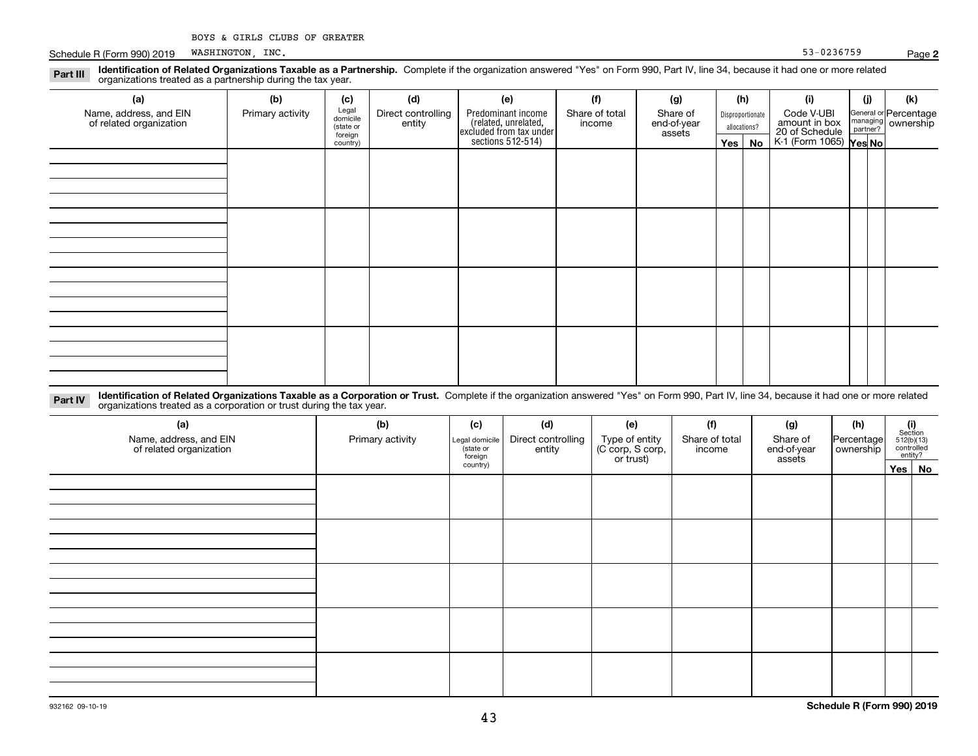Schedule R (Form 990) 2019 WASHINGTON, INC. 2008 2019 Page 2010 12:00 2010 12:00 2010 12:00 2010 12:00 2010 12:00 2010 WASHINGTON, INC.

| 1.91111<br>organizations treated as a partnership during the tax year. |                  |                                           |                              |                                                                                            |                          |                                   |  |                                  |                                               |     |                                                           |
|------------------------------------------------------------------------|------------------|-------------------------------------------|------------------------------|--------------------------------------------------------------------------------------------|--------------------------|-----------------------------------|--|----------------------------------|-----------------------------------------------|-----|-----------------------------------------------------------|
| (a)                                                                    | (b)              | (c)                                       | (d)                          | (e)                                                                                        | (f)                      | (g)                               |  | (h)                              | (i)                                           | (j) | (k)                                                       |
| Name, address, and EIN<br>of related organization                      | Primary activity | Legal<br>domicile<br>(state or<br>foreign | Direct controlling<br>entity | Predominant income<br>(related, unrelated,<br>excluded from tax under<br>sections 512-514) | Share of total<br>income | Share of<br>end-of-year<br>assets |  | Disproportionate<br>allocations? | Code V-UBI<br>amount in box<br>20 of Schedule |     | General or Percentage<br>managing<br>partner?<br>partner? |
|                                                                        |                  | country)                                  |                              |                                                                                            |                          |                                   |  | Yes   No                         | K-1 (Form 1065)   Yes No                      |     |                                                           |
|                                                                        |                  |                                           |                              |                                                                                            |                          |                                   |  |                                  |                                               |     |                                                           |
|                                                                        |                  |                                           |                              |                                                                                            |                          |                                   |  |                                  |                                               |     |                                                           |
|                                                                        |                  |                                           |                              |                                                                                            |                          |                                   |  |                                  |                                               |     |                                                           |
|                                                                        |                  |                                           |                              |                                                                                            |                          |                                   |  |                                  |                                               |     |                                                           |
|                                                                        |                  |                                           |                              |                                                                                            |                          |                                   |  |                                  |                                               |     |                                                           |
|                                                                        |                  |                                           |                              |                                                                                            |                          |                                   |  |                                  |                                               |     |                                                           |
|                                                                        |                  |                                           |                              |                                                                                            |                          |                                   |  |                                  |                                               |     |                                                           |
|                                                                        |                  |                                           |                              |                                                                                            |                          |                                   |  |                                  |                                               |     |                                                           |
|                                                                        |                  |                                           |                              |                                                                                            |                          |                                   |  |                                  |                                               |     |                                                           |
|                                                                        |                  |                                           |                              |                                                                                            |                          |                                   |  |                                  |                                               |     |                                                           |
|                                                                        |                  |                                           |                              |                                                                                            |                          |                                   |  |                                  |                                               |     |                                                           |
|                                                                        |                  |                                           |                              |                                                                                            |                          |                                   |  |                                  |                                               |     |                                                           |
|                                                                        |                  |                                           |                              |                                                                                            |                          |                                   |  |                                  |                                               |     |                                                           |
|                                                                        |                  |                                           |                              |                                                                                            |                          |                                   |  |                                  |                                               |     |                                                           |
|                                                                        |                  |                                           |                              |                                                                                            |                          |                                   |  |                                  |                                               |     |                                                           |
|                                                                        |                  |                                           |                              |                                                                                            |                          |                                   |  |                                  |                                               |     |                                                           |

| Part IV | Identification of Related Organizations Taxable as a Corporation or Trust. Complete if the organization answered "Yes" on Form 990, Part IV, line 34, because it had one or more related |  |  |
|---------|------------------------------------------------------------------------------------------------------------------------------------------------------------------------------------------|--|--|
|         | organizations treated as a corporation or trust during the tax year.                                                                                                                     |  |  |

| (a)<br>Name, address, and EIN<br>of related organization | (b)<br>Primary activity | (c)<br>Legal domicile<br>(state or<br>foreign | (d)<br>Direct controlling<br>entity | (e)<br>Type of entity<br>(C corp, S corp,<br>or trust) | (f)<br>Share of total<br>income | (g)<br>Share of<br>end-of-year<br>assets | (h)<br>Percentage<br>  ownership | $\begin{array}{c} \textbf{(i)}\\ \text{Section}\\ 512 \text{(b)} \text{(13)}\\ \text{controlled}\\ \text{entity?} \end{array}$ |        |
|----------------------------------------------------------|-------------------------|-----------------------------------------------|-------------------------------------|--------------------------------------------------------|---------------------------------|------------------------------------------|----------------------------------|--------------------------------------------------------------------------------------------------------------------------------|--------|
|                                                          |                         | country)                                      |                                     |                                                        |                                 |                                          |                                  |                                                                                                                                | Yes No |
|                                                          |                         |                                               |                                     |                                                        |                                 |                                          |                                  |                                                                                                                                |        |
|                                                          |                         |                                               |                                     |                                                        |                                 |                                          |                                  |                                                                                                                                |        |
|                                                          |                         |                                               |                                     |                                                        |                                 |                                          |                                  |                                                                                                                                |        |
|                                                          |                         |                                               |                                     |                                                        |                                 |                                          |                                  |                                                                                                                                |        |
|                                                          |                         |                                               |                                     |                                                        |                                 |                                          |                                  |                                                                                                                                |        |
|                                                          |                         |                                               |                                     |                                                        |                                 |                                          |                                  |                                                                                                                                |        |
|                                                          |                         |                                               |                                     |                                                        |                                 |                                          |                                  |                                                                                                                                |        |
|                                                          |                         |                                               |                                     |                                                        |                                 |                                          |                                  |                                                                                                                                |        |
|                                                          |                         |                                               |                                     |                                                        |                                 |                                          |                                  |                                                                                                                                |        |
|                                                          |                         |                                               |                                     |                                                        |                                 |                                          |                                  |                                                                                                                                |        |
|                                                          |                         |                                               |                                     |                                                        |                                 |                                          |                                  |                                                                                                                                |        |
|                                                          |                         |                                               |                                     |                                                        |                                 |                                          |                                  |                                                                                                                                |        |
|                                                          |                         |                                               |                                     |                                                        |                                 |                                          |                                  |                                                                                                                                |        |
|                                                          |                         |                                               |                                     |                                                        |                                 |                                          |                                  |                                                                                                                                |        |

# Part III Identification of Related Organizations Taxable as a Partnership. Complete if the organization answered "Yes" on Form 990, Part IV, line 34, because it had one or more related and an experiment of Related Computer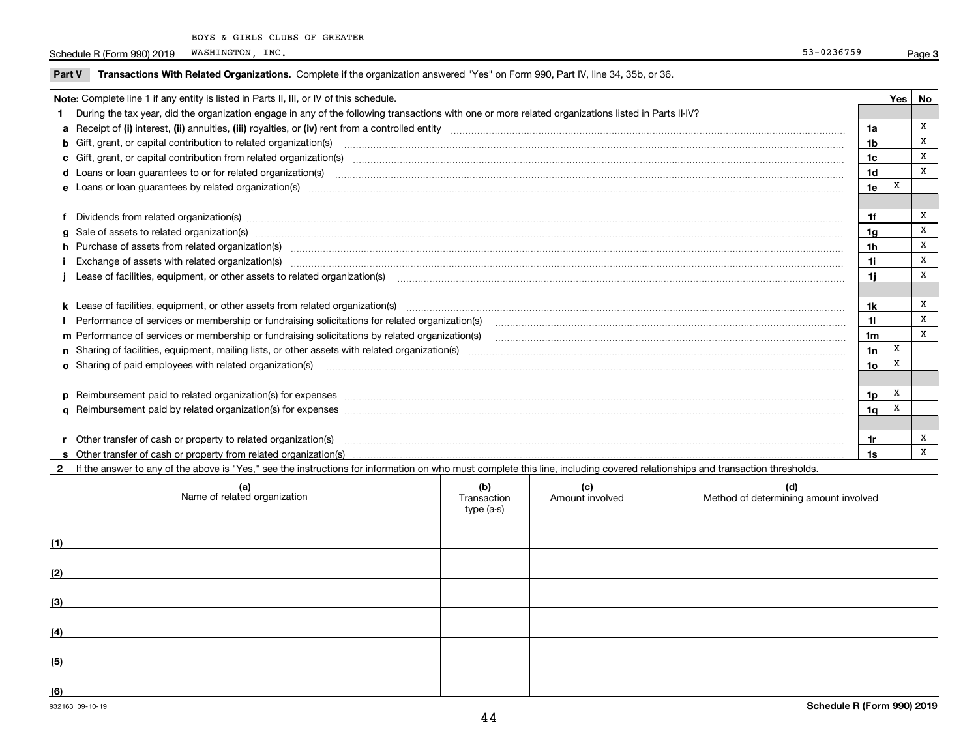Schedule R (Form 990) 2019 MASHINGTON, INC. 2008 2010 MASHINGTON, INC. WASHINGTON, INC.

**Part V** T**ransactions With Related Organizations.** Complete if the organization answered "Yes" on Form 990, Part IV, line 34, 35b, or 36.

| Note: Complete line 1 if any entity is listed in Parts II, III, or IV of this schedule.                                                                                                                                        |                | Yes   No |   |
|--------------------------------------------------------------------------------------------------------------------------------------------------------------------------------------------------------------------------------|----------------|----------|---|
| During the tax year, did the organization engage in any of the following transactions with one or more related organizations listed in Parts II-IV?                                                                            |                |          |   |
|                                                                                                                                                                                                                                | 1a             |          | X |
|                                                                                                                                                                                                                                | 1 <sub>b</sub> |          | X |
| c Gift, grant, or capital contribution from related organization(s) manufaction contains and contribution from related organization(s) manufaction contains and contribution from related organization(s) manufaction contains | 1c             |          | X |
|                                                                                                                                                                                                                                | 1 <sub>d</sub> |          | X |
|                                                                                                                                                                                                                                | 1e             | X        |   |
|                                                                                                                                                                                                                                |                |          |   |
| Dividends from related organization(s) machinesis and contract and contract and contract and contract and contract and contract and contract and contract and contract and contract and contract and contract and contract and | 1f             |          | X |
| g Sale of assets to related organization(s) www.assettion.com/www.assettion.com/www.assettion.com/www.assettion.com/www.assettion.com/www.assettion.com/www.assettion.com/www.assettion.com/www.assettion.com/www.assettion.co | 1 <sub>q</sub> |          | X |
| h Purchase of assets from related organization(s) manufactured and content to content and content of assets from related organization(s)                                                                                       | 1 <sub>h</sub> |          | x |
| Exchange of assets with related organization(s) manufactured content to the content of the content of the content of the content of the content of the content of the content of the content of the content of the content of  | 1i             |          | x |
|                                                                                                                                                                                                                                | 1i.            |          | x |
|                                                                                                                                                                                                                                |                |          |   |
|                                                                                                                                                                                                                                | 1k             |          | x |
| Performance of services or membership or fundraising solicitations for related organization(s) [11] processors content to the service of services or membership or fundraising solicitations for related organization(s) [11]  | 11             |          | X |
| m Performance of services or membership or fundraising solicitations by related organization(s)                                                                                                                                | 1 <sub>m</sub> |          | X |
|                                                                                                                                                                                                                                | 1n             | x        |   |
| <b>o</b> Sharing of paid employees with related organization(s)                                                                                                                                                                | 1o             | X        |   |
|                                                                                                                                                                                                                                |                |          |   |
|                                                                                                                                                                                                                                | 1p             | X        |   |
|                                                                                                                                                                                                                                | 1 <sub>q</sub> | X        |   |
|                                                                                                                                                                                                                                |                |          |   |
| r Other transfer of cash or property to related organization(s)                                                                                                                                                                | 1r             |          | х |
|                                                                                                                                                                                                                                | 1s             |          | x |
| 2 If the answer to any of the above is "Yes," see the instructions for information on who must complete this line, including covered relationships and transaction thresholds.                                                 |                |          |   |

|     | (a)<br>Name of related organization | (b)<br>Transaction<br>type (a-s) | (c)<br>Amount involved | (d)<br>Method of determining amount involved |
|-----|-------------------------------------|----------------------------------|------------------------|----------------------------------------------|
| (1) |                                     |                                  |                        |                                              |
| (2) |                                     |                                  |                        |                                              |
| (3) |                                     |                                  |                        |                                              |
| (4) |                                     |                                  |                        |                                              |
| (5) |                                     |                                  |                        |                                              |
| (6) |                                     |                                  |                        |                                              |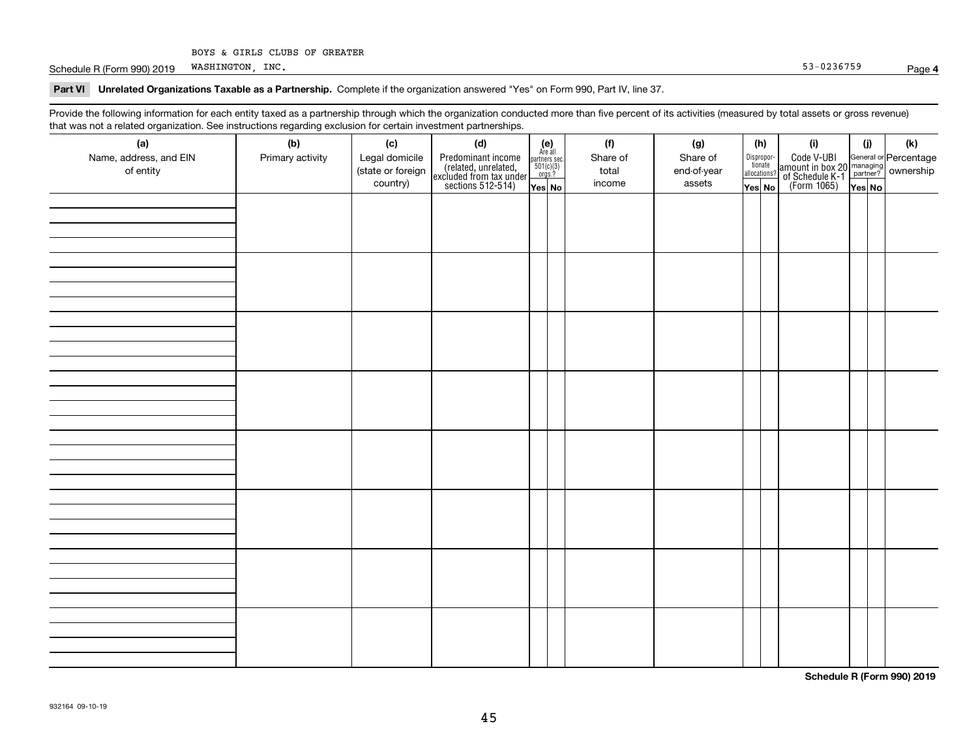Schedule R (Form 990) 2019 WASHINGTON, INC. Schedule R (Form 990) 2019 WASHINGTON, INC. WASHINGTON, INC.

#### **Part VI Unrelated Organizations Taxable as a Partnership. Complete if the organization answered "Yes" on Form 990, Part IV, line 37.**

Provide the following information for each entity taxed as a partnership through which the organization conducted more than five percent of its activities (measured by total assets or gross revenue) that was not a related organization. See instructions regarding exclusion for certain investment partnerships.

| (a)<br>Name, address, and EIN<br>of entity | ໍ່ວ່<br>(b)<br>Primary activity | (c)<br>Legal domicile<br>(state or foreign<br>country) | (d)<br>Predominant income<br>(related, unrelated,<br>excluded from tax under<br>sections 512-514) | $(e)$<br>Are all<br>partners sec.<br>$501(c)(3)$<br>orgs.?<br>Yes No | (f)<br>Share of<br>total<br>income | (g)<br>Share of<br>end-of-year<br>assets | (h)<br>Dispropor-<br>tionate<br>allocations?<br>Yes No | (i)<br>Code V-UBI<br>amount in box 20 managing<br>of Schedule K-1<br>(Form 1065)<br>$\overline{Yes}$ No | (i)<br>Yes No | (k) |  |
|--------------------------------------------|---------------------------------|--------------------------------------------------------|---------------------------------------------------------------------------------------------------|----------------------------------------------------------------------|------------------------------------|------------------------------------------|--------------------------------------------------------|---------------------------------------------------------------------------------------------------------|---------------|-----|--|
|                                            |                                 |                                                        |                                                                                                   |                                                                      |                                    |                                          |                                                        |                                                                                                         |               |     |  |
|                                            |                                 |                                                        |                                                                                                   |                                                                      |                                    |                                          |                                                        |                                                                                                         |               |     |  |
|                                            |                                 |                                                        |                                                                                                   |                                                                      |                                    |                                          |                                                        |                                                                                                         |               |     |  |
|                                            |                                 |                                                        |                                                                                                   |                                                                      |                                    |                                          |                                                        |                                                                                                         |               |     |  |
|                                            |                                 |                                                        |                                                                                                   |                                                                      |                                    |                                          |                                                        |                                                                                                         |               |     |  |
|                                            |                                 |                                                        |                                                                                                   |                                                                      |                                    |                                          |                                                        |                                                                                                         |               |     |  |
|                                            |                                 |                                                        |                                                                                                   |                                                                      |                                    |                                          |                                                        |                                                                                                         |               |     |  |
|                                            |                                 |                                                        |                                                                                                   |                                                                      |                                    |                                          |                                                        |                                                                                                         |               |     |  |

**Schedule R (Form 990) 2019**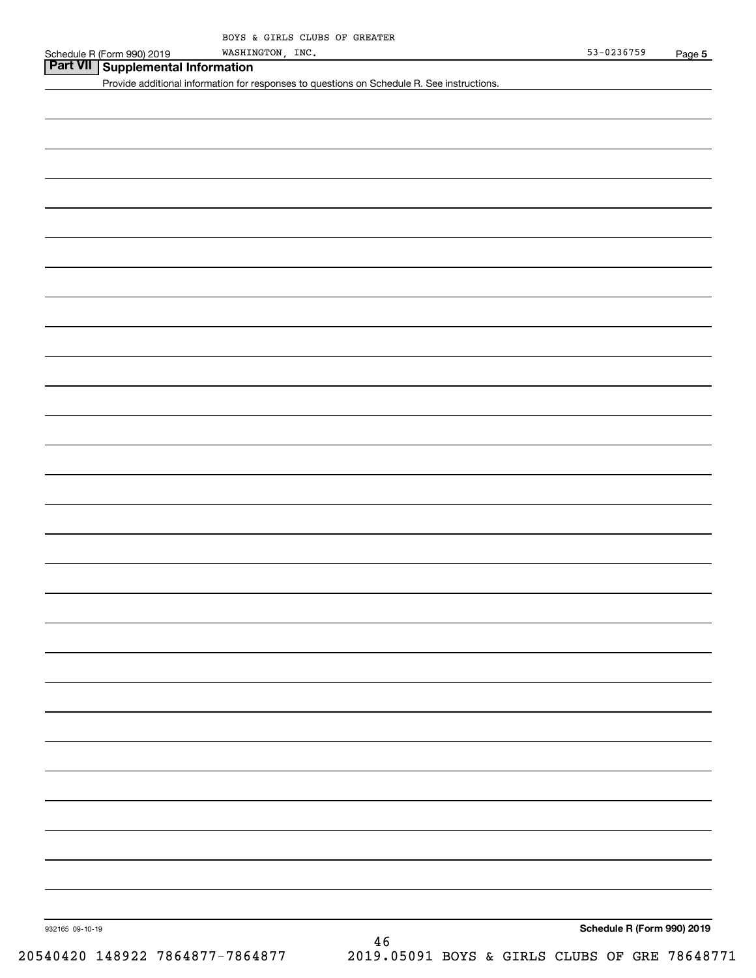## **Part VII Supplemental Information**

Provide additional information for responses to questions on Schedule R. See instructions.

46

**Schedule R (Form 990) 2019**

932165 09-10-19